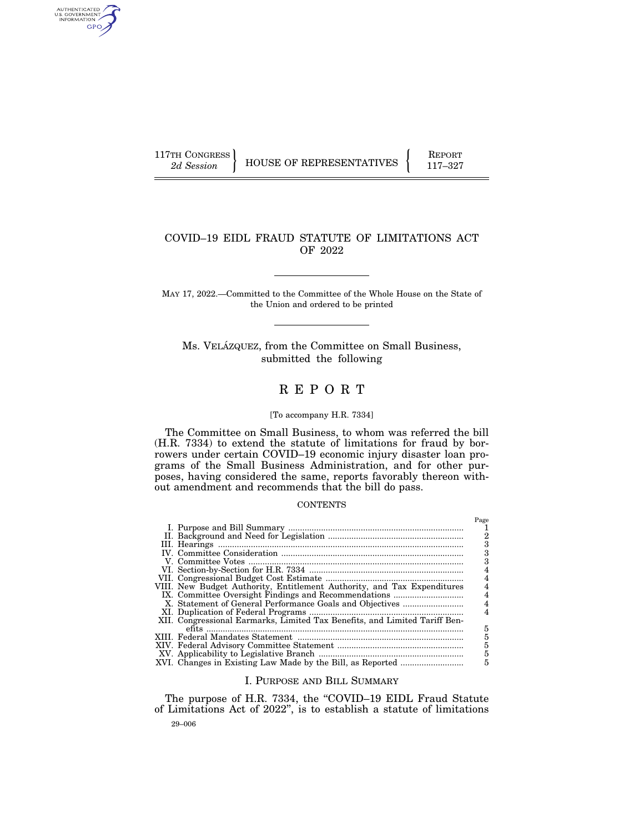AUTHENTICATED<br>U.S. GOVERNMENT<br>INFORMATION GPO

117TH CONGRESS HOUSE OF REPRESENTATIVES FEPORT 117-327

# COVID–19 EIDL FRAUD STATUTE OF LIMITATIONS ACT OF 2022

MAY 17, 2022.—Committed to the Committee of the Whole House on the State of the Union and ordered to be printed

Ms. VELÁZQUEZ, from the Committee on Small Business, submitted the following

# R E P O R T

# [To accompany H.R. 7334]

The Committee on Small Business, to whom was referred the bill (H.R. 7334) to extend the statute of limitations for fraud by borrowers under certain COVID–19 economic injury disaster loan programs of the Small Business Administration, and for other purposes, having considered the same, reports favorably thereon without amendment and recommends that the bill do pass.

# **CONTENTS**

|                                                                            | Page |
|----------------------------------------------------------------------------|------|
|                                                                            |      |
|                                                                            | 2    |
|                                                                            |      |
|                                                                            | 3    |
|                                                                            | з    |
|                                                                            |      |
|                                                                            |      |
| VIII. New Budget Authority, Entitlement Authority, and Tax Expenditures    |      |
|                                                                            | 4    |
|                                                                            | 4    |
|                                                                            |      |
| XII. Congressional Earmarks, Limited Tax Benefits, and Limited Tariff Ben- |      |
|                                                                            | 5    |
|                                                                            | 5    |
|                                                                            | 5    |
|                                                                            | 5    |
|                                                                            | 5    |
|                                                                            |      |

#### I. PURPOSE AND BILL SUMMARY

29–006 The purpose of H.R. 7334, the "COVID-19 EIDL Fraud Statute of Limitations Act of 2022'', is to establish a statute of limitations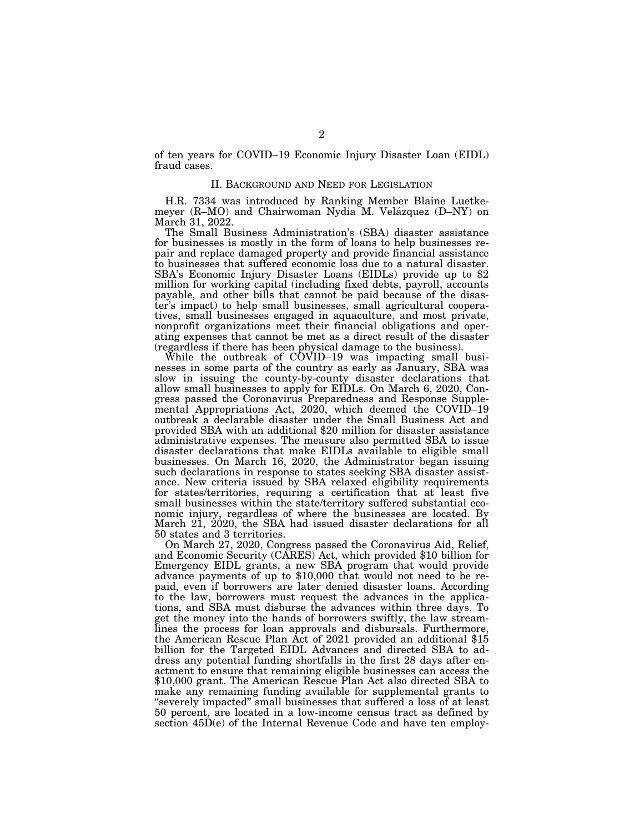of ten years for COVID–19 Economic Injury Disaster Loan (EIDL) fraud cases.

## II. BACKGROUND AND NEED FOR LEGISLATION

H.R. 7334 was introduced by Ranking Member Blaine Luetkemeyer (R–MO) and Chairwoman Nydia M. Velázquez (D–NY) on March 31, 2022.

The Small Business Administration's (SBA) disaster assistance for businesses is mostly in the form of loans to help businesses repair and replace damaged property and provide financial assistance to businesses that suffered economic loss due to a natural disaster. SBA's Economic Injury Disaster Loans (EIDLs) provide up to \$2 million for working capital (including fixed debts, payroll, accounts payable, and other bills that cannot be paid because of the disaster's impact) to help small businesses, small agricultural cooperatives, small businesses engaged in aquaculture, and most private, nonprofit organizations meet their financial obligations and operating expenses that cannot be met as a direct result of the disaster (regardless if there has been physical damage to the business).

While the outbreak of COVID–19 was impacting small businesses in some parts of the country as early as January, SBA was slow in issuing the county-by-county disaster declarations that allow small businesses to apply for EIDLs. On March 6, 2020, Congress passed the Coronavirus Preparedness and Response Supplemental Appropriations Act, 2020, which deemed the COVID–19 outbreak a declarable disaster under the Small Business Act and provided SBA with an additional \$20 million for disaster assistance administrative expenses. The measure also permitted SBA to issue disaster declarations that make EIDLs available to eligible small businesses. On March 16, 2020, the Administrator began issuing such declarations in response to states seeking SBA disaster assistance. New criteria issued by SBA relaxed eligibility requirements for states/territories, requiring a certification that at least five small businesses within the state/territory suffered substantial economic injury, regardless of where the businesses are located. By March 21, 2020, the SBA had issued disaster declarations for all

50 states and 3 territories.<br>On March 27, 2020, Congress passed the Coronavirus Aid, Relief, and Economic Security (CARES) Act, which provided \$10 billion for Emergency EIDL grants, a new SBA program that would provide advance payments of up to \$10,000 that would not need to be repaid, even if borrowers are later denied disaster loans. According to the law, borrowers must request the advances in the applications, and SBA must disburse the advances within three days. To get the money into the hands of borrowers swiftly, the law streamlines the process for loan approvals and disbursals. Furthermore, the American Rescue Plan Act of 2021 provided an additional \$15 billion for the Targeted EIDL Advances and directed SBA to address any potential funding shortfalls in the first 28 days after enactment to ensure that remaining eligible businesses can access the \$10,000 grant. The American Rescue Plan Act also directed SBA to make any remaining funding available for supplemental grants to ''severely impacted'' small businesses that suffered a loss of at least 50 percent, are located in a low-income census tract as defined by section 45D(e) of the Internal Revenue Code and have ten employ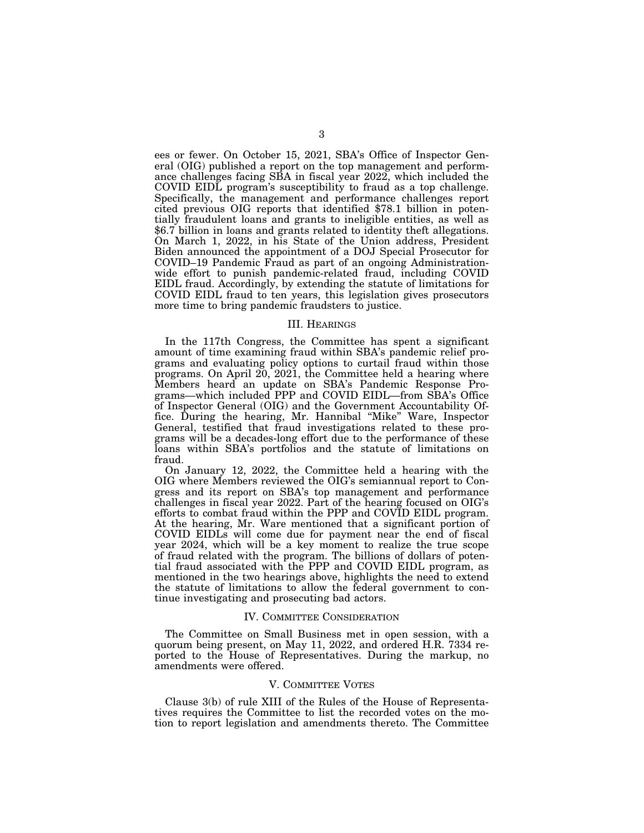ees or fewer. On October 15, 2021, SBA's Office of Inspector General (OIG) published a report on the top management and performance challenges facing SBA in fiscal year 2022, which included the COVID EIDL program's susceptibility to fraud as a top challenge. Specifically, the management and performance challenges report cited previous OIG reports that identified \$78.1 billion in potentially fraudulent loans and grants to ineligible entities, as well as \$6.7 billion in loans and grants related to identity theft allegations. On March 1, 2022, in his State of the Union address, President Biden announced the appointment of a DOJ Special Prosecutor for COVID–19 Pandemic Fraud as part of an ongoing Administrationwide effort to punish pandemic-related fraud, including COVID EIDL fraud. Accordingly, by extending the statute of limitations for COVID EIDL fraud to ten years, this legislation gives prosecutors more time to bring pandemic fraudsters to justice.

#### III. HEARINGS

In the 117th Congress, the Committee has spent a significant amount of time examining fraud within SBA's pandemic relief programs and evaluating policy options to curtail fraud within those programs. On April 20, 2021, the Committee held a hearing where Members heard an update on SBA's Pandemic Response Programs—which included PPP and COVID EIDL—from SBA's Office of Inspector General (OIG) and the Government Accountability Office. During the hearing, Mr. Hannibal ''Mike'' Ware, Inspector General, testified that fraud investigations related to these programs will be a decades-long effort due to the performance of these loans within SBA's portfolios and the statute of limitations on fraud.

On January 12, 2022, the Committee held a hearing with the OIG where Members reviewed the OIG's semiannual report to Congress and its report on SBA's top management and performance challenges in fiscal year 2022. Part of the hearing focused on OIG's efforts to combat fraud within the PPP and COVID EIDL program. At the hearing, Mr. Ware mentioned that a significant portion of COVID EIDLs will come due for payment near the end of fiscal year 2024, which will be a key moment to realize the true scope of fraud related with the program. The billions of dollars of potential fraud associated with the PPP and COVID EIDL program, as mentioned in the two hearings above, highlights the need to extend the statute of limitations to allow the federal government to continue investigating and prosecuting bad actors.

#### IV. COMMITTEE CONSIDERATION

The Committee on Small Business met in open session, with a quorum being present, on May 11, 2022, and ordered H.R. 7334 reported to the House of Representatives. During the markup, no amendments were offered.

#### V. COMMITTEE VOTES

Clause 3(b) of rule XIII of the Rules of the House of Representatives requires the Committee to list the recorded votes on the motion to report legislation and amendments thereto. The Committee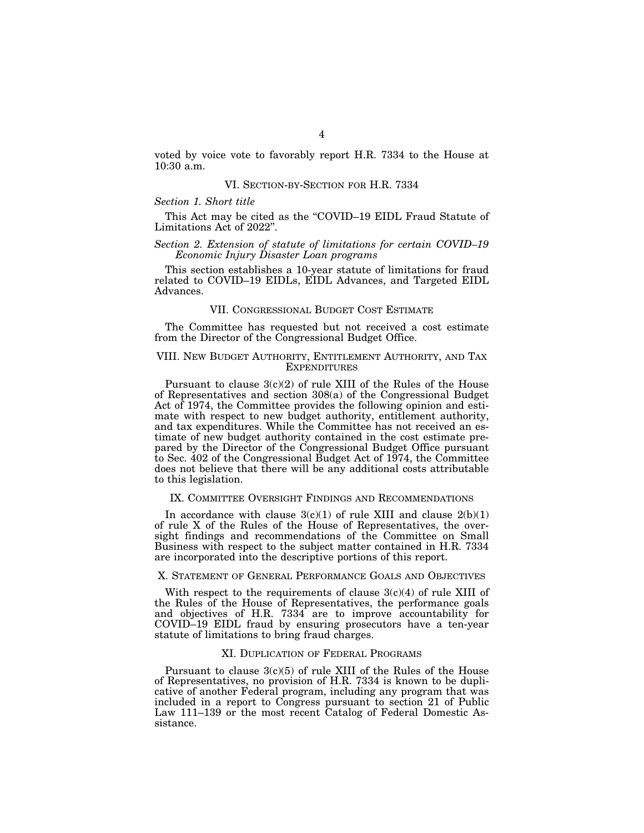voted by voice vote to favorably report H.R. 7334 to the House at 10:30 a.m.

#### VI. SECTION-BY-SECTION FOR H.R. 7334

### *Section 1. Short title*

This Act may be cited as the "COVID–19 EIDL Fraud Statute of Limitations Act of 2022''.

## *Section 2. Extension of statute of limitations for certain COVID–19 Economic Injury Disaster Loan programs*

This section establishes a 10-year statute of limitations for fraud related to COVID–19 EIDLs, EIDL Advances, and Targeted EIDL Advances.

### VII. CONGRESSIONAL BUDGET COST ESTIMATE

The Committee has requested but not received a cost estimate from the Director of the Congressional Budget Office.

### VIII. NEW BUDGET AUTHORITY, ENTITLEMENT AUTHORITY, AND TAX **EXPENDITURES**

Pursuant to clause  $3(c)(2)$  of rule XIII of the Rules of the House of Representatives and section 308(a) of the Congressional Budget Act of 1974, the Committee provides the following opinion and estimate with respect to new budget authority, entitlement authority, and tax expenditures. While the Committee has not received an estimate of new budget authority contained in the cost estimate prepared by the Director of the Congressional Budget Office pursuant to Sec. 402 of the Congressional Budget Act of 1974, the Committee does not believe that there will be any additional costs attributable to this legislation.

## IX. COMMITTEE OVERSIGHT FINDINGS AND RECOMMENDATIONS

In accordance with clause  $3(c)(1)$  of rule XIII and clause  $2(b)(1)$ of rule X of the Rules of the House of Representatives, the oversight findings and recommendations of the Committee on Small Business with respect to the subject matter contained in H.R. 7334 are incorporated into the descriptive portions of this report.

#### X. STATEMENT OF GENERAL PERFORMANCE GOALS AND OBJECTIVES

With respect to the requirements of clause  $3(c)(4)$  of rule XIII of the Rules of the House of Representatives, the performance goals and objectives of H.R. 7334 are to improve accountability for COVID–19 EIDL fraud by ensuring prosecutors have a ten-year statute of limitations to bring fraud charges.

# XI. DUPLICATION OF FEDERAL PROGRAMS

Pursuant to clause 3(c)(5) of rule XIII of the Rules of the House of Representatives, no provision of H.R. 7334 is known to be duplicative of another Federal program, including any program that was included in a report to Congress pursuant to section 21 of Public Law 111–139 or the most recent Catalog of Federal Domestic Assistance.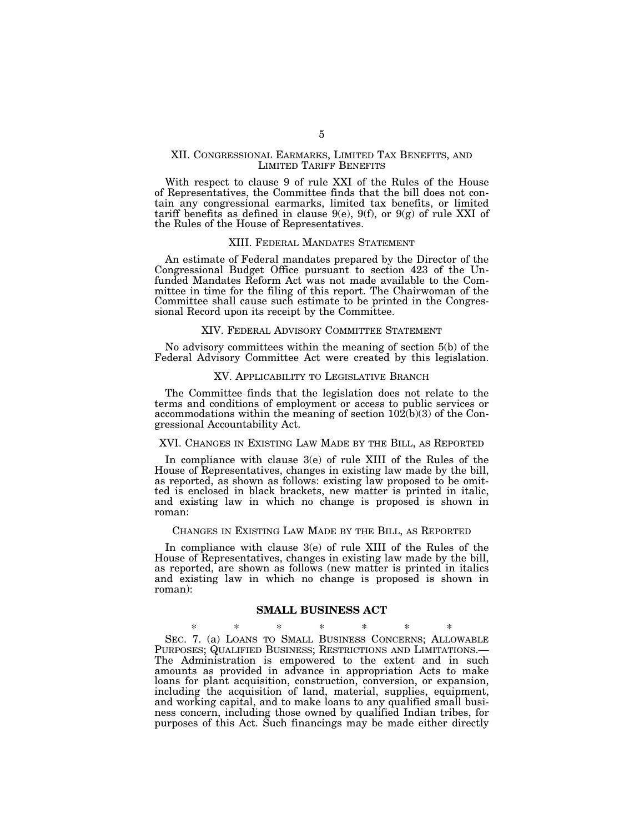## XII. CONGRESSIONAL EARMARKS, LIMITED TAX BENEFITS, AND LIMITED TARIFF BENEFITS

With respect to clause 9 of rule XXI of the Rules of the House of Representatives, the Committee finds that the bill does not contain any congressional earmarks, limited tax benefits, or limited tariff benefits as defined in clause  $9(e)$ ,  $9(f)$ , or  $9(g)$  of rule XXI of the Rules of the House of Representatives.

# XIII. FEDERAL MANDATES STATEMENT

An estimate of Federal mandates prepared by the Director of the Congressional Budget Office pursuant to section 423 of the Unfunded Mandates Reform Act was not made available to the Committee in time for the filing of this report. The Chairwoman of the Committee shall cause such estimate to be printed in the Congressional Record upon its receipt by the Committee.

#### XIV. FEDERAL ADVISORY COMMITTEE STATEMENT

No advisory committees within the meaning of section 5(b) of the Federal Advisory Committee Act were created by this legislation.

#### XV. APPLICABILITY TO LEGISLATIVE BRANCH

The Committee finds that the legislation does not relate to the terms and conditions of employment or access to public services or accommodations within the meaning of section  $10\overline{2(b)}(3)$  of the Congressional Accountability Act.

#### XVI. CHANGES IN EXISTING LAW MADE BY THE BILL, AS REPORTED

In compliance with clause 3(e) of rule XIII of the Rules of the House of Representatives, changes in existing law made by the bill, as reported, as shown as follows: existing law proposed to be omitted is enclosed in black brackets, new matter is printed in italic, and existing law in which no change is proposed is shown in roman:

#### CHANGES IN EXISTING LAW MADE BY THE BILL, AS REPORTED

In compliance with clause 3(e) of rule XIII of the Rules of the House of Representatives, changes in existing law made by the bill, as reported, are shown as follows (new matter is printed in italics and existing law in which no change is proposed is shown in roman):

### **SMALL BUSINESS ACT**

\* \* \* \* \* \* \* SEC. 7. (a) LOANS TO SMALL BUSINESS CONCERNS; ALLOWABLE PURPOSES; QUALIFIED BUSINESS; RESTRICTIONS AND LIMITATIONS.— The Administration is empowered to the extent and in such amounts as provided in advance in appropriation Acts to make loans for plant acquisition, construction, conversion, or expansion, including the acquisition of land, material, supplies, equipment, and working capital, and to make loans to any qualified small business concern, including those owned by qualified Indian tribes, for purposes of this Act. Such financings may be made either directly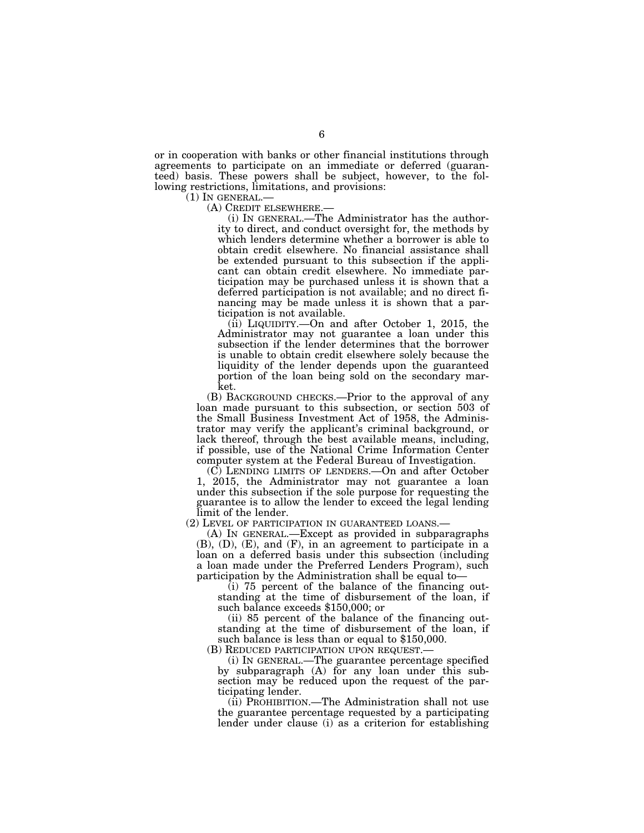or in cooperation with banks or other financial institutions through agreements to participate on an immediate or deferred (guaranteed) basis. These powers shall be subject, however, to the following restrictions, limitations, and provisions:<br>(1) IN GENERAL.—

(A) CREDIT ELSEWHERE.—<br>(i) IN GENERAL.—The Administrator has the authority to direct, and conduct oversight for, the methods by which lenders determine whether a borrower is able to obtain credit elsewhere. No financial assistance shall be extended pursuant to this subsection if the applicant can obtain credit elsewhere. No immediate participation may be purchased unless it is shown that a deferred participation is not available; and no direct financing may be made unless it is shown that a participation is not available.

(ii) LIQUIDITY.—On and after October 1, 2015, the Administrator may not guarantee a loan under this subsection if the lender determines that the borrower is unable to obtain credit elsewhere solely because the liquidity of the lender depends upon the guaranteed portion of the loan being sold on the secondary market.

(B) BACKGROUND CHECKS.—Prior to the approval of any loan made pursuant to this subsection, or section 503 of the Small Business Investment Act of 1958, the Administrator may verify the applicant's criminal background, or lack thereof, through the best available means, including, if possible, use of the National Crime Information Center computer system at the Federal Bureau of Investigation.

(C) LENDING LIMITS OF LENDERS.—On and after October 1, 2015, the Administrator may not guarantee a loan under this subsection if the sole purpose for requesting the guarantee is to allow the lender to exceed the legal lending limit of the lender.

(2) LEVEL OF PARTICIPATION IN GUARANTEED LOANS.— (A) IN GENERAL.—Except as provided in subparagraphs (B), (D), (E), and (F), in an agreement to participate in a loan on a deferred basis under this subsection (including a loan made under the Preferred Lenders Program), such participation by the Administration shall be equal to—

 $(i)$  75 percent of the balance of the financing outstanding at the time of disbursement of the loan, if such balance exceeds \$150,000; or

(ii) 85 percent of the balance of the financing outstanding at the time of disbursement of the loan, if such balance is less than or equal to \$150,000. (B) REDUCED PARTICIPATION UPON REQUEST.—

(i) IN GENERAL.—The guarantee percentage specified by subparagraph (A) for any loan under this subsection may be reduced upon the request of the participating lender.

(ii) PROHIBITION.—The Administration shall not use the guarantee percentage requested by a participating lender under clause (i) as a criterion for establishing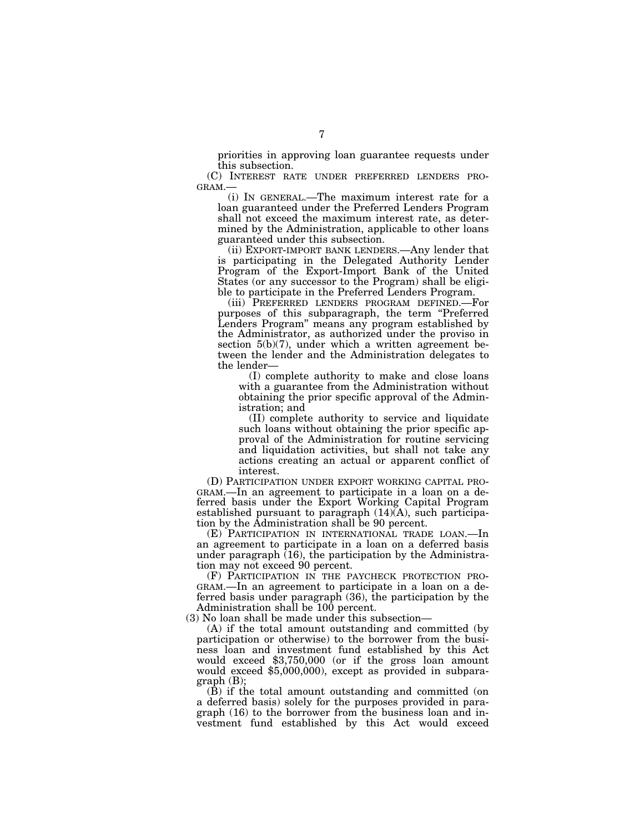priorities in approving loan guarantee requests under this subsection.

(C) INTEREST RATE UNDER PREFERRED LENDERS PRO-<br>GRAM.—

(i) IN GENERAL.—The maximum interest rate for a loan guaranteed under the Preferred Lenders Program shall not exceed the maximum interest rate, as determined by the Administration, applicable to other loans guaranteed under this subsection.

(ii) EXPORT-IMPORT BANK LENDERS.—Any lender that is participating in the Delegated Authority Lender Program of the Export-Import Bank of the United States (or any successor to the Program) shall be eligible to participate in the Preferred Lenders Program.

(iii) PREFERRED LENDERS PROGRAM DEFINED.—For purposes of this subparagraph, the term ''Preferred Lenders Program'' means any program established by the Administrator, as authorized under the proviso in section  $5(b)(7)$ , under which a written agreement between the lender and the Administration delegates to the lender—

(I) complete authority to make and close loans with a guarantee from the Administration without obtaining the prior specific approval of the Administration; and

(II) complete authority to service and liquidate such loans without obtaining the prior specific approval of the Administration for routine servicing and liquidation activities, but shall not take any actions creating an actual or apparent conflict of interest.

(D) PARTICIPATION UNDER EXPORT WORKING CAPITAL PRO-GRAM.—In an agreement to participate in a loan on a deferred basis under the Export Working Capital Program established pursuant to paragraph (14)(A), such participation by the Administration shall be 90 percent.

(E) PARTICIPATION IN INTERNATIONAL TRADE LOAN.—In an agreement to participate in a loan on a deferred basis under paragraph  $(16)$ , the participation by the Administration may not exceed 90 percent.

(F) PARTICIPATION IN THE PAYCHECK PROTECTION PRO-GRAM.—In an agreement to participate in a loan on a deferred basis under paragraph (36), the participation by the Administration shall be 100 percent.

(3) No loan shall be made under this subsection—

(A) if the total amount outstanding and committed (by participation or otherwise) to the borrower from the business loan and investment fund established by this Act would exceed \$3,750,000 (or if the gross loan amount would exceed \$5,000,000), except as provided in subparagraph (B);

(B) if the total amount outstanding and committed (on a deferred basis) solely for the purposes provided in paragraph (16) to the borrower from the business loan and investment fund established by this Act would exceed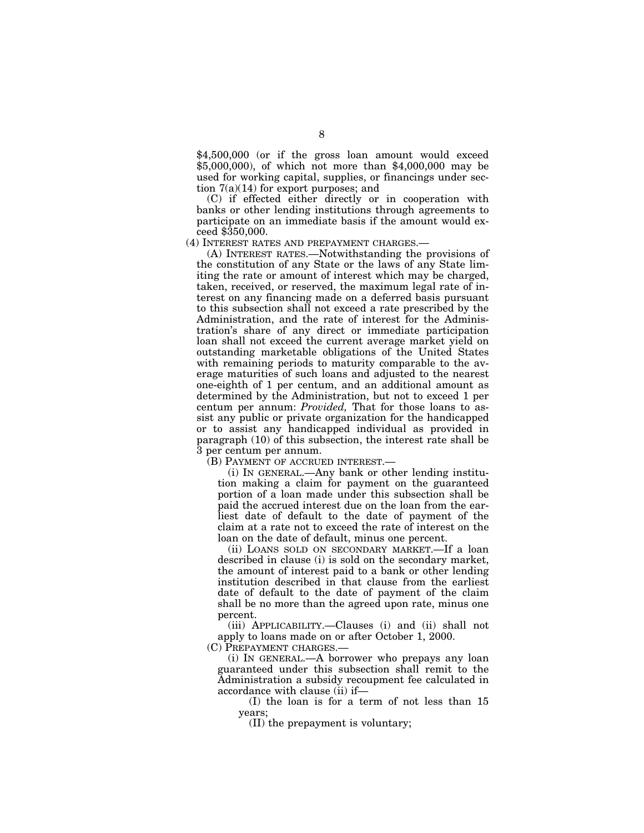\$4,500,000 (or if the gross loan amount would exceed \$5,000,000), of which not more than \$4,000,000 may be used for working capital, supplies, or financings under section 7(a)(14) for export purposes; and

(C) if effected either directly or in cooperation with banks or other lending institutions through agreements to participate on an immediate basis if the amount would exceed \$350,000.

(4) INTEREST RATES AND PREPAYMENT CHARGES.—

(A) INTEREST RATES.—Notwithstanding the provisions of the constitution of any State or the laws of any State limiting the rate or amount of interest which may be charged, taken, received, or reserved, the maximum legal rate of interest on any financing made on a deferred basis pursuant to this subsection shall not exceed a rate prescribed by the Administration, and the rate of interest for the Administration's share of any direct or immediate participation loan shall not exceed the current average market yield on outstanding marketable obligations of the United States with remaining periods to maturity comparable to the average maturities of such loans and adjusted to the nearest one-eighth of 1 per centum, and an additional amount as determined by the Administration, but not to exceed 1 per centum per annum: *Provided,* That for those loans to assist any public or private organization for the handicapped or to assist any handicapped individual as provided in paragraph (10) of this subsection, the interest rate shall be 3 per centum per annum.

(B) PAYMENT OF ACCRUED INTEREST.—

(i) IN GENERAL.—Any bank or other lending institution making a claim for payment on the guaranteed portion of a loan made under this subsection shall be paid the accrued interest due on the loan from the earliest date of default to the date of payment of the claim at a rate not to exceed the rate of interest on the loan on the date of default, minus one percent.

(ii) LOANS SOLD ON SECONDARY MARKET.—If a loan described in clause (i) is sold on the secondary market, the amount of interest paid to a bank or other lending institution described in that clause from the earliest date of default to the date of payment of the claim shall be no more than the agreed upon rate, minus one percent.

(iii) APPLICABILITY.—Clauses (i) and (ii) shall not apply to loans made on or after October 1, 2000.

(C) PREPAYMENT CHARGES.—

(i) IN GENERAL.—A borrower who prepays any loan guaranteed under this subsection shall remit to the Administration a subsidy recoupment fee calculated in accordance with clause (ii) if—

(I) the loan is for a term of not less than 15 years;

(II) the prepayment is voluntary;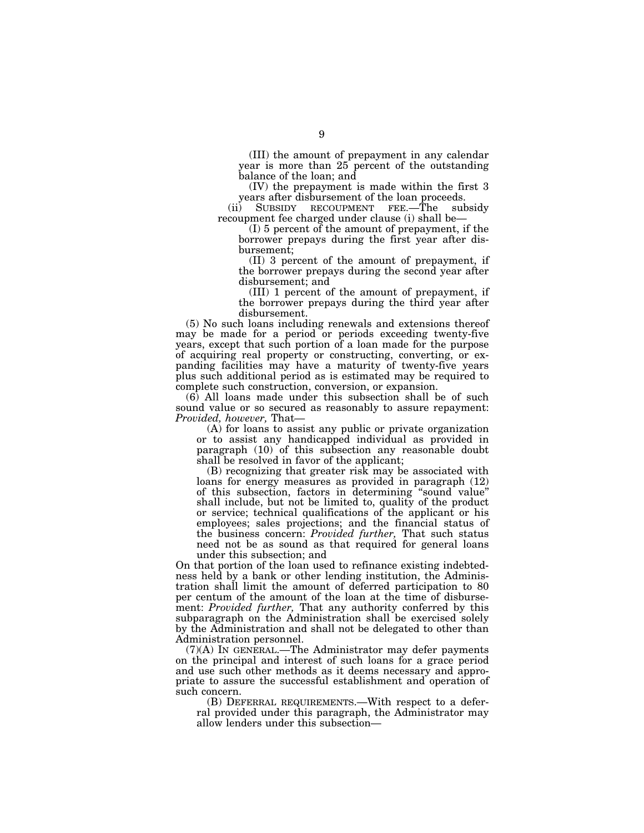(III) the amount of prepayment in any calendar year is more than 25 percent of the outstanding balance of the loan; and

(IV) the prepayment is made within the first 3 years after disbursement of the loan proceeds.<br>
SUBSIDY RECOUPMENT FEE.—The subsidy

(ii) SUBSIDY RECOUPMENT FEE.—The recoupment fee charged under clause (i) shall be—

(I) 5 percent of the amount of prepayment, if the borrower prepays during the first year after disbursement;

(II) 3 percent of the amount of prepayment, if the borrower prepays during the second year after disbursement; and

(III) 1 percent of the amount of prepayment, if the borrower prepays during the third year after disbursement.

(5) No such loans including renewals and extensions thereof may be made for a period or periods exceeding twenty-five years, except that such portion of a loan made for the purpose of acquiring real property or constructing, converting, or expanding facilities may have a maturity of twenty-five years plus such additional period as is estimated may be required to complete such construction, conversion, or expansion.

(6) All loans made under this subsection shall be of such sound value or so secured as reasonably to assure repayment: *Provided, however,* That—

(A) for loans to assist any public or private organization or to assist any handicapped individual as provided in paragraph (10) of this subsection any reasonable doubt shall be resolved in favor of the applicant;

(B) recognizing that greater risk may be associated with loans for energy measures as provided in paragraph (12) of this subsection, factors in determining ''sound value'' shall include, but not be limited to, quality of the product or service; technical qualifications of the applicant or his employees; sales projections; and the financial status of the business concern: *Provided further,* That such status need not be as sound as that required for general loans under this subsection; and

On that portion of the loan used to refinance existing indebtedness held by a bank or other lending institution, the Administration shall limit the amount of deferred participation to 80 per centum of the amount of the loan at the time of disbursement: *Provided further,* That any authority conferred by this subparagraph on the Administration shall be exercised solely by the Administration and shall not be delegated to other than Administration personnel.

(7)(A) IN GENERAL.—The Administrator may defer payments on the principal and interest of such loans for a grace period and use such other methods as it deems necessary and appropriate to assure the successful establishment and operation of such concern.

(B) DEFERRAL REQUIREMENTS.—With respect to a deferral provided under this paragraph, the Administrator may allow lenders under this subsection—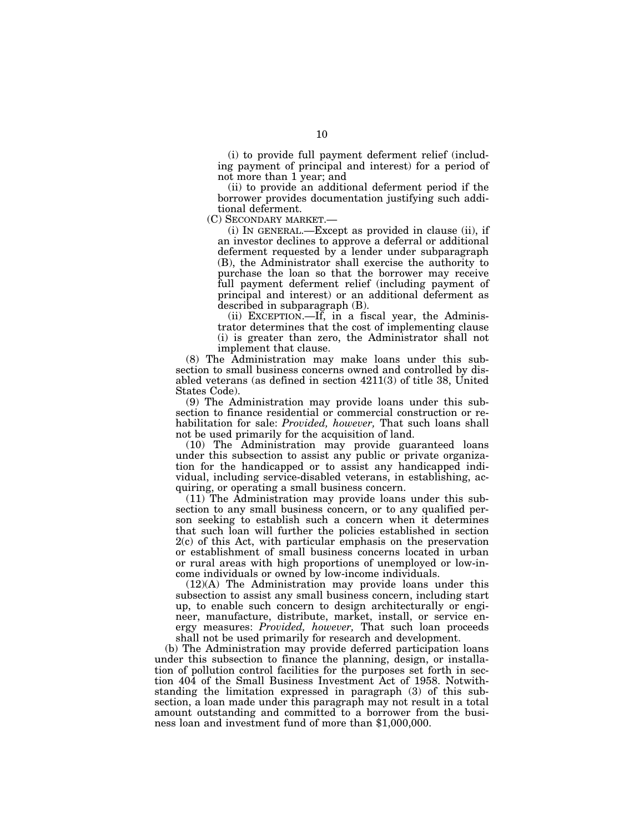(i) to provide full payment deferment relief (including payment of principal and interest) for a period of not more than 1 year; and

(ii) to provide an additional deferment period if the borrower provides documentation justifying such additional deferment.

(C) SECONDARY MARKET.—

(i) IN GENERAL.—Except as provided in clause (ii), if an investor declines to approve a deferral or additional deferment requested by a lender under subparagraph (B), the Administrator shall exercise the authority to purchase the loan so that the borrower may receive full payment deferment relief (including payment of principal and interest) or an additional deferment as described in subparagraph (B).

(ii) EXCEPTION.—If, in a fiscal year, the Administrator determines that the cost of implementing clause (i) is greater than zero, the Administrator shall not implement that clause.

(8) The Administration may make loans under this subsection to small business concerns owned and controlled by disabled veterans (as defined in section 4211(3) of title 38, United States Code).

(9) The Administration may provide loans under this subsection to finance residential or commercial construction or rehabilitation for sale: *Provided, however,* That such loans shall not be used primarily for the acquisition of land.

(10) The Administration may provide guaranteed loans under this subsection to assist any public or private organization for the handicapped or to assist any handicapped individual, including service-disabled veterans, in establishing, acquiring, or operating a small business concern.

(11) The Administration may provide loans under this subsection to any small business concern, or to any qualified person seeking to establish such a concern when it determines that such loan will further the policies established in section 2(c) of this Act, with particular emphasis on the preservation or establishment of small business concerns located in urban or rural areas with high proportions of unemployed or low-income individuals or owned by low-income individuals.

(12)(A) The Administration may provide loans under this subsection to assist any small business concern, including start up, to enable such concern to design architecturally or engineer, manufacture, distribute, market, install, or service energy measures: *Provided, however,* That such loan proceeds shall not be used primarily for research and development.

(b) The Administration may provide deferred participation loans under this subsection to finance the planning, design, or installation of pollution control facilities for the purposes set forth in section 404 of the Small Business Investment Act of 1958. Notwithstanding the limitation expressed in paragraph (3) of this subsection, a loan made under this paragraph may not result in a total amount outstanding and committed to a borrower from the business loan and investment fund of more than \$1,000,000.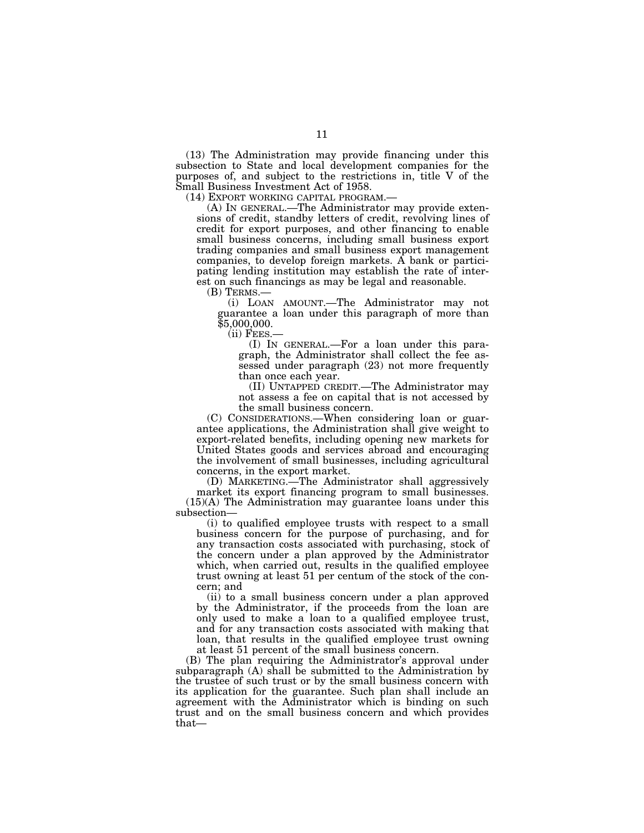(13) The Administration may provide financing under this subsection to State and local development companies for the purposes of, and subject to the restrictions in, title V of the Small Business Investment Act of 1958.<br>(14) EXPORT WORKING CAPITAL PROGRAM.—

 $(A)$  In GENERAL.—The Administrator may provide extensions of credit, standby letters of credit, revolving lines of credit for export purposes, and other financing to enable small business concerns, including small business export trading companies and small business export management companies, to develop foreign markets. A bank or participating lending institution may establish the rate of interest on such financings as may be legal and reasonable.

(B) TERMS.—

(i) LOAN AMOUNT.—The Administrator may not guarantee a loan under this paragraph of more than \$5,000,000.<br>--Gii) Fees.

(I) IN GENERAL.—For a loan under this paragraph, the Administrator shall collect the fee assessed under paragraph (23) not more frequently than once each year.

(II) UNTAPPED CREDIT.—The Administrator may not assess a fee on capital that is not accessed by the small business concern.

(C) CONSIDERATIONS.—When considering loan or guarantee applications, the Administration shall give weight to export-related benefits, including opening new markets for United States goods and services abroad and encouraging the involvement of small businesses, including agricultural concerns, in the export market.

(D) MARKETING.—The Administrator shall aggressively market its export financing program to small businesses. (15)(A) The Administration may guarantee loans under this subsection—

(i) to qualified employee trusts with respect to a small business concern for the purpose of purchasing, and for any transaction costs associated with purchasing, stock of the concern under a plan approved by the Administrator which, when carried out, results in the qualified employee trust owning at least 51 per centum of the stock of the concern; and

(ii) to a small business concern under a plan approved by the Administrator, if the proceeds from the loan are only used to make a loan to a qualified employee trust, and for any transaction costs associated with making that loan, that results in the qualified employee trust owning at least 51 percent of the small business concern.

(B) The plan requiring the Administrator's approval under subparagraph (A) shall be submitted to the Administration by the trustee of such trust or by the small business concern with its application for the guarantee. Such plan shall include an agreement with the Administrator which is binding on such trust and on the small business concern and which provides that—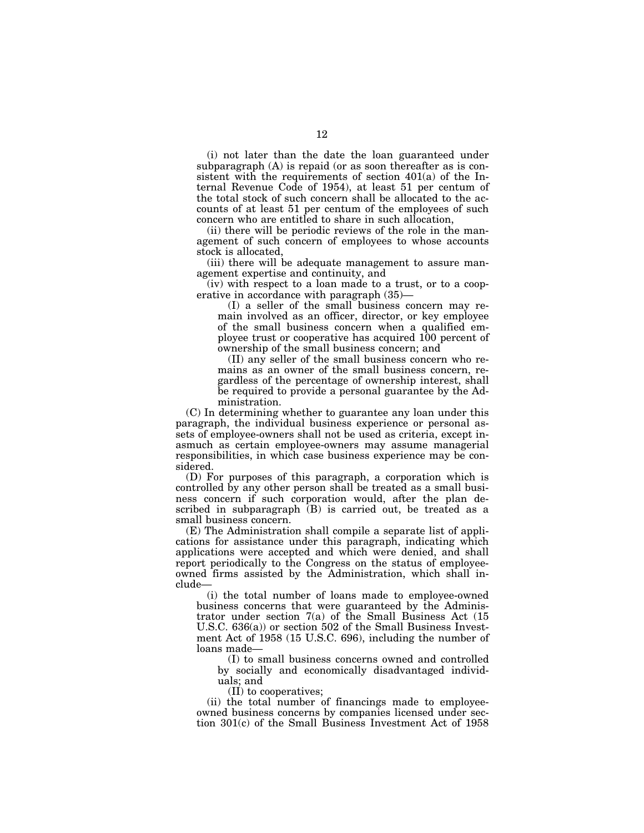(i) not later than the date the loan guaranteed under subparagraph (A) is repaid (or as soon thereafter as is consistent with the requirements of section 401(a) of the Internal Revenue Code of 1954), at least 51 per centum of the total stock of such concern shall be allocated to the accounts of at least 51 per centum of the employees of such concern who are entitled to share in such allocation,

(ii) there will be periodic reviews of the role in the management of such concern of employees to whose accounts stock is allocated,

(iii) there will be adequate management to assure management expertise and continuity, and

(iv) with respect to a loan made to a trust, or to a cooperative in accordance with paragraph (35)—

(I) a seller of the small business concern may remain involved as an officer, director, or key employee of the small business concern when a qualified employee trust or cooperative has acquired 100 percent of ownership of the small business concern; and

(II) any seller of the small business concern who remains as an owner of the small business concern, regardless of the percentage of ownership interest, shall be required to provide a personal guarantee by the Administration.

(C) In determining whether to guarantee any loan under this paragraph, the individual business experience or personal assets of employee-owners shall not be used as criteria, except inasmuch as certain employee-owners may assume managerial responsibilities, in which case business experience may be considered.

(D) For purposes of this paragraph, a corporation which is controlled by any other person shall be treated as a small business concern if such corporation would, after the plan described in subparagraph (B) is carried out, be treated as a small business concern.

(E) The Administration shall compile a separate list of applications for assistance under this paragraph, indicating which applications were accepted and which were denied, and shall report periodically to the Congress on the status of employeeowned firms assisted by the Administration, which shall include—

(i) the total number of loans made to employee-owned business concerns that were guaranteed by the Administrator under section 7(a) of the Small Business Act (15 U.S.C. 636(a)) or section 502 of the Small Business Investment Act of 1958 (15 U.S.C. 696), including the number of loans made—

(I) to small business concerns owned and controlled by socially and economically disadvantaged individuals; and

(II) to cooperatives;

(ii) the total number of financings made to employeeowned business concerns by companies licensed under section 301(c) of the Small Business Investment Act of 1958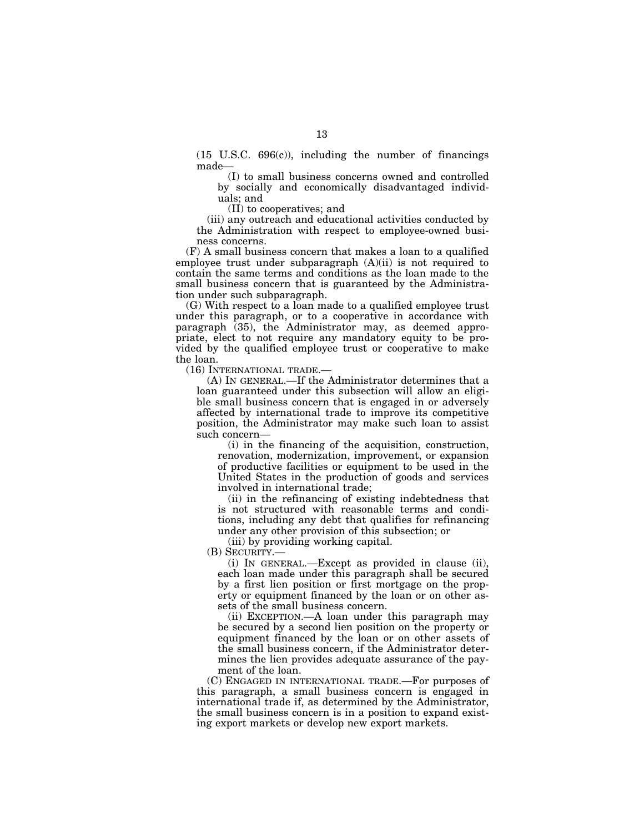(15 U.S.C. 696(c)), including the number of financings made—

(I) to small business concerns owned and controlled by socially and economically disadvantaged individuals; and

(II) to cooperatives; and

(iii) any outreach and educational activities conducted by the Administration with respect to employee-owned business concerns.

(F) A small business concern that makes a loan to a qualified employee trust under subparagraph (A)(ii) is not required to contain the same terms and conditions as the loan made to the small business concern that is guaranteed by the Administration under such subparagraph.

(G) With respect to a loan made to a qualified employee trust under this paragraph, or to a cooperative in accordance with paragraph (35), the Administrator may, as deemed appropriate, elect to not require any mandatory equity to be provided by the qualified employee trust or cooperative to make the loan.

(16) INTERNATIONAL TRADE.—

(A) IN GENERAL.—If the Administrator determines that a loan guaranteed under this subsection will allow an eligible small business concern that is engaged in or adversely affected by international trade to improve its competitive position, the Administrator may make such loan to assist such concern—

(i) in the financing of the acquisition, construction, renovation, modernization, improvement, or expansion of productive facilities or equipment to be used in the United States in the production of goods and services involved in international trade;

(ii) in the refinancing of existing indebtedness that is not structured with reasonable terms and conditions, including any debt that qualifies for refinancing under any other provision of this subsection; or

(iii) by providing working capital.

(B) SECURITY.—

(i) IN GENERAL.—Except as provided in clause (ii), each loan made under this paragraph shall be secured by a first lien position or first mortgage on the property or equipment financed by the loan or on other assets of the small business concern.

(ii) EXCEPTION.—A loan under this paragraph may be secured by a second lien position on the property or equipment financed by the loan or on other assets of the small business concern, if the Administrator determines the lien provides adequate assurance of the payment of the loan.

(C) ENGAGED IN INTERNATIONAL TRADE.—For purposes of this paragraph, a small business concern is engaged in international trade if, as determined by the Administrator, the small business concern is in a position to expand existing export markets or develop new export markets.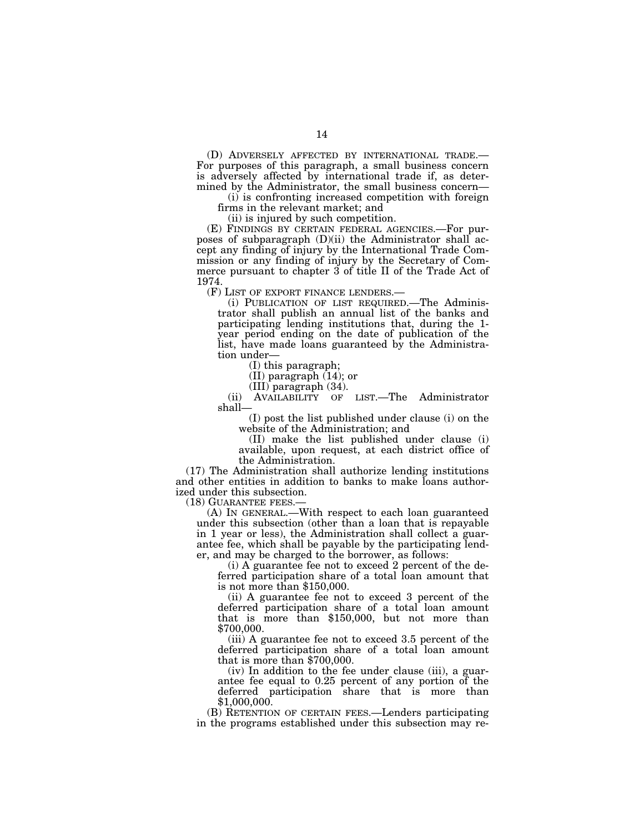(D) ADVERSELY AFFECTED BY INTERNATIONAL TRADE.— For purposes of this paragraph, a small business concern is adversely affected by international trade if, as determined by the Administrator, the small business concern—

(i) is confronting increased competition with foreign firms in the relevant market; and

(ii) is injured by such competition.

(E) FINDINGS BY CERTAIN FEDERAL AGENCIES.—For purposes of subparagraph  $(D)(ii)$  the Administrator shall accept any finding of injury by the International Trade Commission or any finding of injury by the Secretary of Commerce pursuant to chapter 3 of title II of the Trade Act of 1974.

(F) LIST OF EXPORT FINANCE LENDERS.—

(i) PUBLICATION OF LIST REQUIRED.—The Administrator shall publish an annual list of the banks and participating lending institutions that, during the 1 year period ending on the date of publication of the list, have made loans guaranteed by the Administration under—

(I) this paragraph;

(II) paragraph (14); or

(III) paragraph (34).<br>AVAILABILITY OF LIST.—The (ii) AVAILABILITY OF LIST.—The Administrator shall—

(I) post the list published under clause (i) on the website of the Administration; and

(II) make the list published under clause (i) available, upon request, at each district office of the Administration.

(17) The Administration shall authorize lending institutions and other entities in addition to banks to make loans authorized under this subsection.

(18) GUARANTEE FEES.—

(A) IN GENERAL.—With respect to each loan guaranteed under this subsection (other than a loan that is repayable in 1 year or less), the Administration shall collect a guarantee fee, which shall be payable by the participating lender, and may be charged to the borrower, as follows:

(i) A guarantee fee not to exceed 2 percent of the deferred participation share of a total loan amount that is not more than \$150,000.

(ii) A guarantee fee not to exceed 3 percent of the deferred participation share of a total loan amount that is more than \$150,000, but not more than \$700,000.

(iii) A guarantee fee not to exceed 3.5 percent of the deferred participation share of a total loan amount that is more than \$700,000.

(iv) In addition to the fee under clause (iii), a guarantee fee equal to 0.25 percent of any portion of the deferred participation share that is more than \$1,000,000.

(B) RETENTION OF CERTAIN FEES.—Lenders participating in the programs established under this subsection may re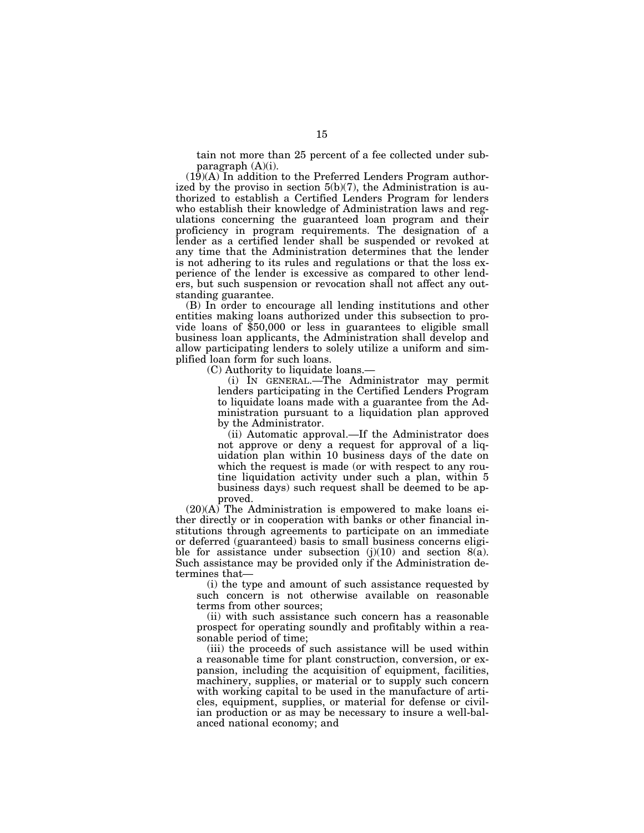tain not more than 25 percent of a fee collected under subparagraph (A)(i).

(19)(A) In addition to the Preferred Lenders Program authorized by the proviso in section  $5(b)(7)$ , the Administration is authorized to establish a Certified Lenders Program for lenders who establish their knowledge of Administration laws and regulations concerning the guaranteed loan program and their proficiency in program requirements. The designation of a lender as a certified lender shall be suspended or revoked at any time that the Administration determines that the lender is not adhering to its rules and regulations or that the loss experience of the lender is excessive as compared to other lenders, but such suspension or revocation shall not affect any outstanding guarantee.

(B) In order to encourage all lending institutions and other entities making loans authorized under this subsection to provide loans of \$50,000 or less in guarantees to eligible small business loan applicants, the Administration shall develop and allow participating lenders to solely utilize a uniform and simplified loan form for such loans.

(C) Authority to liquidate loans.—

(i) IN GENERAL.—The Administrator may permit lenders participating in the Certified Lenders Program to liquidate loans made with a guarantee from the Administration pursuant to a liquidation plan approved by the Administrator.

(ii) Automatic approval.—If the Administrator does not approve or deny a request for approval of a liquidation plan within 10 business days of the date on which the request is made (or with respect to any routine liquidation activity under such a plan, within 5 business days) such request shall be deemed to be approved.

 $(20)(A)$  The Administration is empowered to make loans either directly or in cooperation with banks or other financial institutions through agreements to participate on an immediate or deferred (guaranteed) basis to small business concerns eligible for assistance under subsection  $(j)(10)$  and section  $8(a)$ . Such assistance may be provided only if the Administration determines that—

(i) the type and amount of such assistance requested by such concern is not otherwise available on reasonable terms from other sources;

(ii) with such assistance such concern has a reasonable prospect for operating soundly and profitably within a reasonable period of time;

(iii) the proceeds of such assistance will be used within a reasonable time for plant construction, conversion, or expansion, including the acquisition of equipment, facilities, machinery, supplies, or material or to supply such concern with working capital to be used in the manufacture of articles, equipment, supplies, or material for defense or civilian production or as may be necessary to insure a well-balanced national economy; and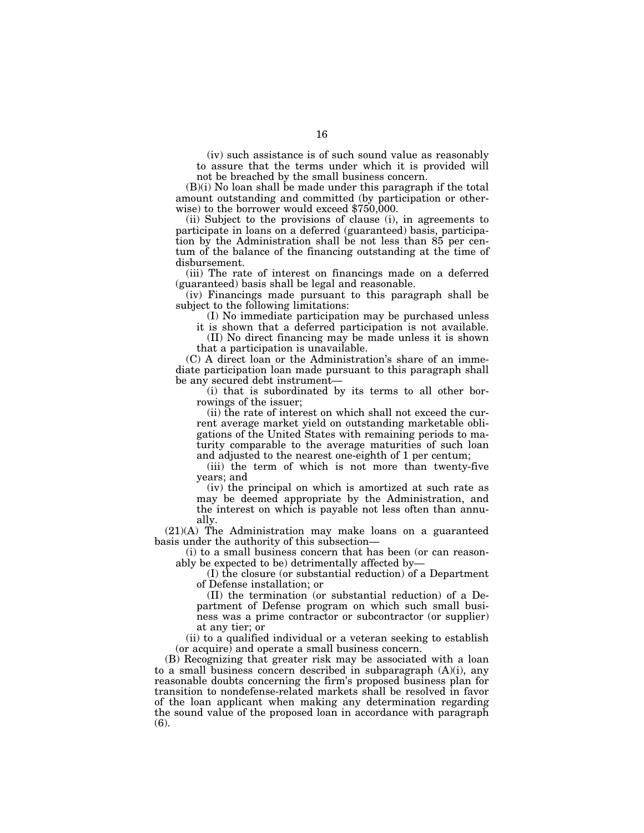(iv) such assistance is of such sound value as reasonably to assure that the terms under which it is provided will not be breached by the small business concern.

(B)(i) No loan shall be made under this paragraph if the total amount outstanding and committed (by participation or otherwise) to the borrower would exceed \$750,000.

(ii) Subject to the provisions of clause (i), in agreements to participate in loans on a deferred (guaranteed) basis, participation by the Administration shall be not less than 85 per centum of the balance of the financing outstanding at the time of disbursement.

(iii) The rate of interest on financings made on a deferred (guaranteed) basis shall be legal and reasonable.

(iv) Financings made pursuant to this paragraph shall be subject to the following limitations:

(I) No immediate participation may be purchased unless

it is shown that a deferred participation is not available. (II) No direct financing may be made unless it is shown

that a participation is unavailable.

(C) A direct loan or the Administration's share of an immediate participation loan made pursuant to this paragraph shall be any secured debt instrument—

(i) that is subordinated by its terms to all other borrowings of the issuer;

(ii) the rate of interest on which shall not exceed the current average market yield on outstanding marketable obligations of the United States with remaining periods to maturity comparable to the average maturities of such loan and adjusted to the nearest one-eighth of 1 per centum;

(iii) the term of which is not more than twenty-five years; and

(iv) the principal on which is amortized at such rate as may be deemed appropriate by the Administration, and the interest on which is payable not less often than annually.

(21)(A) The Administration may make loans on a guaranteed basis under the authority of this subsection—

(i) to a small business concern that has been (or can reasonably be expected to be) detrimentally affected by—

(I) the closure (or substantial reduction) of a Department of Defense installation; or

(II) the termination (or substantial reduction) of a Department of Defense program on which such small business was a prime contractor or subcontractor (or supplier) at any tier; or

(ii) to a qualified individual or a veteran seeking to establish (or acquire) and operate a small business concern.

(B) Recognizing that greater risk may be associated with a loan to a small business concern described in subparagraph (A)(i), any reasonable doubts concerning the firm's proposed business plan for transition to nondefense-related markets shall be resolved in favor of the loan applicant when making any determination regarding the sound value of the proposed loan in accordance with paragraph (6).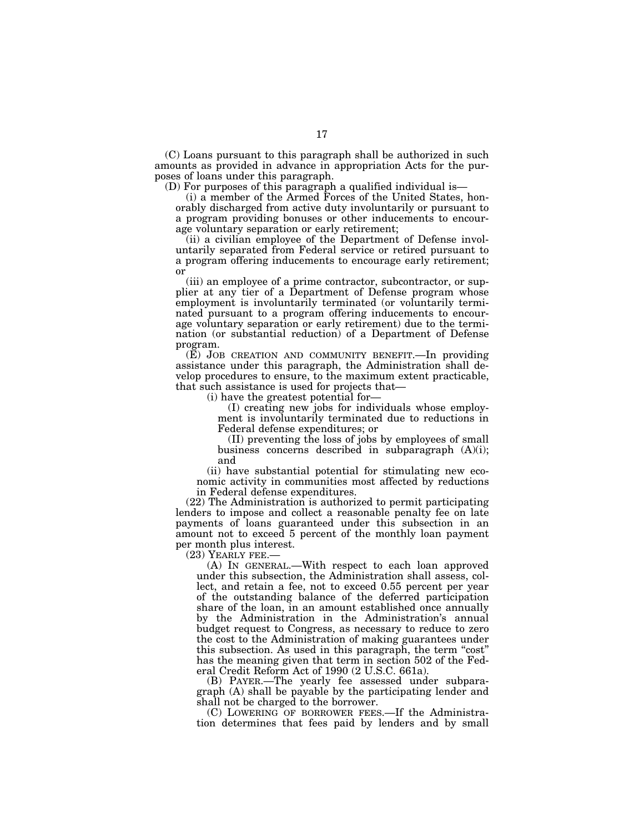(C) Loans pursuant to this paragraph shall be authorized in such amounts as provided in advance in appropriation Acts for the purposes of loans under this paragraph.

(D) For purposes of this paragraph a qualified individual is—

(i) a member of the Armed Forces of the United States, honorably discharged from active duty involuntarily or pursuant to a program providing bonuses or other inducements to encourage voluntary separation or early retirement;

(ii) a civilian employee of the Department of Defense involuntarily separated from Federal service or retired pursuant to a program offering inducements to encourage early retirement; or

(iii) an employee of a prime contractor, subcontractor, or supplier at any tier of a Department of Defense program whose employment is involuntarily terminated (or voluntarily terminated pursuant to a program offering inducements to encourage voluntary separation or early retirement) due to the termination (or substantial reduction) of a Department of Defense program.

(E) JOB CREATION AND COMMUNITY BENEFIT.—In providing assistance under this paragraph, the Administration shall develop procedures to ensure, to the maximum extent practicable, that such assistance is used for projects that—

(i) have the greatest potential for—

(I) creating new jobs for individuals whose employment is involuntarily terminated due to reductions in Federal defense expenditures; or

(II) preventing the loss of jobs by employees of small business concerns described in subparagraph (A)(i); and

(ii) have substantial potential for stimulating new economic activity in communities most affected by reductions in Federal defense expenditures.

(22) The Administration is authorized to permit participating lenders to impose and collect a reasonable penalty fee on late payments of loans guaranteed under this subsection in an amount not to exceed 5 percent of the monthly loan payment per month plus interest.<br>(23) YEARLY FEE.—

(A) IN GENERAL.—With respect to each loan approved under this subsection, the Administration shall assess, collect, and retain a fee, not to exceed 0.55 percent per year of the outstanding balance of the deferred participation share of the loan, in an amount established once annually by the Administration in the Administration's annual budget request to Congress, as necessary to reduce to zero the cost to the Administration of making guarantees under this subsection. As used in this paragraph, the term "cost" has the meaning given that term in section 502 of the Federal Credit Reform Act of 1990 (2 U.S.C. 661a).

(B) PAYER.—The yearly fee assessed under subparagraph (A) shall be payable by the participating lender and shall not be charged to the borrower.

(C) LOWERING OF BORROWER FEES.—If the Administration determines that fees paid by lenders and by small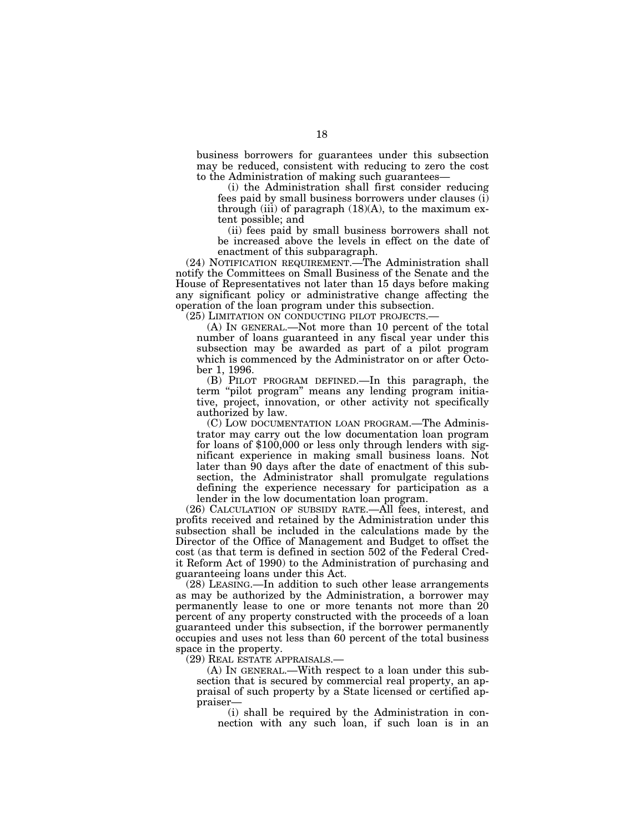business borrowers for guarantees under this subsection may be reduced, consistent with reducing to zero the cost to the Administration of making such guarantees—

(i) the Administration shall first consider reducing fees paid by small business borrowers under clauses (i) through (iii) of paragraph  $(18)(A)$ , to the maximum extent possible; and

(ii) fees paid by small business borrowers shall not be increased above the levels in effect on the date of enactment of this subparagraph.

(24) NOTIFICATION REQUIREMENT.—The Administration shall notify the Committees on Small Business of the Senate and the House of Representatives not later than 15 days before making any significant policy or administrative change affecting the operation of the loan program under this subsection.

(25) LIMITATION ON CONDUCTING PILOT PROJECTS.—

(A) IN GENERAL.—Not more than 10 percent of the total number of loans guaranteed in any fiscal year under this subsection may be awarded as part of a pilot program which is commenced by the Administrator on or after October 1, 1996.

(B) PILOT PROGRAM DEFINED.—In this paragraph, the term "pilot program" means any lending program initiative, project, innovation, or other activity not specifically authorized by law.

(C) LOW DOCUMENTATION LOAN PROGRAM.—The Administrator may carry out the low documentation loan program for loans of \$100,000 or less only through lenders with significant experience in making small business loans. Not later than 90 days after the date of enactment of this subsection, the Administrator shall promulgate regulations defining the experience necessary for participation as a lender in the low documentation loan program.

(26) CALCULATION OF SUBSIDY RATE.—All fees, interest, and profits received and retained by the Administration under this subsection shall be included in the calculations made by the Director of the Office of Management and Budget to offset the cost (as that term is defined in section 502 of the Federal Credit Reform Act of 1990) to the Administration of purchasing and guaranteeing loans under this Act.

(28) LEASING.—In addition to such other lease arrangements as may be authorized by the Administration, a borrower may permanently lease to one or more tenants not more than 20 percent of any property constructed with the proceeds of a loan guaranteed under this subsection, if the borrower permanently occupies and uses not less than 60 percent of the total business space in the property.

(29) REAL ESTATE APPRAISALS.—

(A) IN GENERAL.—With respect to a loan under this subsection that is secured by commercial real property, an appraisal of such property by a State licensed or certified appraiser—

(i) shall be required by the Administration in connection with any such loan, if such loan is in an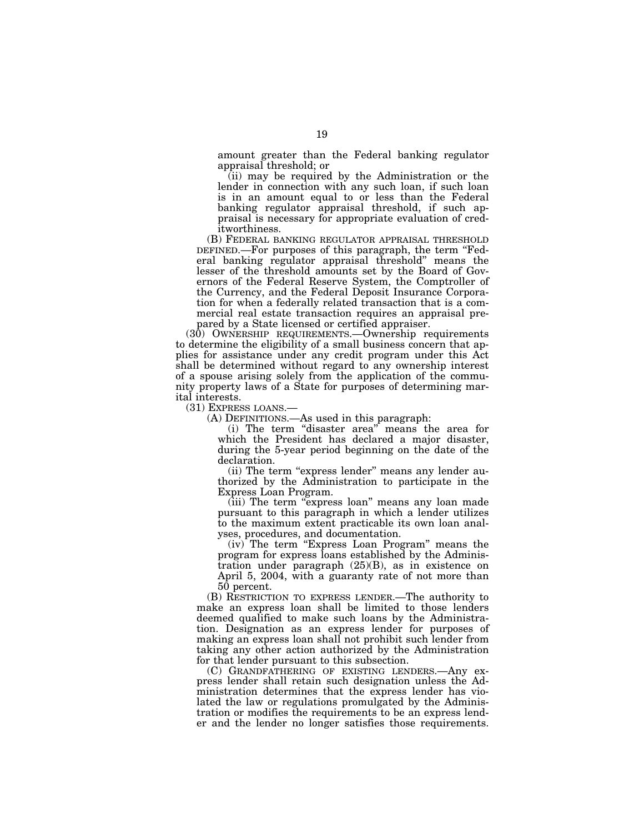amount greater than the Federal banking regulator appraisal threshold; or

(ii) may be required by the Administration or the lender in connection with any such loan, if such loan is in an amount equal to or less than the Federal banking regulator appraisal threshold, if such appraisal is necessary for appropriate evaluation of creditworthiness.

(B) FEDERAL BANKING REGULATOR APPRAISAL THRESHOLD DEFINED.—For purposes of this paragraph, the term "Federal banking regulator appraisal threshold'' means the lesser of the threshold amounts set by the Board of Governors of the Federal Reserve System, the Comptroller of the Currency, and the Federal Deposit Insurance Corporation for when a federally related transaction that is a commercial real estate transaction requires an appraisal prepared by a State licensed or certified appraiser.

(30) OWNERSHIP REQUIREMENTS.—Ownership requirements to determine the eligibility of a small business concern that applies for assistance under any credit program under this Act shall be determined without regard to any ownership interest of a spouse arising solely from the application of the community property laws of a State for purposes of determining marital interests.

(31) EXPRESS LOANS.— (A) DEFINITIONS.—As used in this paragraph:

(i) The term "disaster area" means the area for which the President has declared a major disaster, during the 5-year period beginning on the date of the declaration.

(ii) The term "express lender" means any lender authorized by the Administration to participate in the Express Loan Program.

(iii) The term "express loan" means any loan made pursuant to this paragraph in which a lender utilizes to the maximum extent practicable its own loan analyses, procedures, and documentation.

(iv) The term ''Express Loan Program'' means the program for express loans established by the Administration under paragraph (25)(B), as in existence on April 5, 2004, with a guaranty rate of not more than 50 percent.

(B) RESTRICTION TO EXPRESS LENDER.—The authority to make an express loan shall be limited to those lenders deemed qualified to make such loans by the Administration. Designation as an express lender for purposes of making an express loan shall not prohibit such lender from taking any other action authorized by the Administration for that lender pursuant to this subsection.

(C) GRANDFATHERING OF EXISTING LENDERS.—Any express lender shall retain such designation unless the Administration determines that the express lender has violated the law or regulations promulgated by the Administration or modifies the requirements to be an express lender and the lender no longer satisfies those requirements.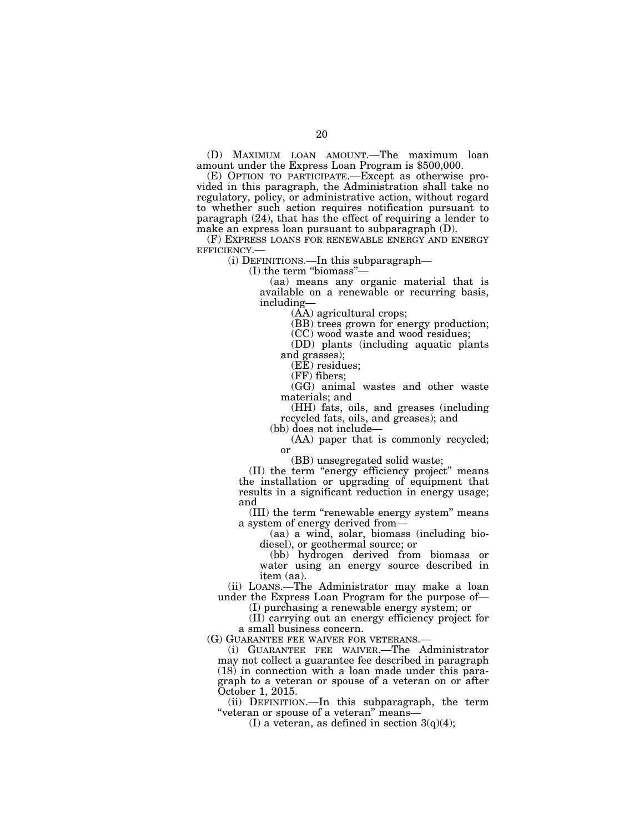(D) MAXIMUM LOAN AMOUNT.—The maximum loan amount under the Express Loan Program is \$500,000.

(E) OPTION TO PARTICIPATE.—Except as otherwise provided in this paragraph, the Administration shall take no regulatory, policy, or administrative action, without regard to whether such action requires notification pursuant to paragraph (24), that has the effect of requiring a lender to make an express loan pursuant to subparagraph (D).

(F) EXPRESS LOANS FOR RENEWABLE ENERGY AND ENERGY EFFICIENCY.— (i) DEFINITIONS.—In this subparagraph—

(I) the term ''biomass''—

(aa) means any organic material that is available on a renewable or recurring basis, including—

(AA) agricultural crops;

(BB) trees grown for energy production;

(CC) wood waste and wood residues;

(DD) plants (including aquatic plants and grasses);

(EE) residues;

(FF) fibers;

(GG) animal wastes and other waste materials; and

(HH) fats, oils, and greases (including recycled fats, oils, and greases); and

(bb) does not include—

(AA) paper that is commonly recycled; or

(BB) unsegregated solid waste;

(II) the term ''energy efficiency project'' means the installation or upgrading of equipment that results in a significant reduction in energy usage; and

(III) the term ''renewable energy system'' means a system of energy derived from—

(aa) a wind, solar, biomass (including biodiesel), or geothermal source; or

(bb) hydrogen derived from biomass or water using an energy source described in item (aa).

(ii) LOANS.—The Administrator may make a loan under the Express Loan Program for the purpose of—

(I) purchasing a renewable energy system; or

(II) carrying out an energy efficiency project for a small business concern.

(G) GUARANTEE FEE WAIVER FOR VETERANS.—

(i) GUARANTEE FEE WAIVER.—The Administrator may not collect a guarantee fee described in paragraph (18) in connection with a loan made under this paragraph to a veteran or spouse of a veteran on or after October 1, 2015.

(ii) DEFINITION.—In this subparagraph, the term ''veteran or spouse of a veteran'' means—

(I) a veteran, as defined in section  $3(q)(4)$ ;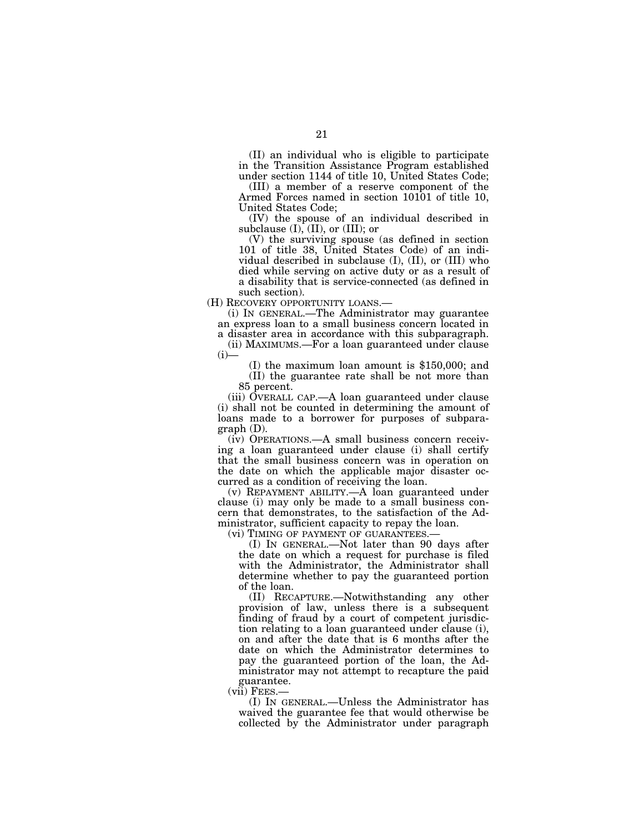(II) an individual who is eligible to participate in the Transition Assistance Program established under section 1144 of title 10, United States Code;

(III) a member of a reserve component of the Armed Forces named in section 10101 of title 10, United States Code;

(IV) the spouse of an individual described in subclause  $(I)$ ,  $(II)$ , or  $(III)$ ; or

(V) the surviving spouse (as defined in section 101 of title 38, United States Code) of an individual described in subclause (I), (II), or (III) who died while serving on active duty or as a result of a disability that is service-connected (as defined in such section).

(H) RECOVERY OPPORTUNITY LOANS.—

(i) IN GENERAL.—The Administrator may guarantee an express loan to a small business concern located in

a disaster area in accordance with this subparagraph. (ii) MAXIMUMS.—For a loan guaranteed under clause  $(i)$ —

(I) the maximum loan amount is \$150,000; and (II) the guarantee rate shall be not more than 85 percent.

(iii) OVERALL CAP.—A loan guaranteed under clause (i) shall not be counted in determining the amount of loans made to a borrower for purposes of subparagraph (D).

(iv) OPERATIONS.—A small business concern receiving a loan guaranteed under clause (i) shall certify that the small business concern was in operation on the date on which the applicable major disaster occurred as a condition of receiving the loan.

(v) REPAYMENT ABILITY.—A loan guaranteed under clause (i) may only be made to a small business concern that demonstrates, to the satisfaction of the Administrator, sufficient capacity to repay the loan.<br>(vi) TIMING OF PAYMENT OF GUARANTEES.—

(I) IN GENERAL.—Not later than 90 days after the date on which a request for purchase is filed with the Administrator, the Administrator shall determine whether to pay the guaranteed portion of the loan.

(II) RECAPTURE.—Notwithstanding any other provision of law, unless there is a subsequent finding of fraud by a court of competent jurisdiction relating to a loan guaranteed under clause (i), on and after the date that is 6 months after the date on which the Administrator determines to pay the guaranteed portion of the loan, the Administrator may not attempt to recapture the paid guarantee.<br>
(vii) FEES.

 $\overline{v}$  IN GENERAL.—Unless the Administrator has waived the guarantee fee that would otherwise be collected by the Administrator under paragraph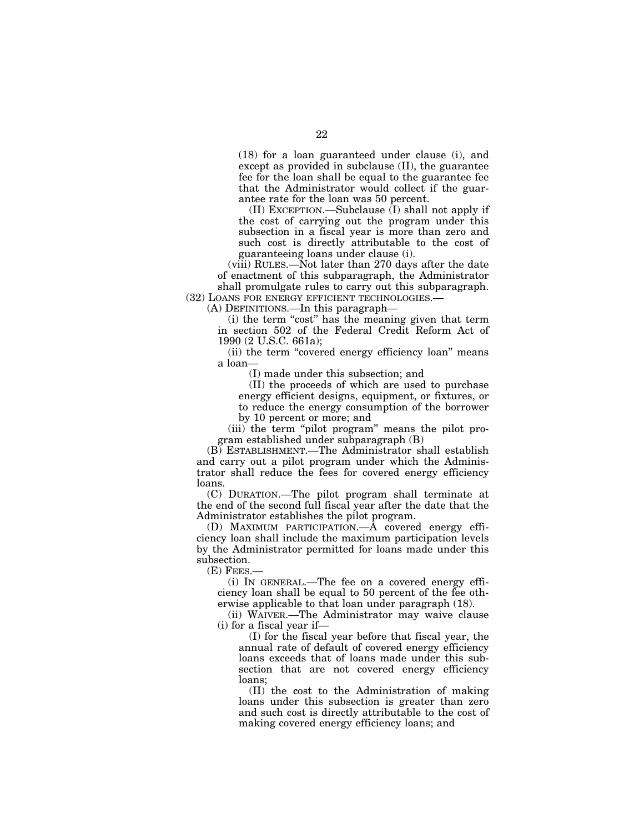(18) for a loan guaranteed under clause (i), and except as provided in subclause (II), the guarantee fee for the loan shall be equal to the guarantee fee that the Administrator would collect if the guarantee rate for the loan was 50 percent.

(II) EXCEPTION.—Subclause (I) shall not apply if the cost of carrying out the program under this subsection in a fiscal year is more than zero and such cost is directly attributable to the cost of guaranteeing loans under clause (i).

(viii) RULES.—Not later than 270 days after the date of enactment of this subparagraph, the Administrator shall promulgate rules to carry out this subparagraph. (32) LOANS FOR ENERGY EFFICIENT TECHNOLOGIES.—

(A) DEFINITIONS.—In this paragraph—

(i) the term ''cost'' has the meaning given that term in section 502 of the Federal Credit Reform Act of 1990 (2 U.S.C. 661a);

(ii) the term "covered energy efficiency loan" means a loan—

(I) made under this subsection; and

(II) the proceeds of which are used to purchase energy efficient designs, equipment, or fixtures, or to reduce the energy consumption of the borrower by 10 percent or more; and

(iii) the term "pilot program" means the pilot program established under subparagraph (B)

(B) ESTABLISHMENT.—The Administrator shall establish and carry out a pilot program under which the Administrator shall reduce the fees for covered energy efficiency loans.

(C) DURATION.—The pilot program shall terminate at the end of the second full fiscal year after the date that the Administrator establishes the pilot program.

(D) MAXIMUM PARTICIPATION.—A covered energy efficiency loan shall include the maximum participation levels by the Administrator permitted for loans made under this subsection.

(E) FEES.—

(i) IN GENERAL.—The fee on a covered energy efficiency loan shall be equal to 50 percent of the fee otherwise applicable to that loan under paragraph (18).

(ii) WAIVER.—The Administrator may waive clause (i) for a fiscal year if—

(I) for the fiscal year before that fiscal year, the annual rate of default of covered energy efficiency loans exceeds that of loans made under this subsection that are not covered energy efficiency loans;

(II) the cost to the Administration of making loans under this subsection is greater than zero and such cost is directly attributable to the cost of making covered energy efficiency loans; and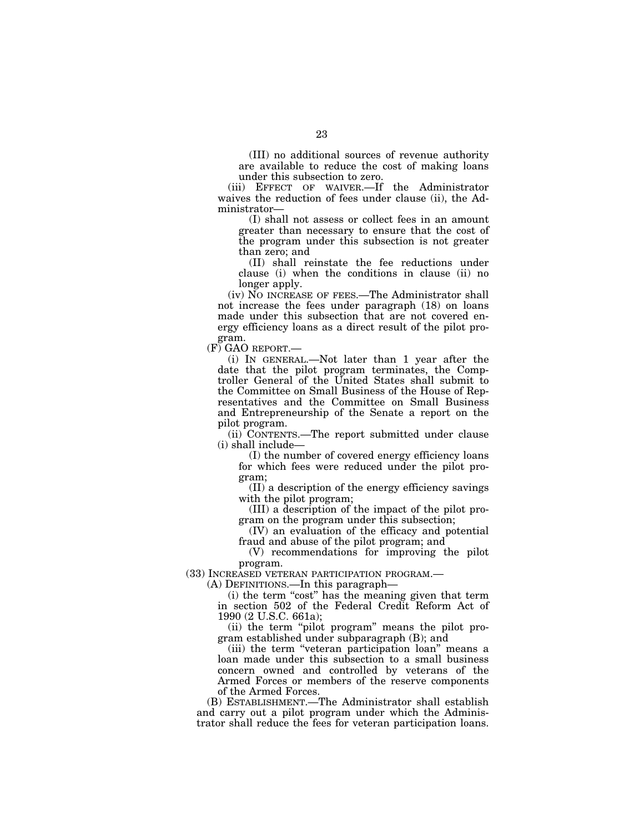(III) no additional sources of revenue authority are available to reduce the cost of making loans under this subsection to zero.

(iii) EFFECT OF WAIVER.—If the Administrator waives the reduction of fees under clause (ii), the Administrator—

(I) shall not assess or collect fees in an amount greater than necessary to ensure that the cost of the program under this subsection is not greater than zero; and

(II) shall reinstate the fee reductions under clause (i) when the conditions in clause (ii) no longer apply.

(iv) NO INCREASE OF FEES.—The Administrator shall not increase the fees under paragraph (18) on loans made under this subsection that are not covered energy efficiency loans as a direct result of the pilot program.

(F) GAO REPORT.—

(i) IN GENERAL.—Not later than 1 year after the date that the pilot program terminates, the Comptroller General of the United States shall submit to the Committee on Small Business of the House of Representatives and the Committee on Small Business and Entrepreneurship of the Senate a report on the pilot program.

(ii) CONTENTS.—The report submitted under clause (i) shall include—

(I) the number of covered energy efficiency loans for which fees were reduced under the pilot program;

(II) a description of the energy efficiency savings with the pilot program;

(III) a description of the impact of the pilot program on the program under this subsection;

(IV) an evaluation of the efficacy and potential fraud and abuse of the pilot program; and

(V) recommendations for improving the pilot program.

(33) INCREASED VETERAN PARTICIPATION PROGRAM.—

(A) DEFINITIONS.—In this paragraph—

(i) the term "cost" has the meaning given that term in section 502 of the Federal Credit Reform Act of 1990 (2 U.S.C. 661a);

(ii) the term "pilot program" means the pilot program established under subparagraph (B); and

(iii) the term "veteran participation loan" means a loan made under this subsection to a small business concern owned and controlled by veterans of the Armed Forces or members of the reserve components of the Armed Forces.

(B) ESTABLISHMENT.—The Administrator shall establish and carry out a pilot program under which the Administrator shall reduce the fees for veteran participation loans.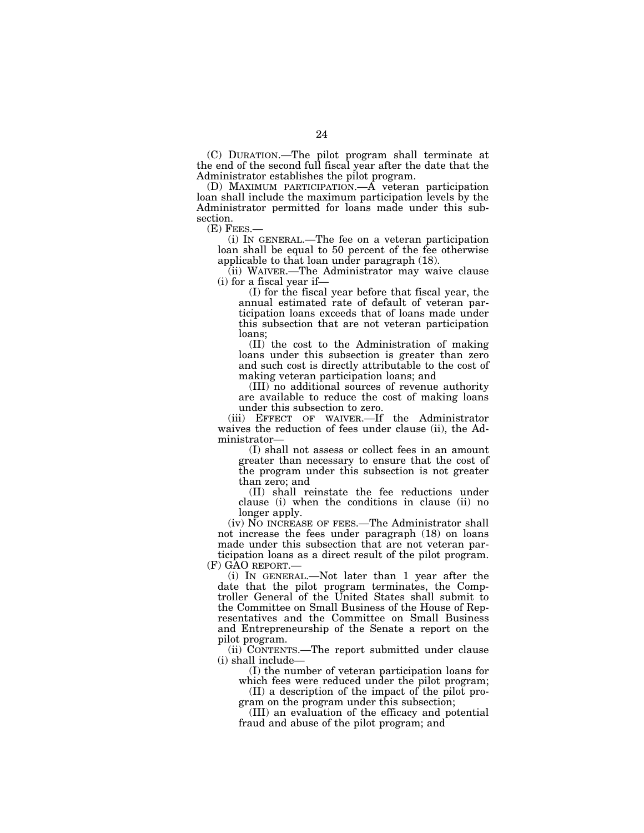(C) DURATION.—The pilot program shall terminate at the end of the second full fiscal year after the date that the Administrator establishes the pilot program.

(D) MAXIMUM PARTICIPATION.—A veteran participation loan shall include the maximum participation levels by the Administrator permitted for loans made under this subsection.<br>(E) FEES.—

(i) IN GENERAL.—The fee on a veteran participation loan shall be equal to 50 percent of the fee otherwise applicable to that loan under paragraph (18).

(ii) WAIVER.—The Administrator may waive clause (i) for a fiscal year if—

(I) for the fiscal year before that fiscal year, the annual estimated rate of default of veteran participation loans exceeds that of loans made under this subsection that are not veteran participation loans;

(II) the cost to the Administration of making loans under this subsection is greater than zero and such cost is directly attributable to the cost of making veteran participation loans; and

(III) no additional sources of revenue authority are available to reduce the cost of making loans under this subsection to zero.

(iii) EFFECT OF WAIVER.—If the Administrator waives the reduction of fees under clause (ii), the Administrator—

(I) shall not assess or collect fees in an amount greater than necessary to ensure that the cost of the program under this subsection is not greater than zero; and

(II) shall reinstate the fee reductions under clause (i) when the conditions in clause (ii) no longer apply.

(iv) NO INCREASE OF FEES.—The Administrator shall not increase the fees under paragraph (18) on loans made under this subsection that are not veteran participation loans as a direct result of the pilot program. (F) GAO REPORT.—

(i) IN GENERAL.—Not later than 1 year after the date that the pilot program terminates, the Comptroller General of the United States shall submit to the Committee on Small Business of the House of Representatives and the Committee on Small Business and Entrepreneurship of the Senate a report on the pilot program.

(ii) CONTENTS.—The report submitted under clause (i) shall include—

(I) the number of veteran participation loans for which fees were reduced under the pilot program;

(II) a description of the impact of the pilot program on the program under this subsection;

(III) an evaluation of the efficacy and potential fraud and abuse of the pilot program; and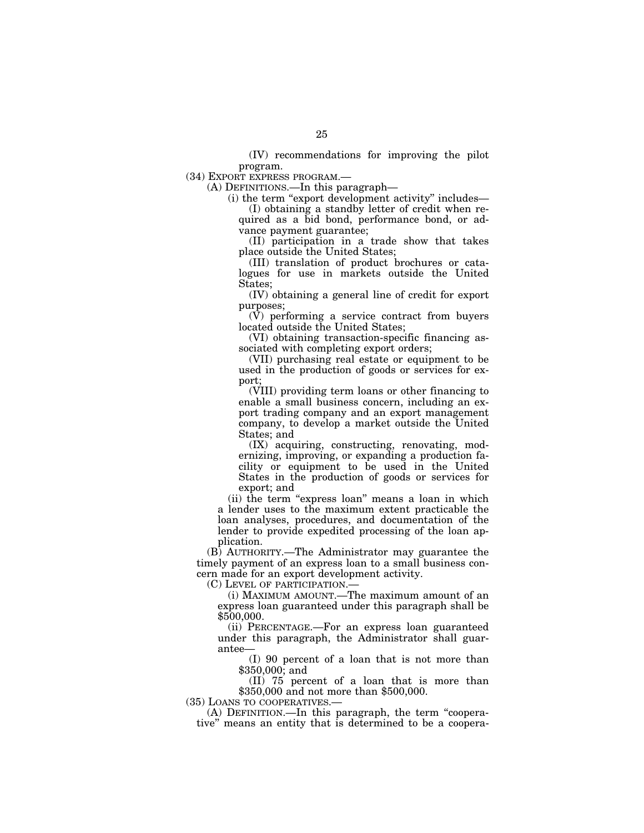(IV) recommendations for improving the pilot program.

(34) EXPORT EXPRESS PROGRAM.—

(A) DEFINITIONS.—In this paragraph—

(i) the term ''export development activity'' includes— (I) obtaining a standby letter of credit when re-

quired as a bid bond, performance bond, or advance payment guarantee;

(II) participation in a trade show that takes place outside the United States;

(III) translation of product brochures or catalogues for use in markets outside the United States;

(IV) obtaining a general line of credit for export purposes;

(V) performing a service contract from buyers located outside the United States;

(VI) obtaining transaction-specific financing associated with completing export orders;

(VII) purchasing real estate or equipment to be used in the production of goods or services for export;

(VIII) providing term loans or other financing to enable a small business concern, including an export trading company and an export management company, to develop a market outside the United States; and

(IX) acquiring, constructing, renovating, modernizing, improving, or expanding a production facility or equipment to be used in the United States in the production of goods or services for export; and

(ii) the term "express loan" means a loan in which a lender uses to the maximum extent practicable the loan analyses, procedures, and documentation of the lender to provide expedited processing of the loan application.

(B) AUTHORITY.—The Administrator may guarantee the timely payment of an express loan to a small business concern made for an export development activity.

(C) LEVEL OF PARTICIPATION.—

(i) MAXIMUM AMOUNT.—The maximum amount of an express loan guaranteed under this paragraph shall be \$500,000.

(ii) PERCENTAGE.—For an express loan guaranteed under this paragraph, the Administrator shall guarantee—

(I) 90 percent of a loan that is not more than \$350,000; and

(II) 75 percent of a loan that is more than \$350,000 and not more than \$500,000.

(35) LOANS TO COOPERATIVES.—

(A) DEFINITION.—In this paragraph, the term ''cooperative'' means an entity that is determined to be a coopera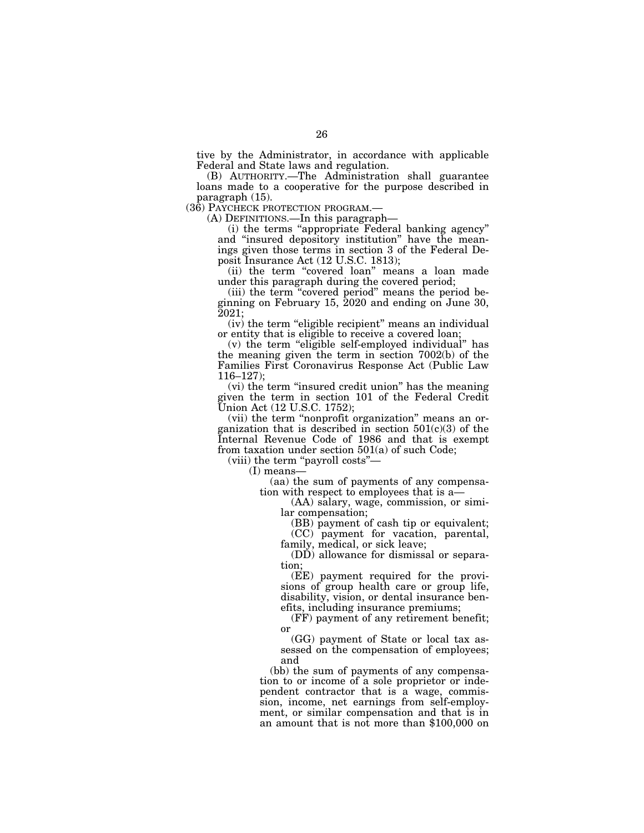tive by the Administrator, in accordance with applicable Federal and State laws and regulation.

(B) AUTHORITY.—The Administration shall guarantee loans made to a cooperative for the purpose described in paragraph (15).<br>(36) PAYCHECK PROTECTION PROGRAM.—

 $(A)$  DEFINITIONS.—In this paragraph—

(i) the terms ''appropriate Federal banking agency'' and ''insured depository institution'' have the meanings given those terms in section 3 of the Federal Deposit Insurance Act (12 U.S.C. 1813);

(ii) the term "covered loan" means a loan made under this paragraph during the covered period;

(iii) the term ''covered period'' means the period beginning on February 15, 2020 and ending on June 30, 2021;

(iv) the term "eligible recipient" means an individual or entity that is eligible to receive a covered loan;

(v) the term ''eligible self-employed individual'' has the meaning given the term in section 7002(b) of the Families First Coronavirus Response Act (Public Law 116–127);

(vi) the term ''insured credit union'' has the meaning given the term in section 101 of the Federal Credit Union Act (12 U.S.C. 1752);

(vii) the term ''nonprofit organization'' means an organization that is described in section  $501(c)(3)$  of the Internal Revenue Code of 1986 and that is exempt from taxation under section 501(a) of such Code;

(viii) the term ''payroll costs''—

(I) means—

(aa) the sum of payments of any compensation with respect to employees that is a—

(AA) salary, wage, commission, or similar compensation;

(BB) payment of cash tip or equivalent;

(CC) payment for vacation, parental, family, medical, or sick leave;

(DD) allowance for dismissal or separation;

(EE) payment required for the provisions of group health care or group life, disability, vision, or dental insurance benefits, including insurance premiums;

(FF) payment of any retirement benefit; or

(GG) payment of State or local tax assessed on the compensation of employees; and

(bb) the sum of payments of any compensation to or income of a sole proprietor or independent contractor that is a wage, commission, income, net earnings from self-employment, or similar compensation and that is in an amount that is not more than \$100,000 on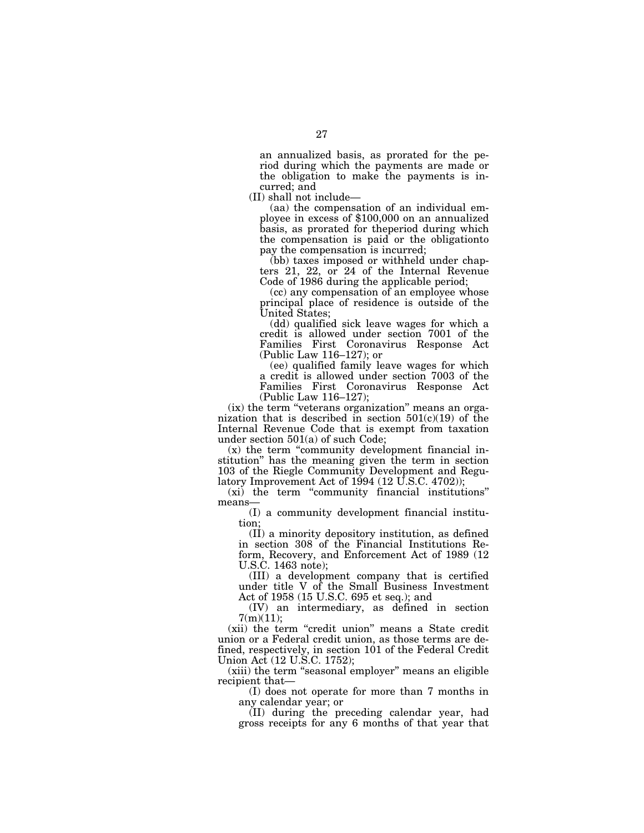an annualized basis, as prorated for the period during which the payments are made or the obligation to make the payments is incurred; and

(II) shall not include ployee in excess of \$100,000 on an annualized basis, as prorated for theperiod during which the compensation is paid or the obligationto pay the compensation is incurred;

(bb) taxes imposed or withheld under chapters 21, 22, or 24 of the Internal Revenue Code of 1986 during the applicable period;

(cc) any compensation of an employee whose principal place of residence is outside of the United States;

(dd) qualified sick leave wages for which a credit is allowed under section 7001 of the Families First Coronavirus Response Act (Public Law 116–127); or

(ee) qualified family leave wages for which a credit is allowed under section 7003 of the Families First Coronavirus Response Act (Public Law 116–127);

(ix) the term ''veterans organization'' means an organization that is described in section  $501(c)(19)$  of the Internal Revenue Code that is exempt from taxation under section 501(a) of such Code;

(x) the term ''community development financial institution'' has the meaning given the term in section 103 of the Riegle Community Development and Regulatory Improvement Act of  $1994$  (12 U.S.C. 4702));

(xi) the term ''community financial institutions'' means—

(I) a community development financial institution;

(II) a minority depository institution, as defined in section 308 of the Financial Institutions Reform, Recovery, and Enforcement Act of 1989 (12 U.S.C. 1463 note);

(III) a development company that is certified under title V of the Small Business Investment Act of 1958 (15 U.S.C. 695 et seq.); and

(IV) an intermediary, as defined in section 7(m)(11);

(xii) the term "credit union" means a State credit union or a Federal credit union, as those terms are defined, respectively, in section 101 of the Federal Credit Union Act (12 U.S.C. 1752);

(xiii) the term ''seasonal employer'' means an eligible recipient that—

(I) does not operate for more than 7 months in any calendar year; or

(II) during the preceding calendar year, had gross receipts for any 6 months of that year that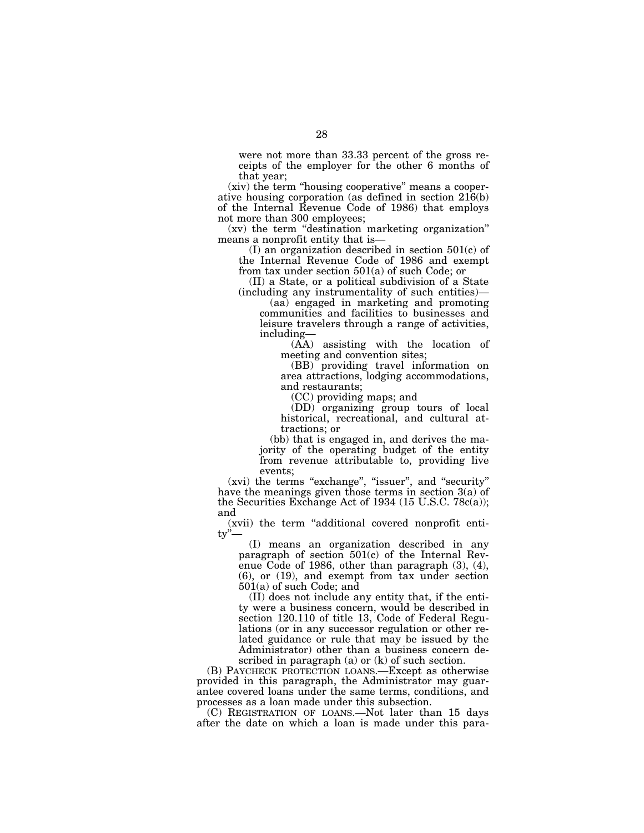were not more than 33.33 percent of the gross receipts of the employer for the other 6 months of that year;

(xiv) the term ''housing cooperative'' means a cooperative housing corporation (as defined in section 216(b) of the Internal Revenue Code of 1986) that employs not more than 300 employees;

(xv) the term ''destination marketing organization'' means a nonprofit entity that is—

(I) an organization described in section 501(c) of the Internal Revenue Code of 1986 and exempt from tax under section 501(a) of such Code; or

(II) a State, or a political subdivision of a State (including any instrumentality of such entities)—

(aa) engaged in marketing and promoting communities and facilities to businesses and leisure travelers through a range of activities, including—

(AA) assisting with the location of meeting and convention sites;

(BB) providing travel information on area attractions, lodging accommodations, and restaurants;

(CC) providing maps; and

(DD) organizing group tours of local historical, recreational, and cultural attractions; or

(bb) that is engaged in, and derives the majority of the operating budget of the entity from revenue attributable to, providing live events;

(xvi) the terms "exchange", "issuer", and "security" have the meanings given those terms in section 3(a) of the Securities Exchange Act of 1934 (15 U.S.C. 78 $c(a)$ ); and

(xvii) the term ''additional covered nonprofit enti $tv^{\prime\prime}$ 

(I) means an organization described in any paragraph of section 501(c) of the Internal Revenue Code of 1986, other than paragraph (3), (4), (6), or (19), and exempt from tax under section 501(a) of such Code; and

(II) does not include any entity that, if the entity were a business concern, would be described in section 120.110 of title 13, Code of Federal Regulations (or in any successor regulation or other related guidance or rule that may be issued by the Administrator) other than a business concern described in paragraph (a) or (k) of such section.

(B) PAYCHECK PROTECTION LOANS.—Except as otherwise provided in this paragraph, the Administrator may guarantee covered loans under the same terms, conditions, and processes as a loan made under this subsection.

(C) REGISTRATION OF LOANS.—Not later than 15 days after the date on which a loan is made under this para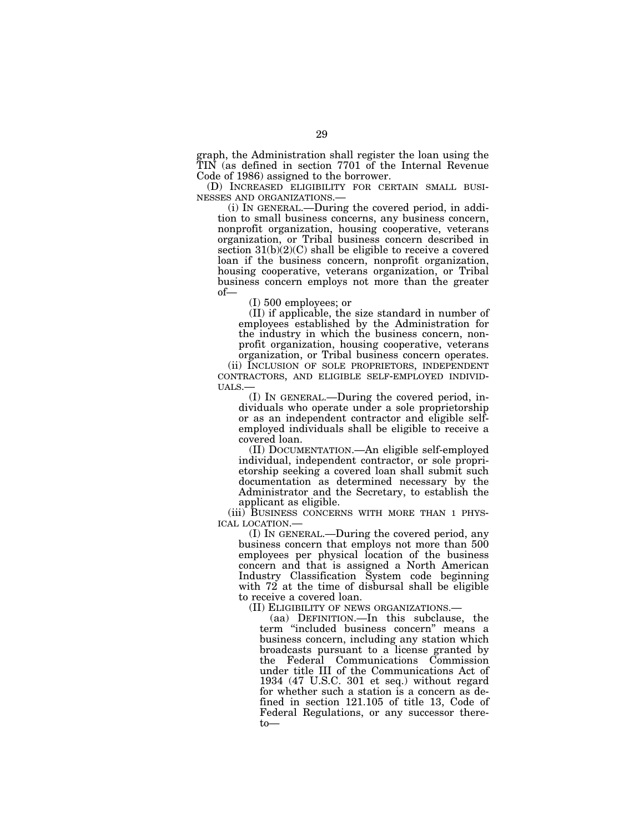graph, the Administration shall register the loan using the TIN (as defined in section 7701 of the Internal Revenue Code of 1986) assigned to the borrower.<br>
(D) INCREASED ELIGIBILITY FOR CERTAIN SMALL BUSI-

NESSES AND ORGANIZATIONS.—<br>(i) IN GENERAL.—During the covered period, in addi-

tion to small business concerns, any business concern, nonprofit organization, housing cooperative, veterans organization, or Tribal business concern described in section  $31(b)(2)(C)$  shall be eligible to receive a covered loan if the business concern, nonprofit organization, housing cooperative, veterans organization, or Tribal business concern employs not more than the greater of—

(I) 500 employees; or

(II) if applicable, the size standard in number of employees established by the Administration for the industry in which the business concern, nonprofit organization, housing cooperative, veterans organization, or Tribal business concern operates.

(ii) INCLUSION OF SOLE PROPRIETORS, INDEPENDENT CONTRACTORS, AND ELIGIBLE SELF-EMPLOYED INDIVID- UALS.—

(I) IN GENERAL.—During the covered period, individuals who operate under a sole proprietorship or as an independent contractor and eligible selfemployed individuals shall be eligible to receive a covered loan.

(II) DOCUMENTATION.—An eligible self-employed individual, independent contractor, or sole proprietorship seeking a covered loan shall submit such documentation as determined necessary by the Administrator and the Secretary, to establish the applicant as eligible.<br>(iii) BUSINESS CONCERNS WITH MORE THAN 1 PHYS-

ICAL LOCATION.—<br>(I) IN GENERAL.—During the covered period, any

business concern that employs not more than 500 employees per physical location of the business concern and that is assigned a North American Industry Classification System code beginning with 72 at the time of disbursal shall be eligible to receive a covered loan.

(II) ELIGIBILITY OF NEWS ORGANIZATIONS.—

(aa) DEFINITION.—In this subclause, the term ''included business concern'' means a business concern, including any station which broadcasts pursuant to a license granted by the Federal Communications Commission under title III of the Communications Act of 1934 (47 U.S.C. 301 et seq.) without regard for whether such a station is a concern as defined in section 121.105 of title 13, Code of Federal Regulations, or any successor thereto—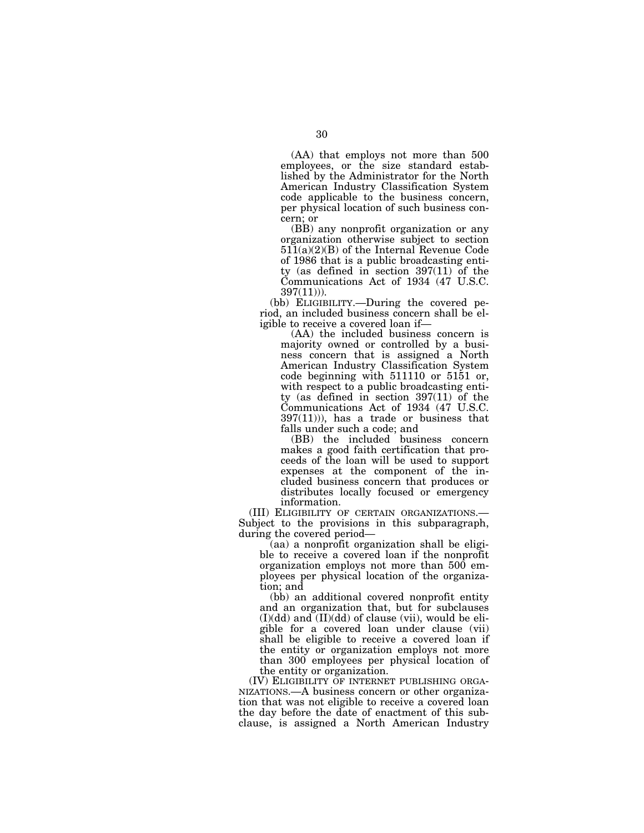(AA) that employs not more than 500 employees, or the size standard established by the Administrator for the North American Industry Classification System code applicable to the business concern, per physical location of such business concern; or

(BB) any nonprofit organization or any organization otherwise subject to section  $511(a)(2)(B)$  of the Internal Revenue Code of 1986 that is a public broadcasting entity (as defined in section 397(11) of the Communications Act of 1934 (47 U.S.C. 397(11))).

(bb) ELIGIBILITY.—During the covered period, an included business concern shall be eligible to receive a covered loan if—

(AA) the included business concern is majority owned or controlled by a business concern that is assigned a North American Industry Classification System code beginning with 511110 or 5151 or, with respect to a public broadcasting entity (as defined in section 397(11) of the Communications Act of 1934 (47 U.S.C. 397(11))), has a trade or business that falls under such a code; and

(BB) the included business concern makes a good faith certification that proceeds of the loan will be used to support expenses at the component of the included business concern that produces or distributes locally focused or emergency

information.<br>(III) ELIGIBILITY OF CERTAIN ORGANIZATIONS.— Subject to the provisions in this subparagraph, during the covered period—

(aa) a nonprofit organization shall be eligible to receive a covered loan if the nonprofit organization employs not more than 500 employees per physical location of the organization; and

(bb) an additional covered nonprofit entity and an organization that, but for subclauses  $(I)(dd)$  and  $(II)(dd)$  of clause (vii), would be eligible for a covered loan under clause (vii) shall be eligible to receive a covered loan if the entity or organization employs not more than 300 employees per physical location of the entity or organization.

(IV) ELIGIBILITY OF INTERNET PUBLISHING ORGA- NIZATIONS.—A business concern or other organization that was not eligible to receive a covered loan the day before the date of enactment of this subclause, is assigned a North American Industry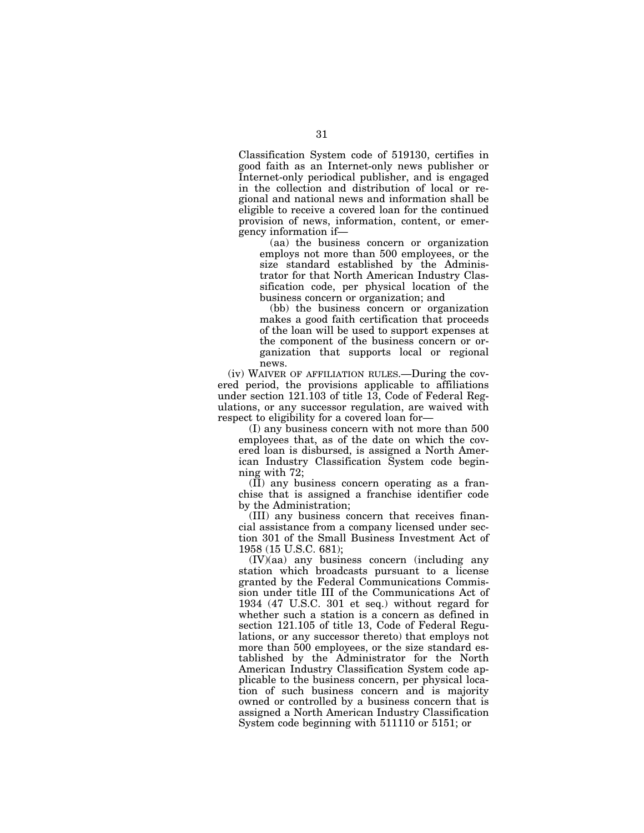Classification System code of 519130, certifies in good faith as an Internet-only news publisher or Internet-only periodical publisher, and is engaged in the collection and distribution of local or regional and national news and information shall be eligible to receive a covered loan for the continued provision of news, information, content, or emergency information if—

(aa) the business concern or organization employs not more than 500 employees, or the size standard established by the Administrator for that North American Industry Classification code, per physical location of the business concern or organization; and

(bb) the business concern or organization makes a good faith certification that proceeds of the loan will be used to support expenses at the component of the business concern or organization that supports local or regional news.

(iv) WAIVER OF AFFILIATION RULES.—During the covered period, the provisions applicable to affiliations under section 121.103 of title 13, Code of Federal Regulations, or any successor regulation, are waived with respect to eligibility for a covered loan for—

(I) any business concern with not more than 500 employees that, as of the date on which the covered loan is disbursed, is assigned a North American Industry Classification System code beginning with 72;

(II) any business concern operating as a franchise that is assigned a franchise identifier code by the Administration;

(III) any business concern that receives financial assistance from a company licensed under section 301 of the Small Business Investment Act of 1958 (15 U.S.C. 681);

(IV)(aa) any business concern (including any station which broadcasts pursuant to a license granted by the Federal Communications Commission under title III of the Communications Act of 1934 (47 U.S.C. 301 et seq.) without regard for whether such a station is a concern as defined in section 121.105 of title 13, Code of Federal Regulations, or any successor thereto) that employs not more than 500 employees, or the size standard established by the Administrator for the North American Industry Classification System code applicable to the business concern, per physical location of such business concern and is majority owned or controlled by a business concern that is assigned a North American Industry Classification System code beginning with 511110 or 5151; or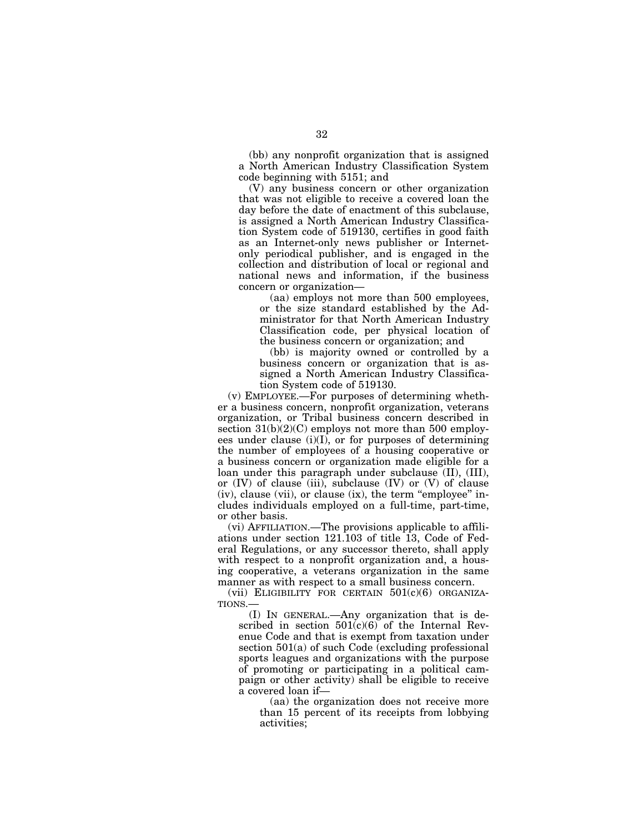(bb) any nonprofit organization that is assigned a North American Industry Classification System code beginning with 5151; and

(V) any business concern or other organization that was not eligible to receive a covered loan the day before the date of enactment of this subclause, is assigned a North American Industry Classification System code of 519130, certifies in good faith as an Internet-only news publisher or Internetonly periodical publisher, and is engaged in the collection and distribution of local or regional and national news and information, if the business concern or organization—

(aa) employs not more than 500 employees, or the size standard established by the Administrator for that North American Industry Classification code, per physical location of the business concern or organization; and

(bb) is majority owned or controlled by a business concern or organization that is assigned a North American Industry Classification System code of 519130.

(v) EMPLOYEE.—For purposes of determining whether a business concern, nonprofit organization, veterans organization, or Tribal business concern described in section  $31(b)(2)(C)$  employs not more than 500 employees under clause  $(i)(I)$ , or for purposes of determining the number of employees of a housing cooperative or a business concern or organization made eligible for a loan under this paragraph under subclause (II), (III), or  $(IV)$  of clause  $(iii)$ , subclause  $(IV)$  or  $(V)$  of clause (iv), clause (vii), or clause (ix), the term ''employee'' includes individuals employed on a full-time, part-time, or other basis.

(vi) AFFILIATION.—The provisions applicable to affiliations under section 121.103 of title 13, Code of Federal Regulations, or any successor thereto, shall apply with respect to a nonprofit organization and, a housing cooperative, a veterans organization in the same manner as with respect to a small business concern.

(vii) ELIGIBILITY FOR CERTAIN  $501(c)(6)$  ORGANIZA-TIONS.—

(I) IN GENERAL.—Any organization that is described in section  $501(c)(6)$  of the Internal Revenue Code and that is exempt from taxation under section  $501(a)$  of such Code (excluding professional sports leagues and organizations with the purpose of promoting or participating in a political campaign or other activity) shall be eligible to receive a covered loan if—

(aa) the organization does not receive more than 15 percent of its receipts from lobbying activities;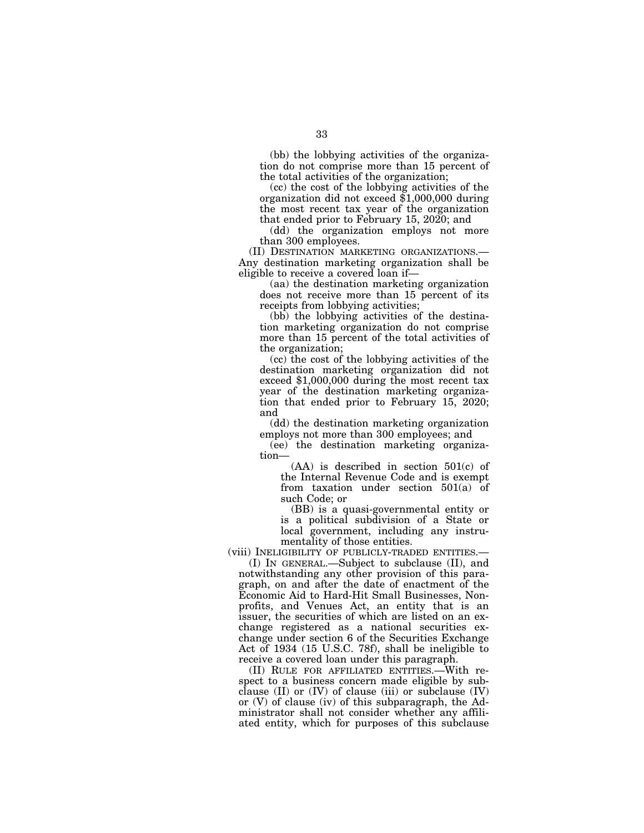(bb) the lobbying activities of the organization do not comprise more than 15 percent of the total activities of the organization;

(cc) the cost of the lobbying activities of the organization did not exceed \$1,000,000 during the most recent tax year of the organization that ended prior to February 15, 2020; and

(dd) the organization employs not more than 300 employees.

(II) DESTINATION MARKETING ORGANIZATIONS.— Any destination marketing organization shall be eligible to receive a covered loan if—

(aa) the destination marketing organization does not receive more than 15 percent of its receipts from lobbying activities;

(bb) the lobbying activities of the destination marketing organization do not comprise more than 15 percent of the total activities of the organization;

(cc) the cost of the lobbying activities of the destination marketing organization did not exceed \$1,000,000 during the most recent tax year of the destination marketing organization that ended prior to February 15, 2020; and

(dd) the destination marketing organization employs not more than 300 employees; and

(ee) the destination marketing organization—

(AA) is described in section 501(c) of the Internal Revenue Code and is exempt from taxation under section 501(a) of such Code; or

(BB) is a quasi-governmental entity or is a political subdivision of a State or local government, including any instrumentality of those entities.

(viii) INELIGIBILITY OF PUBLICLY-TRADED ENTITIES.—

(I) IN GENERAL.—Subject to subclause (II), and notwithstanding any other provision of this paragraph, on and after the date of enactment of the Economic Aid to Hard-Hit Small Businesses, Nonprofits, and Venues Act, an entity that is an issuer, the securities of which are listed on an exchange registered as a national securities exchange under section 6 of the Securities Exchange Act of 1934 (15 U.S.C. 78f), shall be ineligible to receive a covered loan under this paragraph.

(II) RULE FOR AFFILIATED ENTITIES.—With respect to a business concern made eligible by subclause  $(II)$  or  $(IV)$  of clause  $(iii)$  or subclause  $(IV)$ or (V) of clause (iv) of this subparagraph, the Administrator shall not consider whether any affiliated entity, which for purposes of this subclause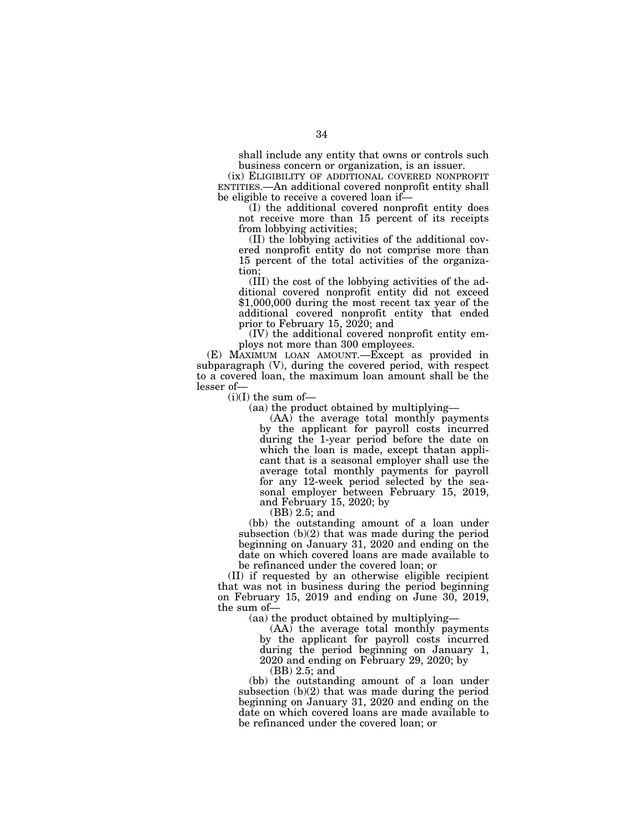shall include any entity that owns or controls such business concern or organization, is an issuer.

(ix) ELIGIBILITY OF ADDITIONAL COVERED NONPROFIT ENTITIES.—An additional covered nonprofit entity shall be eligible to receive a covered loan if—

(I) the additional covered nonprofit entity does not receive more than 15 percent of its receipts from lobbying activities;

(II) the lobbying activities of the additional covered nonprofit entity do not comprise more than 15 percent of the total activities of the organization;

(III) the cost of the lobbying activities of the additional covered nonprofit entity did not exceed \$1,000,000 during the most recent tax year of the additional covered nonprofit entity that ended prior to February 15, 2020; and

(IV) the additional covered nonprofit entity employs not more than 300 employees.

(E) MAXIMUM LOAN AMOUNT.—Except as provided in subparagraph (V), during the covered period, with respect to a covered loan, the maximum loan amount shall be the lesser of—

 $(i)(I)$  the sum of-

(aa) the product obtained by multiplying—

(AA) the average total monthly payments by the applicant for payroll costs incurred during the 1-year period before the date on which the loan is made, except thatan applicant that is a seasonal employer shall use the average total monthly payments for payroll for any 12-week period selected by the seasonal employer between February 15, 2019, and February 15, 2020; by

(BB) 2.5; and

(bb) the outstanding amount of a loan under subsection  $(b)(2)$  that was made during the period beginning on January 31, 2020 and ending on the date on which covered loans are made available to be refinanced under the covered loan; or

(II) if requested by an otherwise eligible recipient that was not in business during the period beginning on February 15, 2019 and ending on June 30, 2019, the sum of—

(aa) the product obtained by multiplying—

(AA) the average total monthly payments by the applicant for payroll costs incurred during the period beginning on January 1, 2020 and ending on February 29, 2020; by

(BB) 2.5; and

(bb) the outstanding amount of a loan under subsection  $(b)(2)$  that was made during the period beginning on January 31, 2020 and ending on the date on which covered loans are made available to be refinanced under the covered loan; or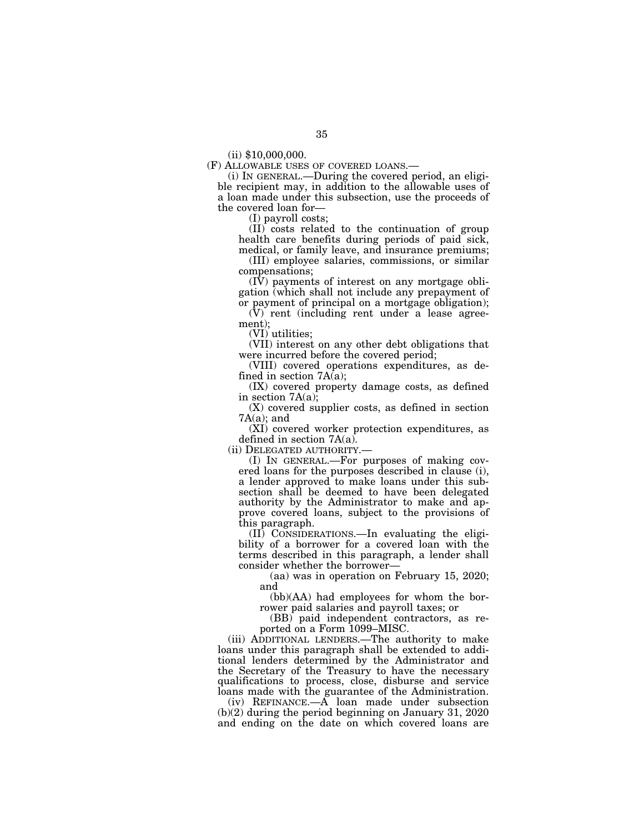$(ii)$  \$10,000,000.<br>(F) ALLOWABLE USES OF COVERED LOANS.

(i) IN GENERAL.—During the covered period, an eligible recipient may, in addition to the allowable uses of a loan made under this subsection, use the proceeds of the covered loan for—

(I) payroll costs;

(II) costs related to the continuation of group health care benefits during periods of paid sick, medical, or family leave, and insurance premiums;

(III) employee salaries, commissions, or similar compensations;

 $(I\bar{V})$  payments of interest on any mortgage obligation (which shall not include any prepayment of or payment of principal on a mortgage obligation);

(V) rent (including rent under a lease agreement);

(VI) utilities;

(VII) interest on any other debt obligations that were incurred before the covered period;

(VIII) covered operations expenditures, as defined in section 7A(a);

(IX) covered property damage costs, as defined in section 7A(a);

(X) covered supplier costs, as defined in section  $7A(a)$ ; and

(XI) covered worker protection expenditures, as defined in section 7A(a).

(ii) DELEGATED AUTHORITY.—

(I) IN GENERAL.—For purposes of making covered loans for the purposes described in clause (i), a lender approved to make loans under this subsection shall be deemed to have been delegated authority by the Administrator to make and approve covered loans, subject to the provisions of this paragraph.

(II) CONSIDERATIONS.—In evaluating the eligibility of a borrower for a covered loan with the terms described in this paragraph, a lender shall consider whether the borrower—

(aa) was in operation on February 15, 2020; and

(bb)(AA) had employees for whom the borrower paid salaries and payroll taxes; or

(BB) paid independent contractors, as reported on a Form 1099–MISC.

(iii) ADDITIONAL LENDERS.—The authority to make loans under this paragraph shall be extended to additional lenders determined by the Administrator and the Secretary of the Treasury to have the necessary qualifications to process, close, disburse and service loans made with the guarantee of the Administration.

(iv) REFINANCE.—A loan made under subsection (b)(2) during the period beginning on January 31, 2020 and ending on the date on which covered loans are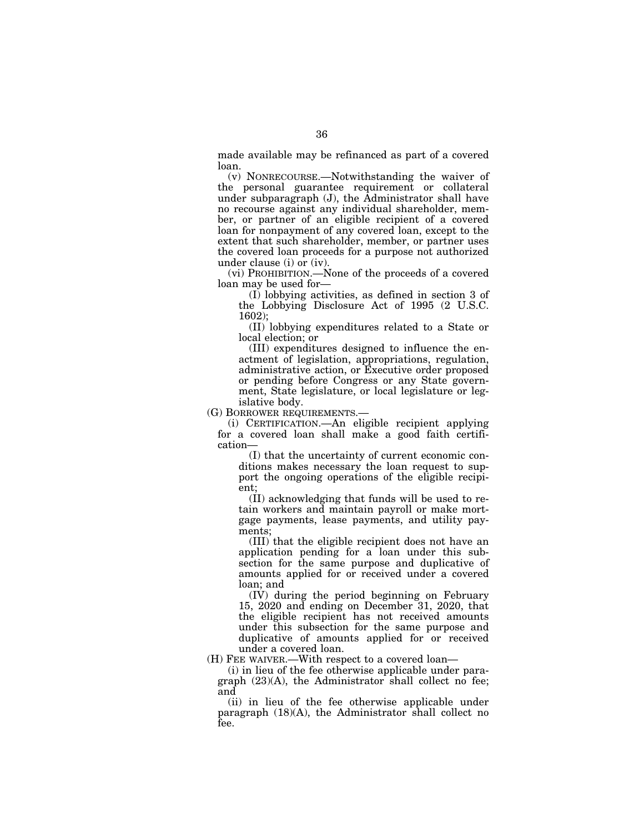made available may be refinanced as part of a covered loan.

(v) NONRECOURSE.—Notwithstanding the waiver of the personal guarantee requirement or collateral under subparagraph (J), the Administrator shall have no recourse against any individual shareholder, member, or partner of an eligible recipient of a covered loan for nonpayment of any covered loan, except to the extent that such shareholder, member, or partner uses the covered loan proceeds for a purpose not authorized under clause (i) or (iv).

(vi) PROHIBITION.—None of the proceeds of a covered loan may be used for—

(I) lobbying activities, as defined in section 3 of the Lobbying Disclosure Act of 1995 (2 U.S.C. 1602);

(II) lobbying expenditures related to a State or local election; or

(III) expenditures designed to influence the enactment of legislation, appropriations, regulation, administrative action, or Executive order proposed or pending before Congress or any State government, State legislature, or local legislature or legislative body.

(G) BORROWER REQUIREMENTS.—

(i) CERTIFICATION.—An eligible recipient applying for a covered loan shall make a good faith certification—

(I) that the uncertainty of current economic conditions makes necessary the loan request to support the ongoing operations of the eligible recipient;

(II) acknowledging that funds will be used to retain workers and maintain payroll or make mortgage payments, lease payments, and utility payments;

(III) that the eligible recipient does not have an application pending for a loan under this subsection for the same purpose and duplicative of amounts applied for or received under a covered loan; and

(IV) during the period beginning on February 15, 2020 and ending on December 31, 2020, that the eligible recipient has not received amounts under this subsection for the same purpose and duplicative of amounts applied for or received under a covered loan.

(H) FEE WAIVER.—With respect to a covered loan—

(i) in lieu of the fee otherwise applicable under paragraph  $(23)(A)$ , the Administrator shall collect no fee; and

(ii) in lieu of the fee otherwise applicable under paragraph (18)(A), the Administrator shall collect no fee.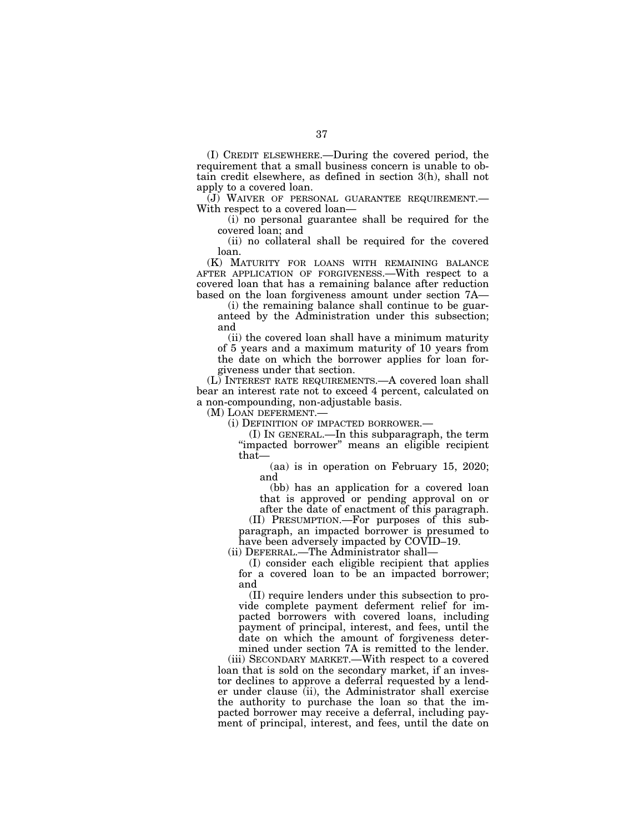(I) CREDIT ELSEWHERE.—During the covered period, the requirement that a small business concern is unable to obtain credit elsewhere, as defined in section 3(h), shall not apply to a covered loan.

(J) WAIVER OF PERSONAL GUARANTEE REQUIREMENT.— With respect to a covered loan—

(i) no personal guarantee shall be required for the covered loan; and

(ii) no collateral shall be required for the covered loan.

(K) MATURITY FOR LOANS WITH REMAINING BALANCE AFTER APPLICATION OF FORGIVENESS.—With respect to a covered loan that has a remaining balance after reduction based on the loan forgiveness amount under section 7A—

(i) the remaining balance shall continue to be guaranteed by the Administration under this subsection; and

(ii) the covered loan shall have a minimum maturity of 5 years and a maximum maturity of 10 years from the date on which the borrower applies for loan forgiveness under that section.

(L) INTEREST RATE REQUIREMENTS.—A covered loan shall bear an interest rate not to exceed 4 percent, calculated on a non-compounding, non-adjustable basis.

(M) LOAN DEFERMENT.—

(i) DEFINITION OF IMPACTED BORROWER.—

(I) IN GENERAL.—In this subparagraph, the term "impacted borrower" means an eligible recipient that—

(aa) is in operation on February 15, 2020; and

(bb) has an application for a covered loan that is approved or pending approval on or

after the date of enactment of this paragraph. (II) PRESUMPTION.—For purposes of this subparagraph, an impacted borrower is presumed to have been adversely impacted by COVID–19.

(ii) DEFERRAL.—The Administrator shall—

(I) consider each eligible recipient that applies for a covered loan to be an impacted borrower; and

(II) require lenders under this subsection to provide complete payment deferment relief for impacted borrowers with covered loans, including payment of principal, interest, and fees, until the date on which the amount of forgiveness determined under section 7A is remitted to the lender.

(iii) SECONDARY MARKET.—With respect to a covered loan that is sold on the secondary market, if an investor declines to approve a deferral requested by a lender under clause (ii), the Administrator shall exercise the authority to purchase the loan so that the impacted borrower may receive a deferral, including payment of principal, interest, and fees, until the date on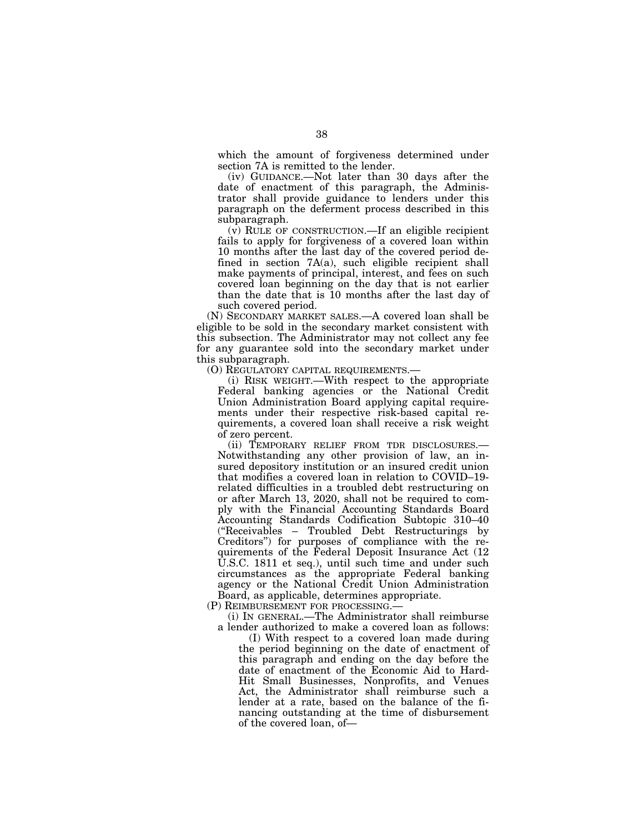which the amount of forgiveness determined under section 7A is remitted to the lender.

(iv) GUIDANCE.—Not later than 30 days after the date of enactment of this paragraph, the Administrator shall provide guidance to lenders under this paragraph on the deferment process described in this subparagraph.

(v) RULE OF CONSTRUCTION.—If an eligible recipient fails to apply for forgiveness of a covered loan within 10 months after the last day of the covered period defined in section 7A(a), such eligible recipient shall make payments of principal, interest, and fees on such covered loan beginning on the day that is not earlier than the date that is 10 months after the last day of such covered period.

(N) SECONDARY MARKET SALES.—A covered loan shall be eligible to be sold in the secondary market consistent with this subsection. The Administrator may not collect any fee for any guarantee sold into the secondary market under this subparagraph.

(O) REGULATORY CAPITAL REQUIREMENTS.—

(i) RISK WEIGHT.—With respect to the appropriate Federal banking agencies or the National Credit Union Administration Board applying capital requirements under their respective risk-based capital requirements, a covered loan shall receive a risk weight of zero percent.

(ii) TEMPORARY RELIEF FROM TDR DISCLOSURES.— Notwithstanding any other provision of law, an insured depository institution or an insured credit union that modifies a covered loan in relation to COVID–19 related difficulties in a troubled debt restructuring on or after March 13, 2020, shall not be required to comply with the Financial Accounting Standards Board Accounting Standards Codification Subtopic 310–40 (''Receivables – Troubled Debt Restructurings by Creditors'') for purposes of compliance with the requirements of the Federal Deposit Insurance Act (12 U.S.C. 1811 et seq.), until such time and under such circumstances as the appropriate Federal banking agency or the National Credit Union Administration Board, as applicable, determines appropriate.

(P) REIMBURSEMENT FOR PROCESSING.—

(i) IN GENERAL.—The Administrator shall reimburse a lender authorized to make a covered loan as follows:

(I) With respect to a covered loan made during the period beginning on the date of enactment of this paragraph and ending on the day before the date of enactment of the Economic Aid to Hard-Hit Small Businesses, Nonprofits, and Venues Act, the Administrator shall reimburse such a lender at a rate, based on the balance of the financing outstanding at the time of disbursement of the covered loan, of—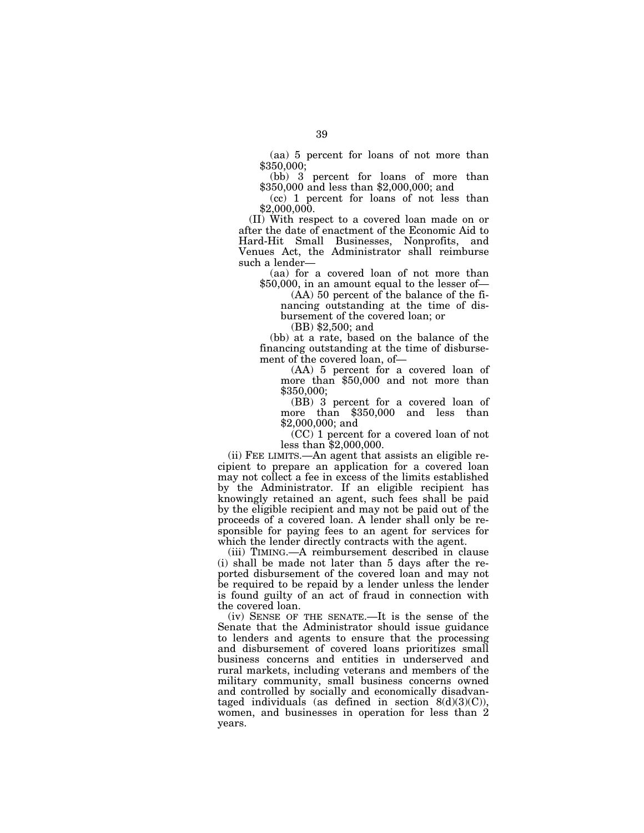(aa) 5 percent for loans of not more than \$350,000;

(bb) 3 percent for loans of more than \$350,000 and less than \$2,000,000; and

(cc) 1 percent for loans of not less than \$2,000,000.

(II) With respect to a covered loan made on or after the date of enactment of the Economic Aid to Hard-Hit Small Businesses, Nonprofits, and Venues Act, the Administrator shall reimburse such a lender—

(aa) for a covered loan of not more than \$50,000, in an amount equal to the lesser of—

(AA) 50 percent of the balance of the financing outstanding at the time of disbursement of the covered loan; or

(BB) \$2,500; and

(bb) at a rate, based on the balance of the financing outstanding at the time of disbursement of the covered loan, of—

(AA) 5 percent for a covered loan of more than \$50,000 and not more than \$350,000;

(BB) 3 percent for a covered loan of more than \$350,000 and less than \$2,000,000; and

(CC) 1 percent for a covered loan of not less than \$2,000,000.

(ii) FEE LIMITS.—An agent that assists an eligible recipient to prepare an application for a covered loan may not collect a fee in excess of the limits established by the Administrator. If an eligible recipient has knowingly retained an agent, such fees shall be paid by the eligible recipient and may not be paid out of the proceeds of a covered loan. A lender shall only be responsible for paying fees to an agent for services for which the lender directly contracts with the agent.

(iii) TIMING.—A reimbursement described in clause (i) shall be made not later than 5 days after the reported disbursement of the covered loan and may not be required to be repaid by a lender unless the lender is found guilty of an act of fraud in connection with the covered loan.

(iv) SENSE OF THE SENATE.—It is the sense of the Senate that the Administrator should issue guidance to lenders and agents to ensure that the processing and disbursement of covered loans prioritizes small business concerns and entities in underserved and rural markets, including veterans and members of the military community, small business concerns owned and controlled by socially and economically disadvantaged individuals (as defined in section  $8(d)(3)(C)$ ), women, and businesses in operation for less than 2 years.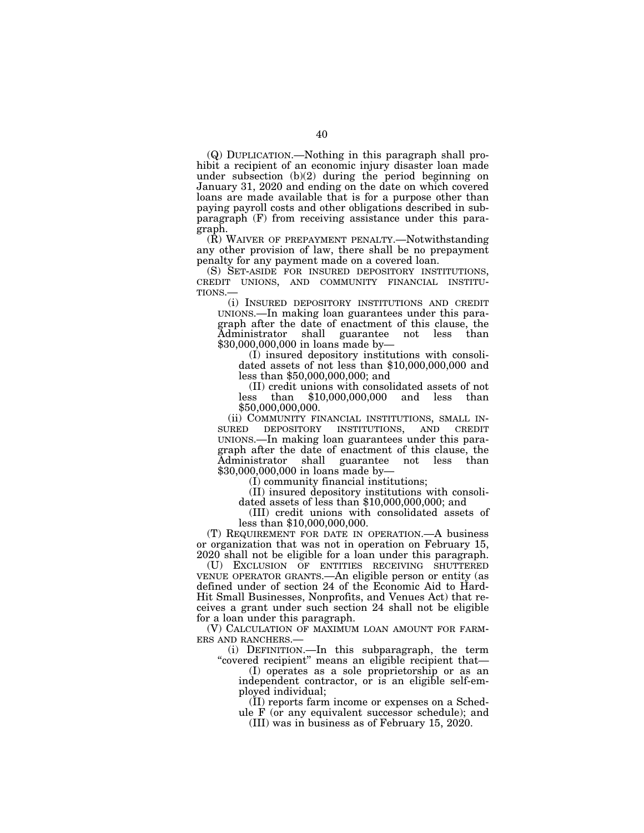(Q) DUPLICATION.—Nothing in this paragraph shall prohibit a recipient of an economic injury disaster loan made under subsection (b)(2) during the period beginning on January 31, 2020 and ending on the date on which covered loans are made available that is for a purpose other than paying payroll costs and other obligations described in subparagraph (F) from receiving assistance under this paragraph.

(R) WAIVER OF PREPAYMENT PENALTY.—Notwithstanding any other provision of law, there shall be no prepayment penalty for any payment made on a covered loan.

(S) SET-ASIDE FOR INSURED DEPOSITORY INSTITUTIONS, CREDIT UNIONS, AND COMMUNITY FINANCIAL INSTITU-TIONS.—

(i) INSURED DEPOSITORY INSTITUTIONS AND CREDIT UNIONS.—In making loan guarantees under this paragraph after the date of enactment of this clause, the Administrator shall guarantee not less than \$30,000,000,000 in loans made by—

(I) insured depository institutions with consolidated assets of not less than \$10,000,000,000 and less than \$50,000,000,000; and

(II) credit unions with consolidated assets of not less than \$10,000,000,000 and less than \$50,000,000,000.

(ii) COMMUNITY FINANCIAL INSTITUTIONS, SMALL IN- SURED DEPOSITORY INSTITUTIONS, AND CREDIT UNIONS.—In making loan guarantees under this paragraph after the date of enactment of this clause, the Administrator shall guarantee not less than \$30,000,000,000 in loans made by—

(I) community financial institutions;

(II) insured depository institutions with consoli- dated assets of less than \$10,000,000,000; and

(III) credit unions with consolidated assets of less than \$10,000,000,000.

(T) REQUIREMENT FOR DATE IN OPERATION.—A business or organization that was not in operation on February 15, 2020 shall not be eligible for a loan under this paragraph.

(U) EXCLUSION OF ENTITIES RECEIVING SHUTTERED VENUE OPERATOR GRANTS.—An eligible person or entity (as defined under of section 24 of the Economic Aid to Hard-Hit Small Businesses, Nonprofits, and Venues Act) that receives a grant under such section 24 shall not be eligible for a loan under this paragraph.

(V) CALCULATION OF MAXIMUM LOAN AMOUNT FOR FARM-ERS AND RANCHERS.—

(i) DEFINITION.—In this subparagraph, the term ''covered recipient'' means an eligible recipient that—

(I) operates as a sole proprietorship or as an independent contractor, or is an eligible self-employed individual;

(II) reports farm income or expenses on a Schedule F (or any equivalent successor schedule); and

(III) was in business as of February 15, 2020.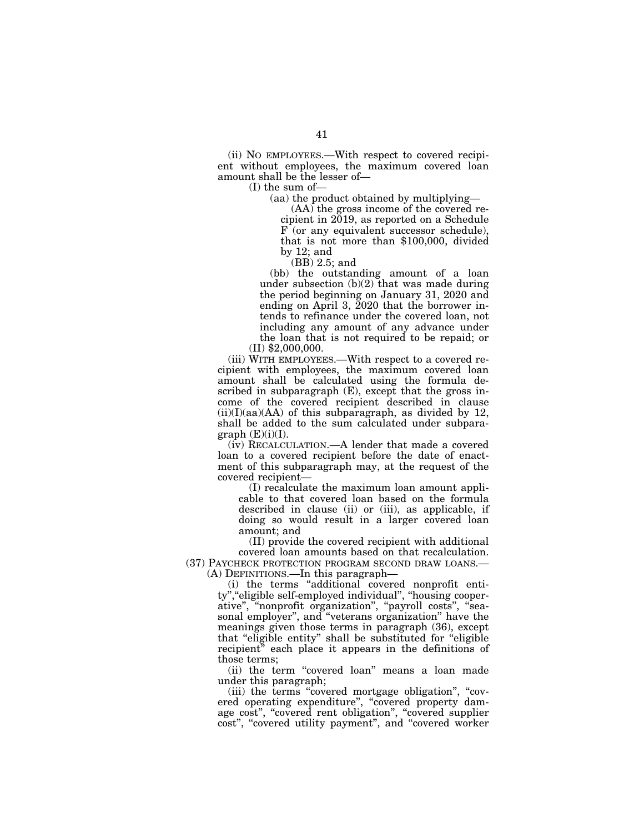(ii) NO EMPLOYEES.—With respect to covered recipient without employees, the maximum covered loan amount shall be the lesser of—

(I) the sum of—

(aa) the product obtained by multiplying—

(AA) the gross income of the covered recipient in 2019, as reported on a Schedule F (or any equivalent successor schedule), that is not more than \$100,000, divided by 12; and

(BB) 2.5; and

(bb) the outstanding amount of a loan under subsection  $(b)(2)$  that was made during the period beginning on January 31, 2020 and ending on April 3, 2020 that the borrower intends to refinance under the covered loan, not including any amount of any advance under the loan that is not required to be repaid; or

(II) \$2,000,000. (iii) WITH EMPLOYEES.—With respect to a covered re-

cipient with employees, the maximum covered loan amount shall be calculated using the formula described in subparagraph (E), except that the gross income of the covered recipient described in clause  $(ii)(I)(aa)(AA)$  of this subparagraph, as divided by 12, shall be added to the sum calculated under subpara $graph$  (E)(i)(I).

(iv) RECALCULATION.—A lender that made a covered loan to a covered recipient before the date of enactment of this subparagraph may, at the request of the covered recipient—

(I) recalculate the maximum loan amount applicable to that covered loan based on the formula described in clause (ii) or (iii), as applicable, if doing so would result in a larger covered loan amount; and

(II) provide the covered recipient with additional covered loan amounts based on that recalculation. (37) PAYCHECK PROTECTION PROGRAM SECOND DRAW LOANS.—

(A) DEFINITIONS.—In this paragraph—

(i) the terms ''additional covered nonprofit entity", "eligible self-employed individual", "housing cooperative", "nonprofit organization", "payroll costs", "seasonal employer'', and ''veterans organization'' have the meanings given those terms in paragraph (36), except that ''eligible entity'' shall be substituted for ''eligible recipient'' each place it appears in the definitions of those terms;

(ii) the term "covered loan" means a loan made under this paragraph;

(iii) the terms ''covered mortgage obligation'', ''covered operating expenditure", "covered property damage cost", "covered rent obligation", "covered supplier cost", "covered utility payment", and "covered worker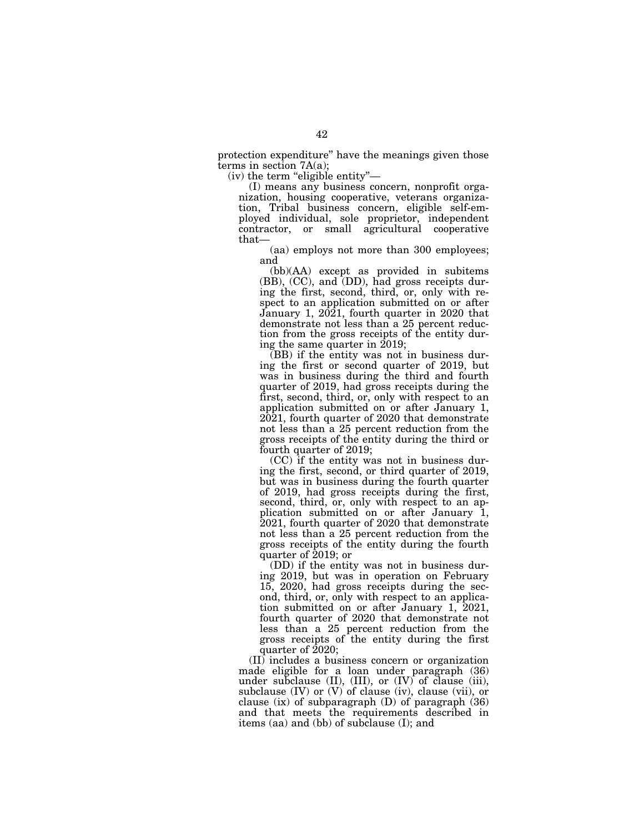protection expenditure'' have the meanings given those terms in section  $7A(a)$ ;

 $(iv)$  the term "eligible entity"—

(I) means any business concern, nonprofit organization, housing cooperative, veterans organization, Tribal business concern, eligible self-employed individual, sole proprietor, independent contractor, or small agricultural cooperative that—

(aa) employs not more than 300 employees; and

(bb)(AA) except as provided in subitems (BB), (CC), and (DD), had gross receipts during the first, second, third, or, only with respect to an application submitted on or after January 1, 2021, fourth quarter in 2020 that demonstrate not less than a 25 percent reduction from the gross receipts of the entity during the same quarter in 2019;

(BB) if the entity was not in business during the first or second quarter of 2019, but was in business during the third and fourth quarter of 2019, had gross receipts during the first, second, third, or, only with respect to an application submitted on or after January 1, 2021, fourth quarter of 2020 that demonstrate not less than a 25 percent reduction from the gross receipts of the entity during the third or fourth quarter of 2019;

(CC) if the entity was not in business during the first, second, or third quarter of 2019, but was in business during the fourth quarter of 2019, had gross receipts during the first, second, third, or, only with respect to an application submitted on or after January 1, 2021, fourth quarter of 2020 that demonstrate not less than a 25 percent reduction from the gross receipts of the entity during the fourth quarter of 2019; or

(DD) if the entity was not in business during 2019, but was in operation on February 15, 2020, had gross receipts during the second, third, or, only with respect to an application submitted on or after January 1, 2021, fourth quarter of 2020 that demonstrate not less than a 25 percent reduction from the gross receipts of the entity during the first quarter of  $2020$ ;

(II) includes a business concern or organization made eligible for a loan under paragraph (36) under subclause (II), (III), or (IV) of clause (iii), subclause  $(IV)$  or  $(V)$  of clause  $(iv)$ , clause  $(vii)$ , or clause (ix) of subparagraph  $(D)$  of paragraph  $(36)$ and that meets the requirements described in items (aa) and (bb) of subclause (I); and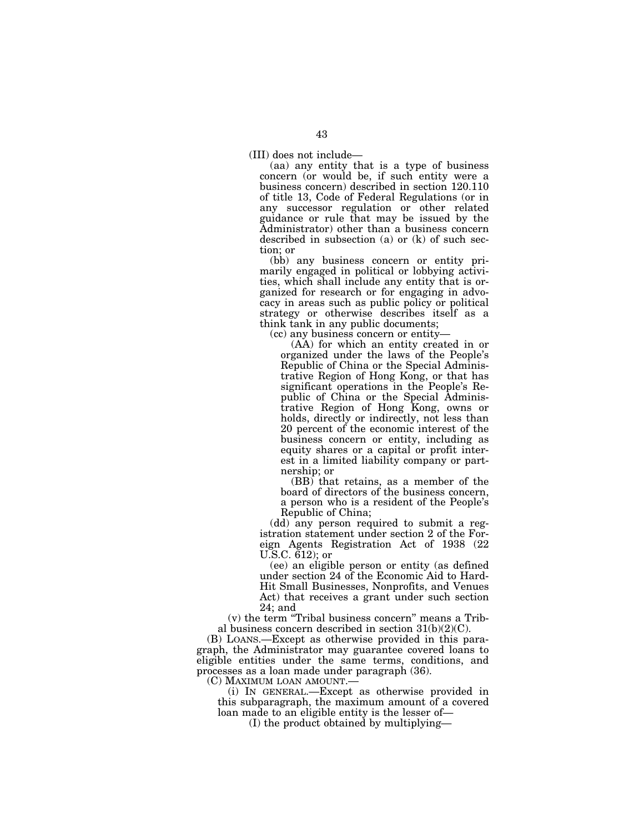(III) does not include—

(aa) any entity that is a type of business concern (or would be, if such entity were a business concern) described in section 120.110 of title 13, Code of Federal Regulations (or in any successor regulation or other related guidance or rule that may be issued by the Administrator) other than a business concern described in subsection (a) or (k) of such section; or

(bb) any business concern or entity primarily engaged in political or lobbying activities, which shall include any entity that is organized for research or for engaging in advocacy in areas such as public policy or political strategy or otherwise describes itself as a think tank in any public documents;

(cc) any business concern or entity—

(AA) for which an entity created in or organized under the laws of the People's Republic of China or the Special Administrative Region of Hong Kong, or that has significant operations in the People's Republic of China or the Special Administrative Region of Hong Kong, owns or holds, directly or indirectly, not less than 20 percent of the economic interest of the business concern or entity, including as equity shares or a capital or profit interest in a limited liability company or partnership; or

(BB) that retains, as a member of the board of directors of the business concern, a person who is a resident of the People's Republic of China;

(dd) any person required to submit a registration statement under section 2 of the Foreign Agents Registration Act of 1938 (22 U.S.C. 612); or

(ee) an eligible person or entity (as defined under section 24 of the Economic Aid to Hard-Hit Small Businesses, Nonprofits, and Venues Act) that receives a grant under such section 24; and

(v) the term ''Tribal business concern'' means a Tribal business concern described in section  $31(b)(2)(C)$ .

(B) LOANS.—Except as otherwise provided in this paragraph, the Administrator may guarantee covered loans to eligible entities under the same terms, conditions, and processes as a loan made under paragraph (36).<br>(C) MAXIMUM LOAN AMOUNT.—

 $(i)$  In GENERAL.—Except as otherwise provided in this subparagraph, the maximum amount of a covered loan made to an eligible entity is the lesser of—

(I) the product obtained by multiplying—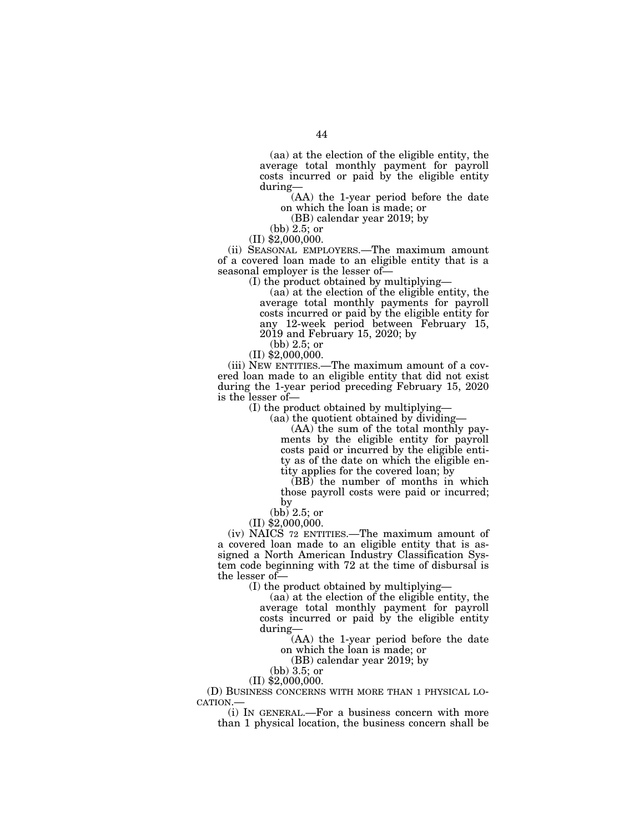(aa) at the election of the eligible entity, the average total monthly payment for payroll costs incurred or paid by the eligible entity during—

(AA) the 1-year period before the date on which the loan is made; or

(BB) calendar year 2019; by

(bb) 2.5; or

(II) \$2,000,000.

(ii) SEASONAL EMPLOYERS.—The maximum amount of a covered loan made to an eligible entity that is a seasonal employer is the lesser of—

(I) the product obtained by multiplying—

(aa) at the election of the eligible entity, the average total monthly payments for payroll costs incurred or paid by the eligible entity for any 12-week period between February 15, 2019 and February 15, 2020; by

(bb) 2.5; or

(II) \$2,000,000.

(iii) NEW ENTITIES.—The maximum amount of a covered loan made to an eligible entity that did not exist during the 1-year period preceding February 15, 2020 is the lesser of—

(I) the product obtained by multiplying—

(aa) the quotient obtained by dividing—

(AA) the sum of the total monthly payments by the eligible entity for payroll costs paid or incurred by the eligible entity as of the date on which the eligible entity applies for the covered loan; by

 $(BB)$  the number of months in which those payroll costs were paid or incurred; by

(bb) 2.5; or

(II) \$2,000,000.

(iv) NAICS 72 ENTITIES.—The maximum amount of a covered loan made to an eligible entity that is assigned a North American Industry Classification System code beginning with 72 at the time of disbursal is the lesser of—

(I) the product obtained by multiplying—

(aa) at the election of the eligible entity, the average total monthly payment for payroll costs incurred or paid by the eligible entity during—

(AA) the 1-year period before the date on which the loan is made; or

(BB) calendar year 2019; by

(bb) 3.5; or

(II) \$2,000,000.

(D) BUSINESS CONCERNS WITH MORE THAN 1 PHYSICAL LO- CATION.—

(i) IN GENERAL.—For a business concern with more than 1 physical location, the business concern shall be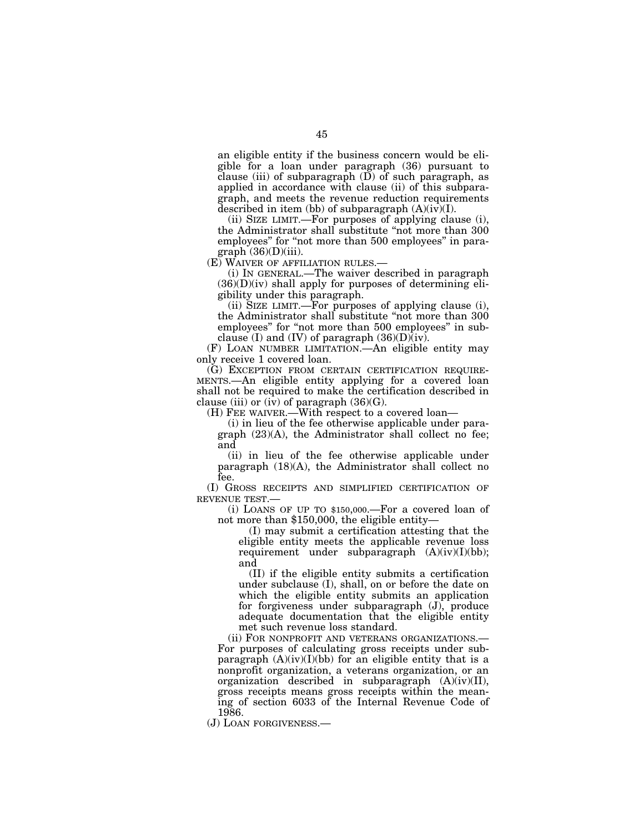an eligible entity if the business concern would be eligible for a loan under paragraph (36) pursuant to clause (iii) of subparagraph (D) of such paragraph, as applied in accordance with clause (ii) of this subparagraph, and meets the revenue reduction requirements described in item (bb) of subparagraph  $(A)(iv)(I)$ .

(ii) SIZE LIMIT.—For purposes of applying clause (i), the Administrator shall substitute ''not more than 300 employees" for "not more than 500 employees" in paragraph  $(36)(D)(iii)$ .

(E) WAIVER OF AFFILIATION RULES.—

(i) IN GENERAL.—The waiver described in paragraph  $(36)(D)(iv)$  shall apply for purposes of determining eligibility under this paragraph.

(ii) SIZE LIMIT.—For purposes of applying clause (i), the Administrator shall substitute ''not more than 300 employees'' for ''not more than 500 employees'' in subclause (I) and (IV) of paragraph  $(36)(D)(iv)$ .

(F) LOAN NUMBER LIMITATION.—An eligible entity may only receive 1 covered loan.

(G) EXCEPTION FROM CERTAIN CERTIFICATION REQUIRE-MENTS.—An eligible entity applying for a covered loan shall not be required to make the certification described in clause (iii) or (iv) of paragraph  $(36)(G)$ .

(H) FEE WAIVER.—With respect to a covered loan—

(i) in lieu of the fee otherwise applicable under paragraph (23)(A), the Administrator shall collect no fee; and

(ii) in lieu of the fee otherwise applicable under paragraph (18)(A), the Administrator shall collect no fee.

(I) GROSS RECEIPTS AND SIMPLIFIED CERTIFICATION OF REVENUE TEST.—

(i) LOANS OF UP TO \$150,000.—For a covered loan of not more than \$150,000, the eligible entity—

(I) may submit a certification attesting that the eligible entity meets the applicable revenue loss requirement under subparagraph  $(A)(iv)(I)(bb)$ ; and

(II) if the eligible entity submits a certification under subclause (I), shall, on or before the date on which the eligible entity submits an application for forgiveness under subparagraph (J), produce adequate documentation that the eligible entity met such revenue loss standard.

(ii) FOR NONPROFIT AND VETERANS ORGANIZATIONS.— For purposes of calculating gross receipts under subparagraph  $(A)(iv)(I)(bb)$  for an eligible entity that is a nonprofit organization, a veterans organization, or an organization described in subparagraph  $(A)(iv)(II)$ , gross receipts means gross receipts within the meaning of section 6033 of the Internal Revenue Code of 1986.

(J) LOAN FORGIVENESS.—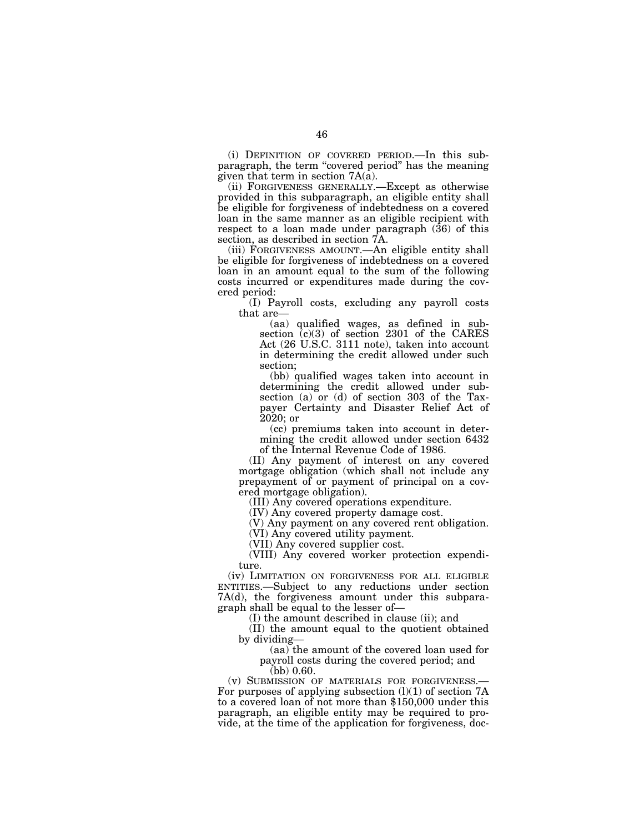(i) DEFINITION OF COVERED PERIOD.—In this subparagraph, the term ''covered period'' has the meaning given that term in section 7A(a).

(ii) FORGIVENESS GENERALLY.—Except as otherwise provided in this subparagraph, an eligible entity shall be eligible for forgiveness of indebtedness on a covered loan in the same manner as an eligible recipient with respect to a loan made under paragraph (36) of this section, as described in section 7A.

(iii) FORGIVENESS AMOUNT.—An eligible entity shall be eligible for forgiveness of indebtedness on a covered loan in an amount equal to the sum of the following costs incurred or expenditures made during the covered period:

(I) Payroll costs, excluding any payroll costs that are—

(aa) qualified wages, as defined in subsection (c)(3) of section 2301 of the CARES Act (26 U.S.C. 3111 note), taken into account in determining the credit allowed under such section;

(bb) qualified wages taken into account in determining the credit allowed under subsection (a) or (d) of section 303 of the Taxpayer Certainty and Disaster Relief Act of 2020; or

(cc) premiums taken into account in determining the credit allowed under section 6432 of the Internal Revenue Code of 1986.

(II) Any payment of interest on any covered mortgage obligation (which shall not include any prepayment of or payment of principal on a covered mortgage obligation).

(III) Any covered operations expenditure.

(IV) Any covered property damage cost.

(V) Any payment on any covered rent obligation.

(VI) Any covered utility payment.

(VII) Any covered supplier cost.

(VIII) Any covered worker protection expenditure.

(iv) LIMITATION ON FORGIVENESS FOR ALL ELIGIBLE ENTITIES.—Subject to any reductions under section 7A(d), the forgiveness amount under this subparagraph shall be equal to the lesser of—

(I) the amount described in clause (ii); and

(II) the amount equal to the quotient obtained by dividing—

(aa) the amount of the covered loan used for payroll costs during the covered period; and

(bb)  $0.60$ .<br>(v) SUBMISSION OF MATERIALS FOR FORGIVENESS. For purposes of applying subsection  $(l)(1)$  of section 7A to a covered loan of not more than \$150,000 under this paragraph, an eligible entity may be required to provide, at the time of the application for forgiveness, doc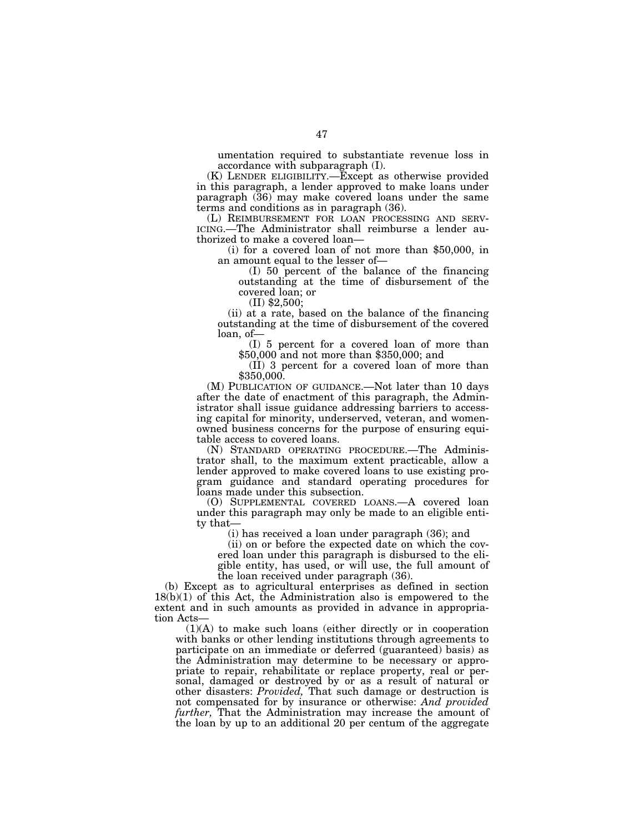umentation required to substantiate revenue loss in accordance with subparagraph (I).

(K) LENDER ELIGIBILITY.—Except as otherwise provided in this paragraph, a lender approved to make loans under paragraph (36) may make covered loans under the same terms and conditions as in paragraph (36).<br>(L) REIMBURSEMENT FOR LOAN PROCESSING AND SERV-

 $ICING$ .—The Administrator shall reimburse a lender authorized to make a covered loan—

(i) for a covered loan of not more than \$50,000, in an amount equal to the lesser of—

(I) 50 percent of the balance of the financing outstanding at the time of disbursement of the covered loan; or

(II) \$2,500;

(ii) at a rate, based on the balance of the financing outstanding at the time of disbursement of the covered loan, of—

(I) 5 percent for a covered loan of more than \$50,000 and not more than \$350,000; and

(II) 3 percent for a covered loan of more than \$350,000.

(M) PUBLICATION OF GUIDANCE.—Not later than 10 days after the date of enactment of this paragraph, the Administrator shall issue guidance addressing barriers to accessing capital for minority, underserved, veteran, and womenowned business concerns for the purpose of ensuring equitable access to covered loans.

(N) STANDARD OPERATING PROCEDURE.—The Administrator shall, to the maximum extent practicable, allow a lender approved to make covered loans to use existing program guidance and standard operating procedures for loans made under this subsection.

(O) SUPPLEMENTAL COVERED LOANS.—A covered loan under this paragraph may only be made to an eligible entity that—

(i) has received a loan under paragraph (36); and

(ii) on or before the expected date on which the covered loan under this paragraph is disbursed to the eligible entity, has used, or will use, the full amount of the loan received under paragraph (36).

(b) Except as to agricultural enterprises as defined in section  $18(b)(1)$  of this Act, the Administration also is empowered to the extent and in such amounts as provided in advance in appropriation Acts—

(1)(A) to make such loans (either directly or in cooperation with banks or other lending institutions through agreements to participate on an immediate or deferred (guaranteed) basis) as the Administration may determine to be necessary or appropriate to repair, rehabilitate or replace property, real or personal, damaged or destroyed by or as a result of natural or other disasters: *Provided,* That such damage or destruction is not compensated for by insurance or otherwise: *And provided further,* That the Administration may increase the amount of the loan by up to an additional 20 per centum of the aggregate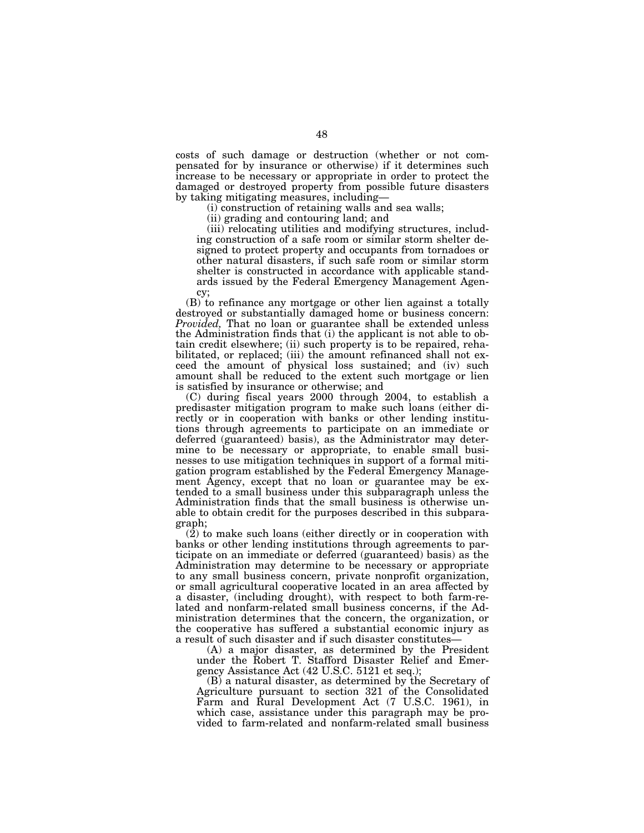costs of such damage or destruction (whether or not compensated for by insurance or otherwise) if it determines such increase to be necessary or appropriate in order to protect the damaged or destroyed property from possible future disasters by taking mitigating measures, including—

(i) construction of retaining walls and sea walls;

(ii) grading and contouring land; and

(iii) relocating utilities and modifying structures, including construction of a safe room or similar storm shelter designed to protect property and occupants from tornadoes or other natural disasters, if such safe room or similar storm shelter is constructed in accordance with applicable standards issued by the Federal Emergency Management Agency;

(B) to refinance any mortgage or other lien against a totally destroyed or substantially damaged home or business concern: *Provided,* That no loan or guarantee shall be extended unless the Administration finds that (i) the applicant is not able to obtain credit elsewhere; (ii) such property is to be repaired, rehabilitated, or replaced; (iii) the amount refinanced shall not exceed the amount of physical loss sustained; and (iv) such amount shall be reduced to the extent such mortgage or lien is satisfied by insurance or otherwise; and

(C) during fiscal years 2000 through 2004, to establish a predisaster mitigation program to make such loans (either directly or in cooperation with banks or other lending institutions through agreements to participate on an immediate or deferred (guaranteed) basis), as the Administrator may determine to be necessary or appropriate, to enable small businesses to use mitigation techniques in support of a formal mitigation program established by the Federal Emergency Management Agency, except that no loan or guarantee may be extended to a small business under this subparagraph unless the Administration finds that the small business is otherwise unable to obtain credit for the purposes described in this subparagraph;

 $(2)$  to make such loans (either directly or in cooperation with banks or other lending institutions through agreements to participate on an immediate or deferred (guaranteed) basis) as the Administration may determine to be necessary or appropriate to any small business concern, private nonprofit organization, or small agricultural cooperative located in an area affected by a disaster, (including drought), with respect to both farm-related and nonfarm-related small business concerns, if the Administration determines that the concern, the organization, or the cooperative has suffered a substantial economic injury as a result of such disaster and if such disaster constitutes—

(A) a major disaster, as determined by the President under the Robert T. Stafford Disaster Relief and Emergency Assistance Act (42 U.S.C. 5121 et seq.);

(B) a natural disaster, as determined by the Secretary of Agriculture pursuant to section 321 of the Consolidated Farm and Rural Development Act (7 U.S.C. 1961), in which case, assistance under this paragraph may be provided to farm-related and nonfarm-related small business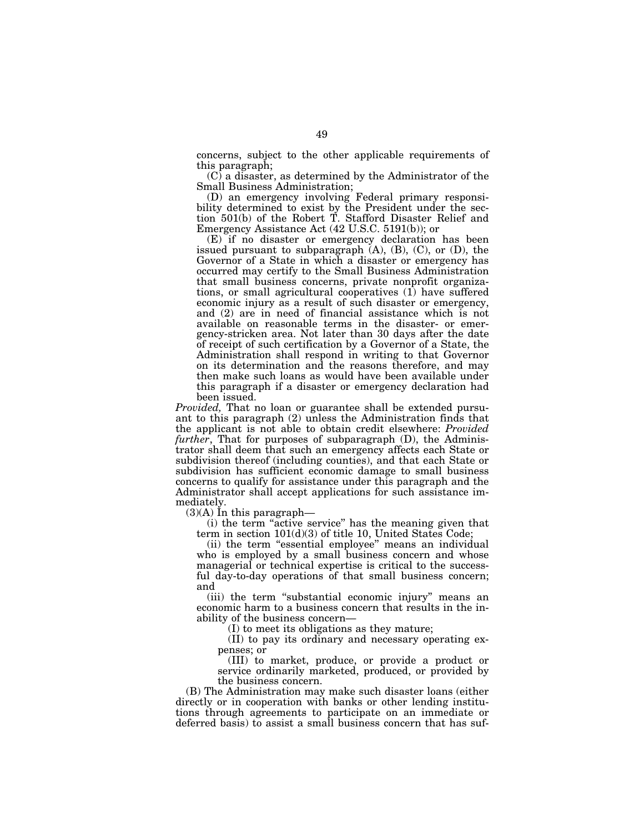concerns, subject to the other applicable requirements of this paragraph;

 $(C)$  a disaster, as determined by the Administrator of the Small Business Administration;

(D) an emergency involving Federal primary responsibility determined to exist by the President under the section 501(b) of the Robert T. Stafford Disaster Relief and Emergency Assistance Act (42 U.S.C. 5191(b)); or

(E) if no disaster or emergency declaration has been issued pursuant to subparagraph  $(A)$ ,  $(B)$ ,  $(C)$ , or  $(D)$ , the Governor of a State in which a disaster or emergency has occurred may certify to the Small Business Administration that small business concerns, private nonprofit organizations, or small agricultural cooperatives (1) have suffered economic injury as a result of such disaster or emergency, and (2) are in need of financial assistance which is not available on reasonable terms in the disaster- or emergency-stricken area. Not later than 30 days after the date of receipt of such certification by a Governor of a State, the Administration shall respond in writing to that Governor on its determination and the reasons therefore, and may then make such loans as would have been available under this paragraph if a disaster or emergency declaration had been issued.

*Provided,* That no loan or guarantee shall be extended pursuant to this paragraph (2) unless the Administration finds that the applicant is not able to obtain credit elsewhere: *Provided further*, That for purposes of subparagraph (D), the Administrator shall deem that such an emergency affects each State or subdivision thereof (including counties), and that each State or subdivision has sufficient economic damage to small business concerns to qualify for assistance under this paragraph and the Administrator shall accept applications for such assistance immediately.

 $(3)(A)$  In this paragraph—

(i) the term ''active service'' has the meaning given that term in section 101(d)(3) of title 10, United States Code;

(ii) the term "essential employee" means an individual who is employed by a small business concern and whose managerial or technical expertise is critical to the successful day-to-day operations of that small business concern; and

(iii) the term ''substantial economic injury'' means an economic harm to a business concern that results in the inability of the business concern—

(I) to meet its obligations as they mature;

(II) to pay its ordinary and necessary operating expenses; or

(III) to market, produce, or provide a product or service ordinarily marketed, produced, or provided by the business concern.

(B) The Administration may make such disaster loans (either directly or in cooperation with banks or other lending institutions through agreements to participate on an immediate or deferred basis) to assist a small business concern that has suf-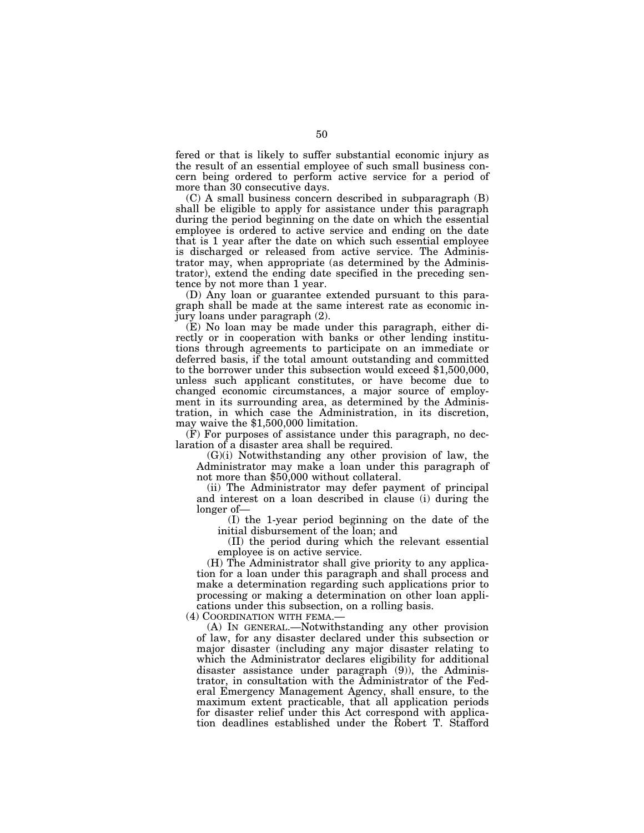fered or that is likely to suffer substantial economic injury as the result of an essential employee of such small business concern being ordered to perform active service for a period of more than 30 consecutive days.

(C) A small business concern described in subparagraph (B) shall be eligible to apply for assistance under this paragraph during the period beginning on the date on which the essential employee is ordered to active service and ending on the date that is 1 year after the date on which such essential employee is discharged or released from active service. The Administrator may, when appropriate (as determined by the Administrator), extend the ending date specified in the preceding sentence by not more than 1 year.

(D) Any loan or guarantee extended pursuant to this paragraph shall be made at the same interest rate as economic injury loans under paragraph (2).

(E) No loan may be made under this paragraph, either directly or in cooperation with banks or other lending institutions through agreements to participate on an immediate or deferred basis, if the total amount outstanding and committed to the borrower under this subsection would exceed \$1,500,000, unless such applicant constitutes, or have become due to changed economic circumstances, a major source of employment in its surrounding area, as determined by the Administration, in which case the Administration, in its discretion, may waive the \$1,500,000 limitation.

(F) For purposes of assistance under this paragraph, no declaration of a disaster area shall be required.

(G)(i) Notwithstanding any other provision of law, the Administrator may make a loan under this paragraph of not more than \$50,000 without collateral.

(ii) The Administrator may defer payment of principal and interest on a loan described in clause (i) during the longer of—

(I) the 1-year period beginning on the date of the initial disbursement of the loan; and

(II) the period during which the relevant essential employee is on active service.

(H) The Administrator shall give priority to any application for a loan under this paragraph and shall process and make a determination regarding such applications prior to processing or making a determination on other loan applications under this subsection, on a rolling basis.

(4) COORDINATION WITH FEMA.—

(A) IN GENERAL.—Notwithstanding any other provision of law, for any disaster declared under this subsection or major disaster (including any major disaster relating to which the Administrator declares eligibility for additional disaster assistance under paragraph (9)), the Administrator, in consultation with the Administrator of the Federal Emergency Management Agency, shall ensure, to the maximum extent practicable, that all application periods for disaster relief under this Act correspond with application deadlines established under the Robert T. Stafford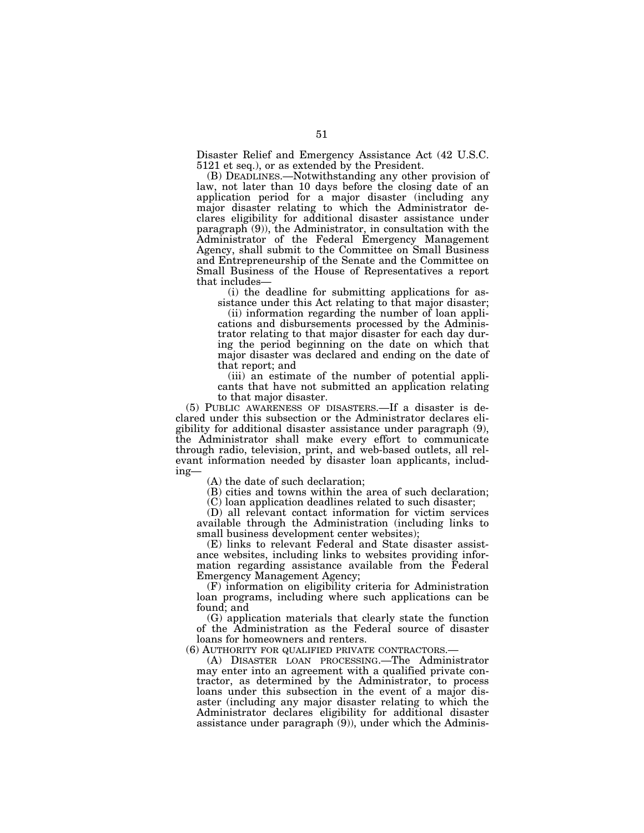Disaster Relief and Emergency Assistance Act (42 U.S.C. 5121 et seq.), or as extended by the President.

(B) DEADLINES.—Notwithstanding any other provision of law, not later than 10 days before the closing date of an application period for a major disaster (including any major disaster relating to which the Administrator declares eligibility for additional disaster assistance under paragraph (9)), the Administrator, in consultation with the Administrator of the Federal Emergency Management Agency, shall submit to the Committee on Small Business and Entrepreneurship of the Senate and the Committee on Small Business of the House of Representatives a report that includes—

(i) the deadline for submitting applications for assistance under this Act relating to that major disaster;

(ii) information regarding the number of loan applications and disbursements processed by the Administrator relating to that major disaster for each day during the period beginning on the date on which that major disaster was declared and ending on the date of that report; and

(iii) an estimate of the number of potential applicants that have not submitted an application relating to that major disaster.

(5) PUBLIC AWARENESS OF DISASTERS.—If a disaster is declared under this subsection or the Administrator declares eligibility for additional disaster assistance under paragraph (9), the Administrator shall make every effort to communicate through radio, television, print, and web-based outlets, all relevant information needed by disaster loan applicants, including—

(A) the date of such declaration;

(B) cities and towns within the area of such declaration;

(C) loan application deadlines related to such disaster;

(D) all relevant contact information for victim services available through the Administration (including links to small business development center websites);

(E) links to relevant Federal and State disaster assistance websites, including links to websites providing information regarding assistance available from the Federal Emergency Management Agency;

(F) information on eligibility criteria for Administration loan programs, including where such applications can be found; and

(G) application materials that clearly state the function of the Administration as the Federal source of disaster loans for homeowners and renters.

(6) AUTHORITY FOR QUALIFIED PRIVATE CONTRACTORS.—

(A) DISASTER LOAN PROCESSING.—The Administrator may enter into an agreement with a qualified private contractor, as determined by the Administrator, to process loans under this subsection in the event of a major disaster (including any major disaster relating to which the Administrator declares eligibility for additional disaster assistance under paragraph (9)), under which the Adminis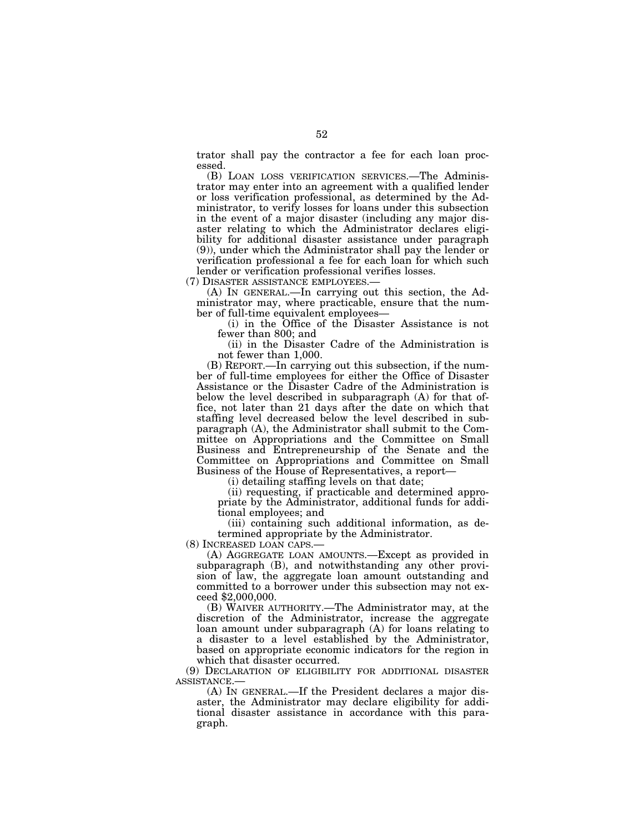trator shall pay the contractor a fee for each loan processed.

(B) LOAN LOSS VERIFICATION SERVICES.—The Administrator may enter into an agreement with a qualified lender or loss verification professional, as determined by the Administrator, to verify losses for loans under this subsection in the event of a major disaster (including any major disaster relating to which the Administrator declares eligibility for additional disaster assistance under paragraph (9)), under which the Administrator shall pay the lender or verification professional a fee for each loan for which such lender or verification professional verifies losses.

(7) DISASTER ASSISTANCE EMPLOYEES.—

(A) IN GENERAL.—In carrying out this section, the Administrator may, where practicable, ensure that the number of full-time equivalent employees—

(i) in the Office of the Disaster Assistance is not fewer than 800; and

(ii) in the Disaster Cadre of the Administration is not fewer than 1,000.

(B) REPORT.—In carrying out this subsection, if the number of full-time employees for either the Office of Disaster Assistance or the Disaster Cadre of the Administration is below the level described in subparagraph (A) for that office, not later than 21 days after the date on which that staffing level decreased below the level described in subparagraph (A), the Administrator shall submit to the Committee on Appropriations and the Committee on Small Business and Entrepreneurship of the Senate and the Committee on Appropriations and Committee on Small Business of the House of Representatives, a report—

(i) detailing staffing levels on that date;

(ii) requesting, if practicable and determined appropriate by the Administrator, additional funds for additional employees; and

(iii) containing such additional information, as determined appropriate by the Administrator.<br>(8) INCREASED LOAN CAPS.—

(8) INCREASED LOAN CAPS.— (A) AGGREGATE LOAN AMOUNTS.—Except as provided in subparagraph (B), and notwithstanding any other provision of law, the aggregate loan amount outstanding and committed to a borrower under this subsection may not exceed \$2,000,000.

(B) WAIVER AUTHORITY.—The Administrator may, at the discretion of the Administrator, increase the aggregate loan amount under subparagraph (A) for loans relating to a disaster to a level established by the Administrator, based on appropriate economic indicators for the region in which that disaster occurred.

(9) DECLARATION OF ELIGIBILITY FOR ADDITIONAL DISASTER

 $(A)$  In GENERAL.—If the President declares a major disaster, the Administrator may declare eligibility for additional disaster assistance in accordance with this paragraph.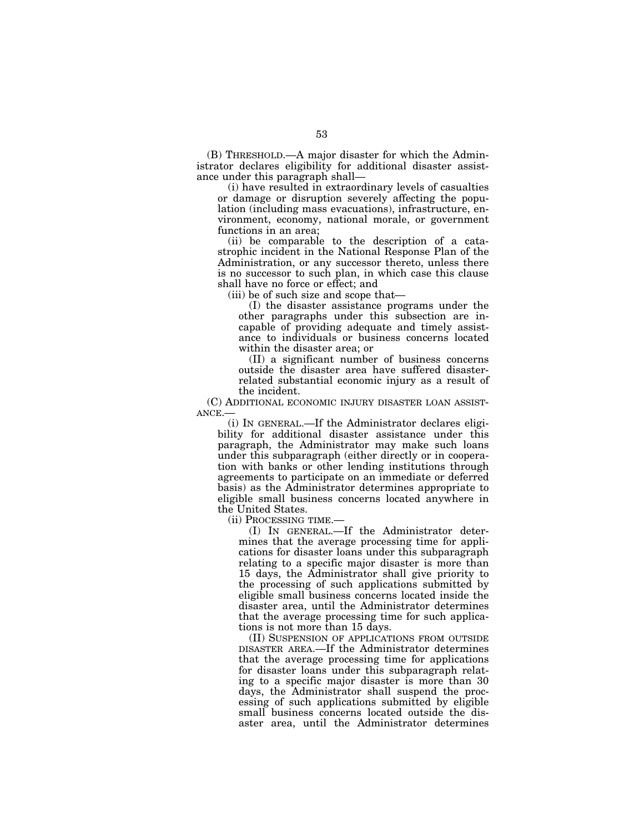(B) THRESHOLD.—A major disaster for which the Administrator declares eligibility for additional disaster assistance under this paragraph shall—

(i) have resulted in extraordinary levels of casualties or damage or disruption severely affecting the population (including mass evacuations), infrastructure, environment, economy, national morale, or government functions in an area;

(ii) be comparable to the description of a catastrophic incident in the National Response Plan of the Administration, or any successor thereto, unless there is no successor to such plan, in which case this clause shall have no force or effect; and

(iii) be of such size and scope that—

(I) the disaster assistance programs under the other paragraphs under this subsection are incapable of providing adequate and timely assistance to individuals or business concerns located within the disaster area; or

(II) a significant number of business concerns outside the disaster area have suffered disasterrelated substantial economic injury as a result of the incident.

(C) ADDITIONAL ECONOMIC INJURY DISASTER LOAN ASSIST-ANCE.—

(i) IN GENERAL.—If the Administrator declares eligibility for additional disaster assistance under this paragraph, the Administrator may make such loans under this subparagraph (either directly or in cooperation with banks or other lending institutions through agreements to participate on an immediate or deferred basis) as the Administrator determines appropriate to eligible small business concerns located anywhere in the United States.

(ii) PROCESSING TIME.—

(I) IN GENERAL.—If the Administrator determines that the average processing time for applications for disaster loans under this subparagraph relating to a specific major disaster is more than 15 days, the Administrator shall give priority to the processing of such applications submitted by eligible small business concerns located inside the disaster area, until the Administrator determines that the average processing time for such applications is not more than 15 days.

(II) SUSPENSION OF APPLICATIONS FROM OUTSIDE DISASTER AREA.—If the Administrator determines that the average processing time for applications for disaster loans under this subparagraph relating to a specific major disaster is more than 30 days, the Administrator shall suspend the processing of such applications submitted by eligible small business concerns located outside the disaster area, until the Administrator determines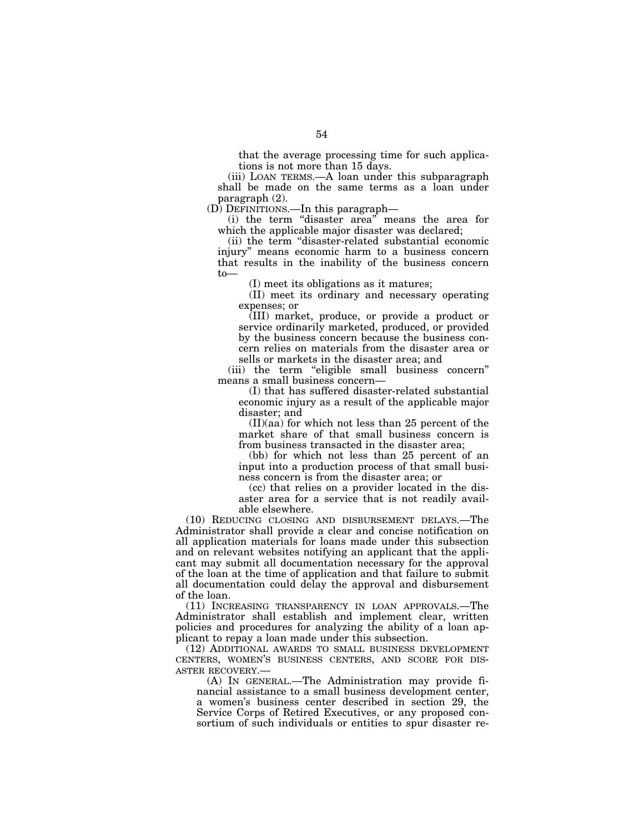that the average processing time for such applications is not more than 15 days.

(iii) LOAN TERMS.—A loan under this subparagraph shall be made on the same terms as a loan under paragraph (2).

(D) DEFINITIONS.—In this paragraph—

(i) the term ''disaster area'' means the area for which the applicable major disaster was declared;

(ii) the term ''disaster-related substantial economic injury'' means economic harm to a business concern that results in the inability of the business concern to—

(I) meet its obligations as it matures;

(II) meet its ordinary and necessary operating expenses; or

(III) market, produce, or provide a product or service ordinarily marketed, produced, or provided by the business concern because the business concern relies on materials from the disaster area or sells or markets in the disaster area; and

(iii) the term "eligible small business concern" means a small business concern—

(I) that has suffered disaster-related substantial economic injury as a result of the applicable major disaster; and

(II)(aa) for which not less than 25 percent of the market share of that small business concern is from business transacted in the disaster area;

(bb) for which not less than 25 percent of an input into a production process of that small business concern is from the disaster area; or

(cc) that relies on a provider located in the disaster area for a service that is not readily available elsewhere.

(10) REDUCING CLOSING AND DISBURSEMENT DELAYS.—The Administrator shall provide a clear and concise notification on all application materials for loans made under this subsection and on relevant websites notifying an applicant that the applicant may submit all documentation necessary for the approval of the loan at the time of application and that failure to submit all documentation could delay the approval and disbursement of the loan.

(11) INCREASING TRANSPARENCY IN LOAN APPROVALS.—The Administrator shall establish and implement clear, written policies and procedures for analyzing the ability of a loan applicant to repay a loan made under this subsection.

(12) ADDITIONAL AWARDS TO SMALL BUSINESS DEVELOPMENT CENTERS, WOMEN'S BUSINESS CENTERS, AND SCORE FOR DIS-ASTER RECOVERY.—

(A) IN GENERAL.—The Administration may provide financial assistance to a small business development center, a women's business center described in section 29, the Service Corps of Retired Executives, or any proposed consortium of such individuals or entities to spur disaster re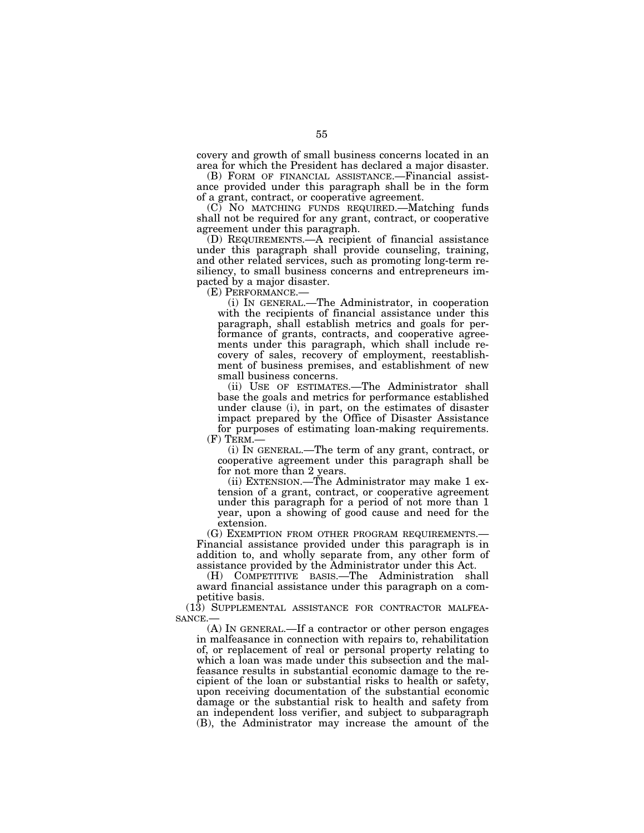covery and growth of small business concerns located in an area for which the President has declared a major disaster.

(B) FORM OF FINANCIAL ASSISTANCE.—Financial assistance provided under this paragraph shall be in the form of a grant, contract, or cooperative agreement.

(C) NO MATCHING FUNDS REQUIRED.—Matching funds shall not be required for any grant, contract, or cooperative agreement under this paragraph.

(D) REQUIREMENTS.—A recipient of financial assistance under this paragraph shall provide counseling, training, and other related services, such as promoting long-term resiliency, to small business concerns and entrepreneurs impacted by a major disaster.

(E) PERFORMANCE.—

(i) IN GENERAL.—The Administrator, in cooperation with the recipients of financial assistance under this paragraph, shall establish metrics and goals for performance of grants, contracts, and cooperative agreements under this paragraph, which shall include recovery of sales, recovery of employment, reestablishment of business premises, and establishment of new small business concerns.

(ii) USE OF ESTIMATES.—The Administrator shall base the goals and metrics for performance established under clause (i), in part, on the estimates of disaster impact prepared by the Office of Disaster Assistance for purposes of estimating loan-making requirements.<br>(F) TERM.—

(i) IN GENERAL.—The term of any grant, contract, or cooperative agreement under this paragraph shall be for not more than 2 years.

(ii) EXTENSION.—The Administrator may make 1 extension of a grant, contract, or cooperative agreement under this paragraph for a period of not more than 1 year, upon a showing of good cause and need for the

extension.<br>(G) EXEMPTION FROM OTHER PROGRAM REQUIREMENTS.— Financial assistance provided under this paragraph is in addition to, and wholly separate from, any other form of assistance provided by the Administrator under this Act.

(H) COMPETITIVE BASIS.—The Administration shall award financial assistance under this paragraph on a competitive basis.

(13) SUPPLEMENTAL ASSISTANCE FOR CONTRACTOR MALFEA-SANCE.—

(A) IN GENERAL.—If a contractor or other person engages in malfeasance in connection with repairs to, rehabilitation of, or replacement of real or personal property relating to which a loan was made under this subsection and the malfeasance results in substantial economic damage to the recipient of the loan or substantial risks to health or safety, upon receiving documentation of the substantial economic damage or the substantial risk to health and safety from an independent loss verifier, and subject to subparagraph (B), the Administrator may increase the amount of the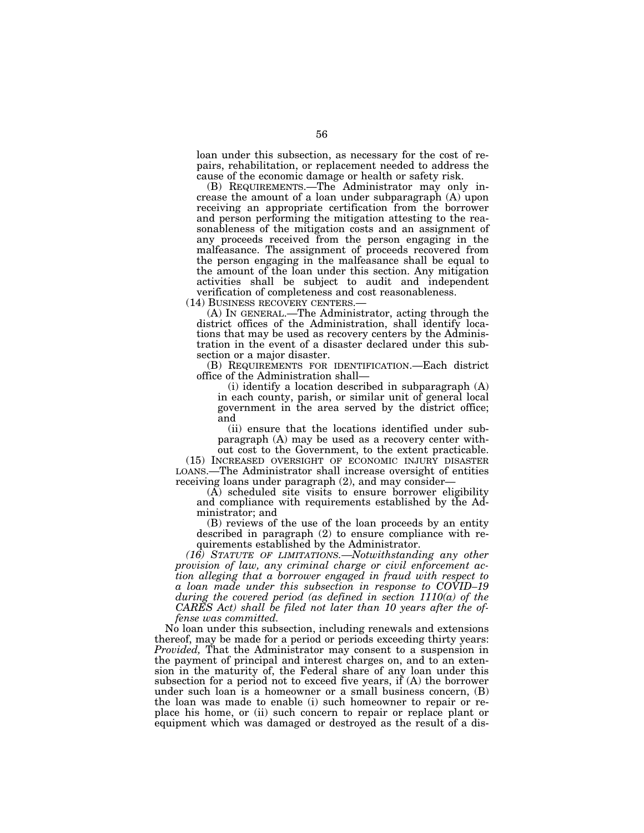loan under this subsection, as necessary for the cost of repairs, rehabilitation, or replacement needed to address the cause of the economic damage or health or safety risk.

(B) REQUIREMENTS.—The Administrator may only increase the amount of a loan under subparagraph (A) upon receiving an appropriate certification from the borrower and person performing the mitigation attesting to the reasonableness of the mitigation costs and an assignment of any proceeds received from the person engaging in the malfeasance. The assignment of proceeds recovered from the person engaging in the malfeasance shall be equal to the amount of the loan under this section. Any mitigation activities shall be subject to audit and independent verification of completeness and cost reasonableness.

(14) BUSINESS RECOVERY CENTERS.—

(A) IN GENERAL.—The Administrator, acting through the district offices of the Administration, shall identify locations that may be used as recovery centers by the Administration in the event of a disaster declared under this subsection or a major disaster.

(B) REQUIREMENTS FOR IDENTIFICATION.—Each district office of the Administration shall—

(i) identify a location described in subparagraph (A) in each county, parish, or similar unit of general local government in the area served by the district office; and

(ii) ensure that the locations identified under subparagraph (A) may be used as a recovery center with-

out cost to the Government, to the extent practicable. (15) INCREASED OVERSIGHT OF ECONOMIC INJURY DISASTER LOANS.—The Administrator shall increase oversight of entities receiving loans under paragraph (2), and may consider—

(A) scheduled site visits to ensure borrower eligibility and compliance with requirements established by the Administrator; and

(B) reviews of the use of the loan proceeds by an entity described in paragraph (2) to ensure compliance with requirements established by the Administrator.

*(16) STATUTE OF LIMITATIONS.—Notwithstanding any other provision of law, any criminal charge or civil enforcement action alleging that a borrower engaged in fraud with respect to a loan made under this subsection in response to COVID–19 during the covered period (as defined in section 1110(a) of the CARES Act) shall be filed not later than 10 years after the offense was committed.* 

No loan under this subsection, including renewals and extensions thereof, may be made for a period or periods exceeding thirty years: *Provided,* That the Administrator may consent to a suspension in the payment of principal and interest charges on, and to an extension in the maturity of, the Federal share of any loan under this subsection for a period not to exceed five years, if (A) the borrower under such loan is a homeowner or a small business concern, (B) the loan was made to enable (i) such homeowner to repair or replace his home, or (ii) such concern to repair or replace plant or equipment which was damaged or destroyed as the result of a dis-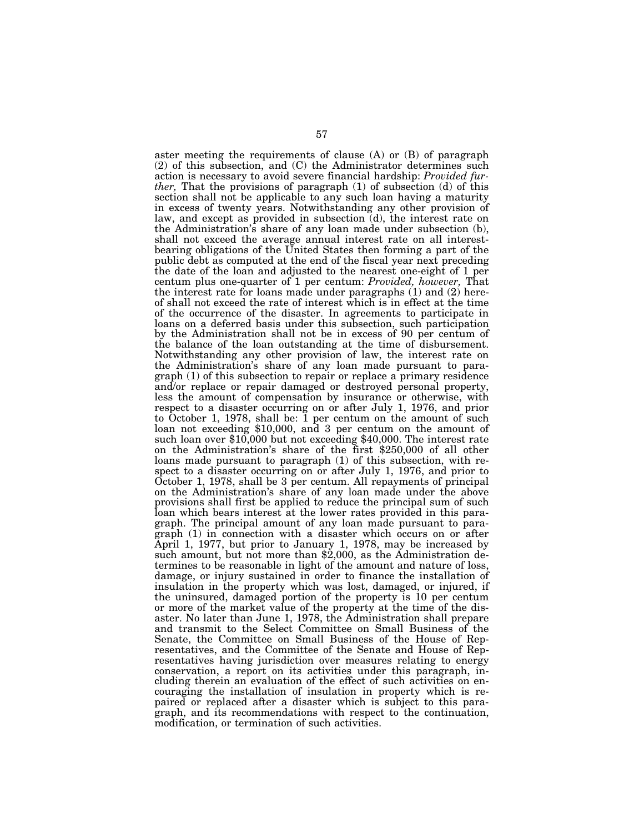aster meeting the requirements of clause (A) or (B) of paragraph (2) of this subsection, and (C) the Administrator determines such action is necessary to avoid severe financial hardship: *Provided further,* That the provisions of paragraph (1) of subsection (d) of this section shall not be applicable to any such loan having a maturity in excess of twenty years. Notwithstanding any other provision of law, and except as provided in subsection (d), the interest rate on the Administration's share of any loan made under subsection (b), shall not exceed the average annual interest rate on all interestbearing obligations of the United States then forming a part of the public debt as computed at the end of the fiscal year next preceding the date of the loan and adjusted to the nearest one-eight of 1 per centum plus one-quarter of 1 per centum: *Provided, however,* That the interest rate for loans made under paragraphs (1) and (2) hereof shall not exceed the rate of interest which is in effect at the time of the occurrence of the disaster. In agreements to participate in loans on a deferred basis under this subsection, such participation by the Administration shall not be in excess of 90 per centum of the balance of the loan outstanding at the time of disbursement. Notwithstanding any other provision of law, the interest rate on the Administration's share of any loan made pursuant to paragraph (1) of this subsection to repair or replace a primary residence and/or replace or repair damaged or destroyed personal property, less the amount of compensation by insurance or otherwise, with respect to a disaster occurring on or after July 1, 1976, and prior to October 1, 1978, shall be: 1 per centum on the amount of such loan not exceeding \$10,000, and 3 per centum on the amount of such loan over \$10,000 but not exceeding \$40,000. The interest rate on the Administration's share of the first \$250,000 of all other loans made pursuant to paragraph (1) of this subsection, with respect to a disaster occurring on or after July 1, 1976, and prior to October 1, 1978, shall be 3 per centum. All repayments of principal on the Administration's share of any loan made under the above provisions shall first be applied to reduce the principal sum of such loan which bears interest at the lower rates provided in this paragraph. The principal amount of any loan made pursuant to paragraph (1) in connection with a disaster which occurs on or after April 1, 1977, but prior to January 1, 1978, may be increased by such amount, but not more than \$2,000, as the Administration determines to be reasonable in light of the amount and nature of loss, damage, or injury sustained in order to finance the installation of insulation in the property which was lost, damaged, or injured, if the uninsured, damaged portion of the property is 10 per centum or more of the market value of the property at the time of the disaster. No later than June 1, 1978, the Administration shall prepare and transmit to the Select Committee on Small Business of the Senate, the Committee on Small Business of the House of Representatives, and the Committee of the Senate and House of Representatives having jurisdiction over measures relating to energy conservation, a report on its activities under this paragraph, including therein an evaluation of the effect of such activities on encouraging the installation of insulation in property which is repaired or replaced after a disaster which is subject to this paragraph, and its recommendations with respect to the continuation, modification, or termination of such activities.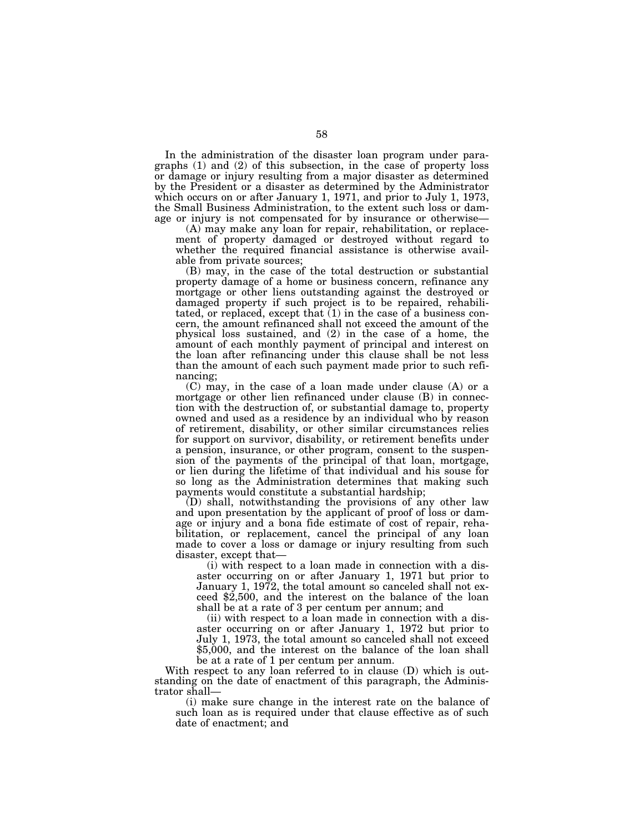In the administration of the disaster loan program under paragraphs (1) and (2) of this subsection, in the case of property loss or damage or injury resulting from a major disaster as determined by the President or a disaster as determined by the Administrator which occurs on or after January 1, 1971, and prior to July 1, 1973, the Small Business Administration, to the extent such loss or damage or injury is not compensated for by insurance or otherwise—

(A) may make any loan for repair, rehabilitation, or replacement of property damaged or destroyed without regard to whether the required financial assistance is otherwise available from private sources;

(B) may, in the case of the total destruction or substantial property damage of a home or business concern, refinance any mortgage or other liens outstanding against the destroyed or damaged property if such project is to be repaired, rehabilitated, or replaced, except that (1) in the case of a business concern, the amount refinanced shall not exceed the amount of the physical loss sustained, and (2) in the case of a home, the amount of each monthly payment of principal and interest on the loan after refinancing under this clause shall be not less than the amount of each such payment made prior to such refinancing;

(C) may, in the case of a loan made under clause (A) or a mortgage or other lien refinanced under clause (B) in connection with the destruction of, or substantial damage to, property owned and used as a residence by an individual who by reason of retirement, disability, or other similar circumstances relies for support on survivor, disability, or retirement benefits under a pension, insurance, or other program, consent to the suspension of the payments of the principal of that loan, mortgage, or lien during the lifetime of that individual and his souse for so long as the Administration determines that making such payments would constitute a substantial hardship;

(D) shall, notwithstanding the provisions of any other law and upon presentation by the applicant of proof of loss or damage or injury and a bona fide estimate of cost of repair, rehabilitation, or replacement, cancel the principal of any loan made to cover a loss or damage or injury resulting from such disaster, except that—

(i) with respect to a loan made in connection with a disaster occurring on or after January 1, 1971 but prior to January 1, 1972, the total amount so canceled shall not exceed \$2,500, and the interest on the balance of the loan shall be at a rate of 3 per centum per annum; and

(ii) with respect to a loan made in connection with a disaster occurring on or after January 1, 1972 but prior to July 1, 1973, the total amount so canceled shall not exceed \$5,000, and the interest on the balance of the loan shall be at a rate of 1 per centum per annum.

With respect to any loan referred to in clause (D) which is outstanding on the date of enactment of this paragraph, the Administrator shall—

(i) make sure change in the interest rate on the balance of such loan as is required under that clause effective as of such date of enactment; and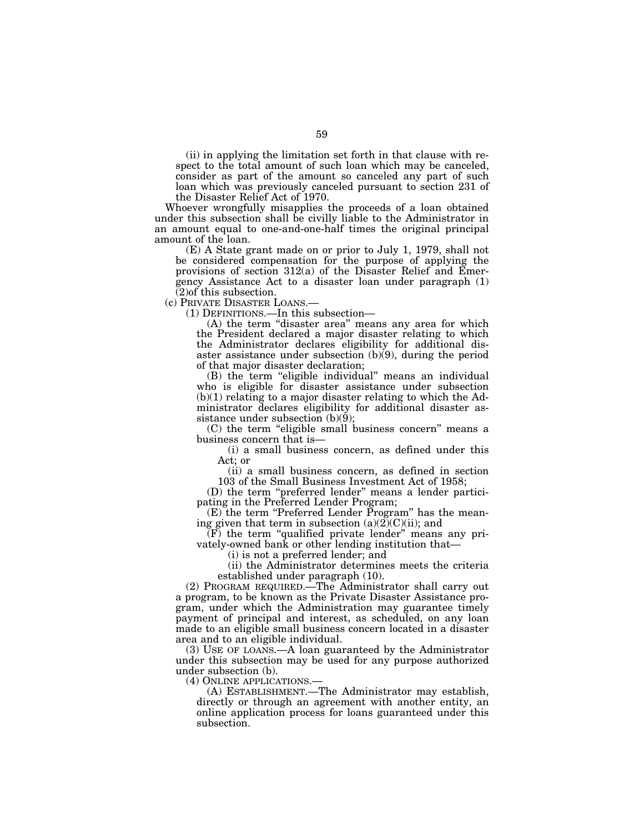(ii) in applying the limitation set forth in that clause with respect to the total amount of such loan which may be canceled, consider as part of the amount so canceled any part of such loan which was previously canceled pursuant to section 231 of the Disaster Relief Act of 1970.

Whoever wrongfully misapplies the proceeds of a loan obtained under this subsection shall be civilly liable to the Administrator in an amount equal to one-and-one-half times the original principal amount of the loan.

(E) A State grant made on or prior to July 1, 1979, shall not be considered compensation for the purpose of applying the provisions of section 312(a) of the Disaster Relief and Emergency Assistance Act to a disaster loan under paragraph (1) (2)of this subsection.

(c) PRIVATE DISASTER LOANS.—

(1) DEFINITIONS.—In this subsection—

(A) the term ''disaster area'' means any area for which the President declared a major disaster relating to which the Administrator declares eligibility for additional disaster assistance under subsection (b)(9), during the period of that major disaster declaration;

(B) the term "eligible individual" means an individual who is eligible for disaster assistance under subsection  $(b)(1)$  relating to a major disaster relating to which the Administrator declares eligibility for additional disaster assistance under subsection (b)(9);

(C) the term "eligible small business concern" means a business concern that is—

(i) a small business concern, as defined under this Act; or

(ii) a small business concern, as defined in section 103 of the Small Business Investment Act of 1958;

(D) the term ''preferred lender'' means a lender participating in the Preferred Lender Program;

(E) the term ''Preferred Lender Program'' has the meaning given that term in subsection  $(a)(2)(C)(ii)$ ; and

 $(F)$  the term "qualified private lender" means any privately-owned bank or other lending institution that—

(i) is not a preferred lender; and

(ii) the Administrator determines meets the criteria established under paragraph (10).

(2) PROGRAM REQUIRED.—The Administrator shall carry out a program, to be known as the Private Disaster Assistance program, under which the Administration may guarantee timely payment of principal and interest, as scheduled, on any loan made to an eligible small business concern located in a disaster area and to an eligible individual.

(3) USE OF LOANS.—A loan guaranteed by the Administrator under this subsection may be used for any purpose authorized under subsection (b).<br>(4) ONLINE APPLICATIONS.

(A) ESTABLISHMENT.— The Administrator may establish, directly or through an agreement with another entity, an online application process for loans guaranteed under this subsection.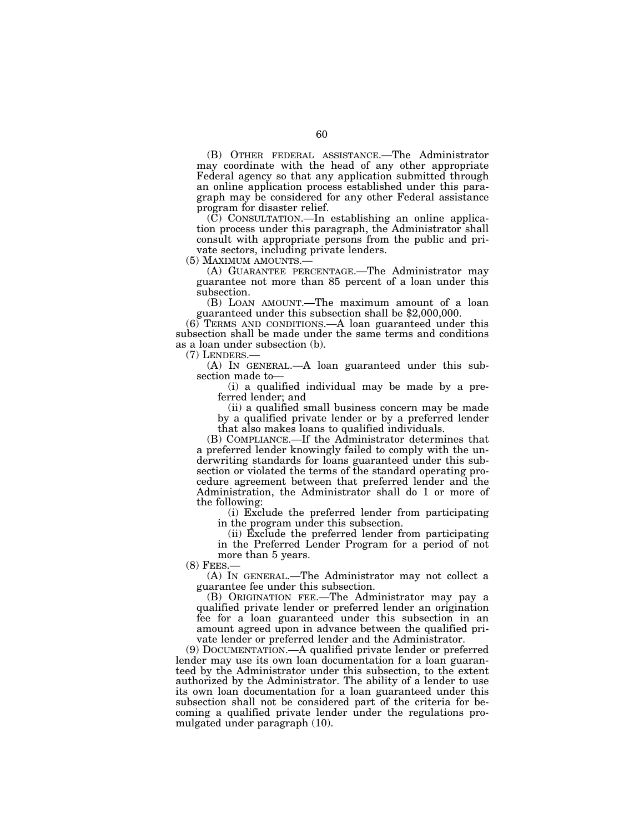(B) OTHER FEDERAL ASSISTANCE.—The Administrator may coordinate with the head of any other appropriate Federal agency so that any application submitted through an online application process established under this paragraph may be considered for any other Federal assistance program for disaster relief.

 $(\tilde{C})$  CONSULTATION.—In establishing an online application process under this paragraph, the Administrator shall consult with appropriate persons from the public and private sectors, including private lenders.<br>(5) MAXIMUM AMOUNTS.—

(A) GUARANTEE PERCENTAGE.—The Administrator may guarantee not more than 85 percent of a loan under this subsection.

(B) LOAN AMOUNT.—The maximum amount of a loan guaranteed under this subsection shall be \$2,000,000.

(6) TERMS AND CONDITIONS.—A loan guaranteed under this subsection shall be made under the same terms and conditions as a loan under subsection (b).

(7) LENDERS.—

(A) IN GENERAL.—A loan guaranteed under this subsection made to—

(i) a qualified individual may be made by a preferred lender; and

(ii) a qualified small business concern may be made by a qualified private lender or by a preferred lender that also makes loans to qualified individuals.

(B) COMPLIANCE.—If the Administrator determines that a preferred lender knowingly failed to comply with the underwriting standards for loans guaranteed under this subsection or violated the terms of the standard operating procedure agreement between that preferred lender and the Administration, the Administrator shall do 1 or more of the following:

(i) Exclude the preferred lender from participating in the program under this subsection.

(ii) Exclude the preferred lender from participating in the Preferred Lender Program for a period of not more than 5 years.

 $(8)$  FEES.

(A) IN GENERAL.—The Administrator may not collect a guarantee fee under this subsection.

(B) ORIGINATION FEE.—The Administrator may pay a qualified private lender or preferred lender an origination fee for a loan guaranteed under this subsection in an amount agreed upon in advance between the qualified private lender or preferred lender and the Administrator.

(9) DOCUMENTATION.—A qualified private lender or preferred lender may use its own loan documentation for a loan guaranteed by the Administrator under this subsection, to the extent authorized by the Administrator. The ability of a lender to use its own loan documentation for a loan guaranteed under this subsection shall not be considered part of the criteria for becoming a qualified private lender under the regulations promulgated under paragraph (10).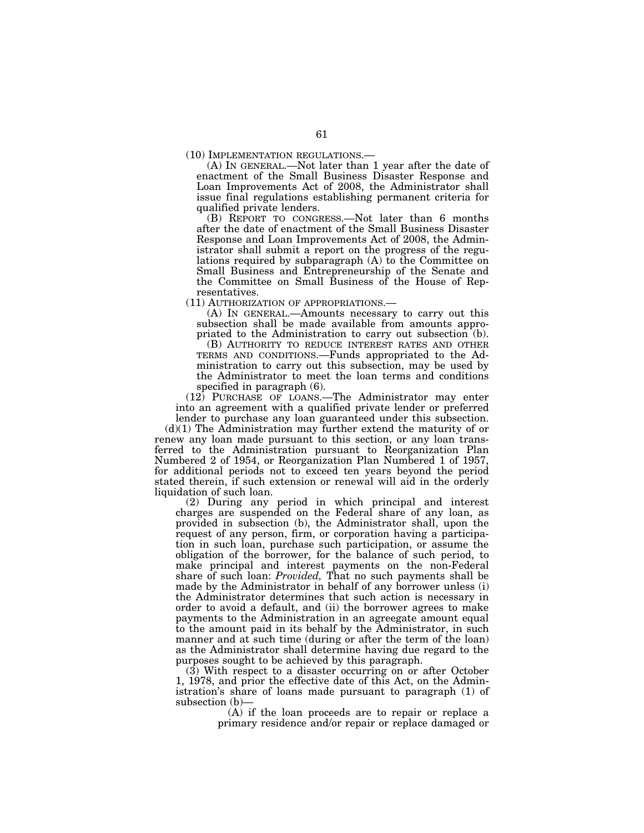(10) IMPLEMENTATION REGULATIONS.— (A) IN GENERAL.—Not later than 1 year after the date of enactment of the Small Business Disaster Response and Loan Improvements Act of 2008, the Administrator shall issue final regulations establishing permanent criteria for qualified private lenders.

(B) REPORT TO CONGRESS.—Not later than 6 months after the date of enactment of the Small Business Disaster Response and Loan Improvements Act of 2008, the Administrator shall submit a report on the progress of the regulations required by subparagraph (A) to the Committee on Small Business and Entrepreneurship of the Senate and the Committee on Small Business of the House of Representatives.

(11) AUTHORIZATION OF APPROPRIATIONS.—

(A) IN GENERAL.—Amounts necessary to carry out this subsection shall be made available from amounts appropriated to the Administration to carry out subsection (b).

(B) AUTHORITY TO REDUCE INTEREST RATES AND OTHER TERMS AND CONDITIONS.—Funds appropriated to the Administration to carry out this subsection, may be used by the Administrator to meet the loan terms and conditions specified in paragraph (6).

(12) PURCHASE OF LOANS.—The Administrator may enter into an agreement with a qualified private lender or preferred

lender to purchase any loan guaranteed under this subsection. (d)(1) The Administration may further extend the maturity of or renew any loan made pursuant to this section, or any loan transferred to the Administration pursuant to Reorganization Plan Numbered 2 of 1954, or Reorganization Plan Numbered 1 of 1957, for additional periods not to exceed ten years beyond the period stated therein, if such extension or renewal will aid in the orderly liquidation of such loan.

(2) During any period in which principal and interest charges are suspended on the Federal share of any loan, as provided in subsection (b), the Administrator shall, upon the request of any person, firm, or corporation having a participation in such loan, purchase such participation, or assume the obligation of the borrower, for the balance of such period, to make principal and interest payments on the non-Federal share of such loan: *Provided,* That no such payments shall be made by the Administrator in behalf of any borrower unless (i) the Administrator determines that such action is necessary in order to avoid a default, and (ii) the borrower agrees to make payments to the Administration in an agreegate amount equal to the amount paid in its behalf by the Administrator, in such manner and at such time (during or after the term of the loan) as the Administrator shall determine having due regard to the purposes sought to be achieved by this paragraph.

(3) With respect to a disaster occurring on or after October 1, 1978, and prior the effective date of this Act, on the Administration's share of loans made pursuant to paragraph (1) of subsection (b)—

(A) if the loan proceeds are to repair or replace a primary residence and/or repair or replace damaged or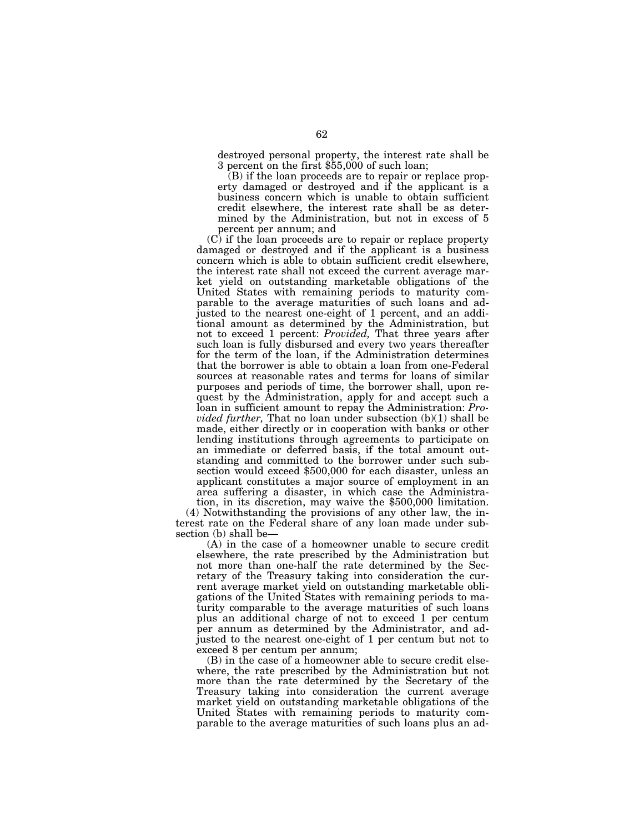destroyed personal property, the interest rate shall be 3 percent on the first \$55,000 of such loan;

(B) if the loan proceeds are to repair or replace property damaged or destroyed and if the applicant is a business concern which is unable to obtain sufficient credit elsewhere, the interest rate shall be as determined by the Administration, but not in excess of 5 percent per annum; and

(C) if the loan proceeds are to repair or replace property damaged or destroyed and if the applicant is a business concern which is able to obtain sufficient credit elsewhere, the interest rate shall not exceed the current average market yield on outstanding marketable obligations of the United States with remaining periods to maturity comparable to the average maturities of such loans and adjusted to the nearest one-eight of 1 percent, and an additional amount as determined by the Administration, but not to exceed 1 percent: *Provided,* That three years after such loan is fully disbursed and every two years thereafter for the term of the loan, if the Administration determines that the borrower is able to obtain a loan from one-Federal sources at reasonable rates and terms for loans of similar purposes and periods of time, the borrower shall, upon request by the Administration, apply for and accept such a loan in sufficient amount to repay the Administration: *Provided further,* That no loan under subsection (b)(1) shall be made, either directly or in cooperation with banks or other lending institutions through agreements to participate on an immediate or deferred basis, if the total amount outstanding and committed to the borrower under such subsection would exceed \$500,000 for each disaster, unless an applicant constitutes a major source of employment in an area suffering a disaster, in which case the Administration, in its discretion, may waive the \$500,000 limitation.

(4) Notwithstanding the provisions of any other law, the interest rate on the Federal share of any loan made under subsection (b) shall be—

(A) in the case of a homeowner unable to secure credit elsewhere, the rate prescribed by the Administration but not more than one-half the rate determined by the Secretary of the Treasury taking into consideration the current average market yield on outstanding marketable obligations of the United States with remaining periods to maturity comparable to the average maturities of such loans plus an additional charge of not to exceed 1 per centum per annum as determined by the Administrator, and adjusted to the nearest one-eight of 1 per centum but not to exceed 8 per centum per annum;

(B) in the case of a homeowner able to secure credit elsewhere, the rate prescribed by the Administration but not more than the rate determined by the Secretary of the Treasury taking into consideration the current average market yield on outstanding marketable obligations of the United States with remaining periods to maturity comparable to the average maturities of such loans plus an ad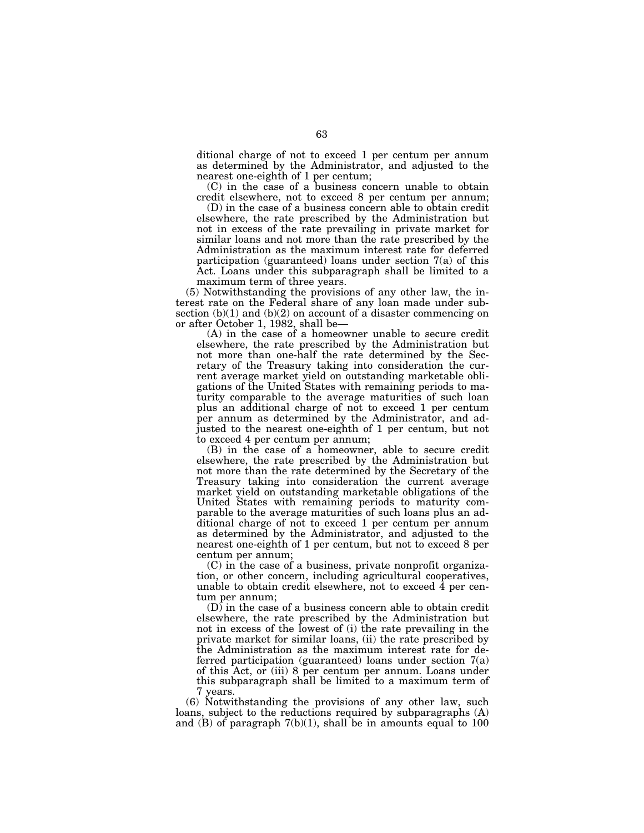ditional charge of not to exceed 1 per centum per annum as determined by the Administrator, and adjusted to the nearest one-eighth of 1 per centum;

(C) in the case of a business concern unable to obtain credit elsewhere, not to exceed 8 per centum per annum;

(D) in the case of a business concern able to obtain credit elsewhere, the rate prescribed by the Administration but not in excess of the rate prevailing in private market for similar loans and not more than the rate prescribed by the Administration as the maximum interest rate for deferred participation (guaranteed) loans under section 7(a) of this Act. Loans under this subparagraph shall be limited to a maximum term of three years.

(5) Notwithstanding the provisions of any other law, the interest rate on the Federal share of any loan made under subsection  $(b)(1)$  and  $(b)(2)$  on account of a disaster commencing on or after October 1, 1982, shall be—

(A) in the case of a homeowner unable to secure credit elsewhere, the rate prescribed by the Administration but not more than one-half the rate determined by the Secretary of the Treasury taking into consideration the current average market yield on outstanding marketable obligations of the United States with remaining periods to maturity comparable to the average maturities of such loan plus an additional charge of not to exceed 1 per centum per annum as determined by the Administrator, and adjusted to the nearest one-eighth of 1 per centum, but not to exceed 4 per centum per annum;

(B) in the case of a homeowner, able to secure credit elsewhere, the rate prescribed by the Administration but not more than the rate determined by the Secretary of the Treasury taking into consideration the current average market yield on outstanding marketable obligations of the United States with remaining periods to maturity comparable to the average maturities of such loans plus an additional charge of not to exceed 1 per centum per annum as determined by the Administrator, and adjusted to the nearest one-eighth of 1 per centum, but not to exceed 8 per centum per annum;

(C) in the case of a business, private nonprofit organization, or other concern, including agricultural cooperatives, unable to obtain credit elsewhere, not to exceed  $\overline{4}$  per centum per annum;

(D) in the case of a business concern able to obtain credit elsewhere, the rate prescribed by the Administration but not in excess of the lowest of (i) the rate prevailing in the private market for similar loans, (ii) the rate prescribed by the Administration as the maximum interest rate for deferred participation (guaranteed) loans under section 7(a) of this Act, or (iii) 8 per centum per annum. Loans under this subparagraph shall be limited to a maximum term of 7 years.

(6) Notwithstanding the provisions of any other law, such loans, subject to the reductions required by subparagraphs (A) and  $(B)$  of paragraph  $7(b)(1)$ , shall be in amounts equal to 100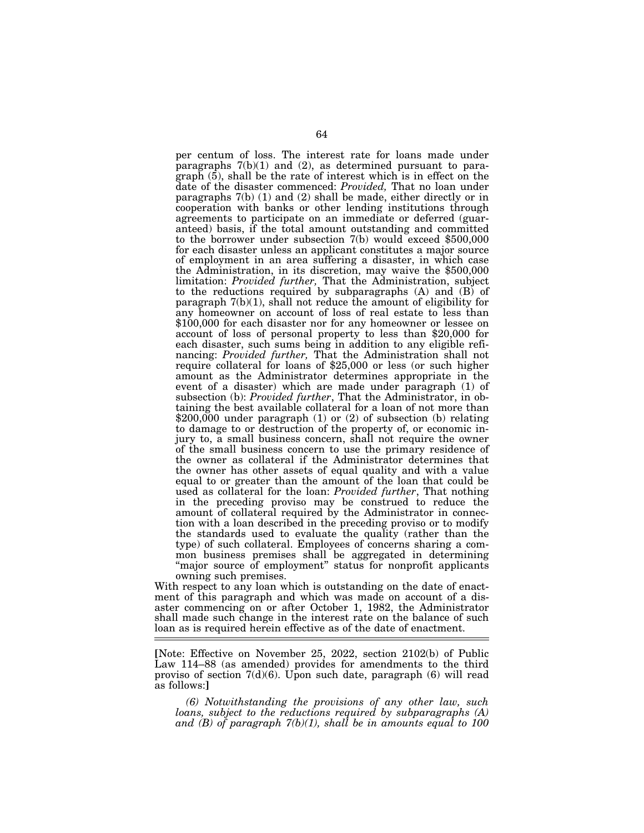per centum of loss. The interest rate for loans made under paragraphs 7(b)(1) and (2), as determined pursuant to paragraph (5), shall be the rate of interest which is in effect on the date of the disaster commenced: *Provided,* That no loan under paragraphs 7(b) (1) and (2) shall be made, either directly or in cooperation with banks or other lending institutions through agreements to participate on an immediate or deferred (guaranteed) basis, if the total amount outstanding and committed to the borrower under subsection 7(b) would exceed \$500,000 for each disaster unless an applicant constitutes a major source of employment in an area suffering a disaster, in which case the Administration, in its discretion, may waive the \$500,000 limitation: *Provided further,* That the Administration, subject to the reductions required by subparagraphs  $(A)$  and  $(B)$  of paragraph  $7(b)(1)$ , shall not reduce the amount of eligibility for any homeowner on account of loss of real estate to less than \$100,000 for each disaster nor for any homeowner or lessee on account of loss of personal property to less than \$20,000 for each disaster, such sums being in addition to any eligible refinancing: *Provided further,* That the Administration shall not require collateral for loans of \$25,000 or less (or such higher amount as the Administrator determines appropriate in the event of a disaster) which are made under paragraph (1) of subsection (b): *Provided further*, That the Administrator, in obtaining the best available collateral for a loan of not more than \$200,000 under paragraph (1) or (2) of subsection (b) relating to damage to or destruction of the property of, or economic injury to, a small business concern, shall not require the owner of the small business concern to use the primary residence of the owner as collateral if the Administrator determines that the owner has other assets of equal quality and with a value equal to or greater than the amount of the loan that could be used as collateral for the loan: *Provided further*, That nothing in the preceding proviso may be construed to reduce the amount of collateral required by the Administrator in connection with a loan described in the preceding proviso or to modify the standards used to evaluate the quality (rather than the type) of such collateral. Employees of concerns sharing a common business premises shall be aggregated in determining "major source of employment" status for nonprofit applicants owning such premises.

With respect to any loan which is outstanding on the date of enactment of this paragraph and which was made on account of a disaster commencing on or after October 1, 1982, the Administrator shall made such change in the interest rate on the balance of such loan as is required herein effective as of the date of enactment.

**[**Note: Effective on November 25, 2022, section 2102(b) of Public Law 114–88 (as amended) provides for amendments to the third proviso of section  $7(d)(6)$ . Upon such date, paragraph  $(6)$  will read as follows:**]** 

*(6) Notwithstanding the provisions of any other law, such loans, subject to the reductions required by subparagraphs (A) and (B) of paragraph 7(b)(1), shall be in amounts equal to 100*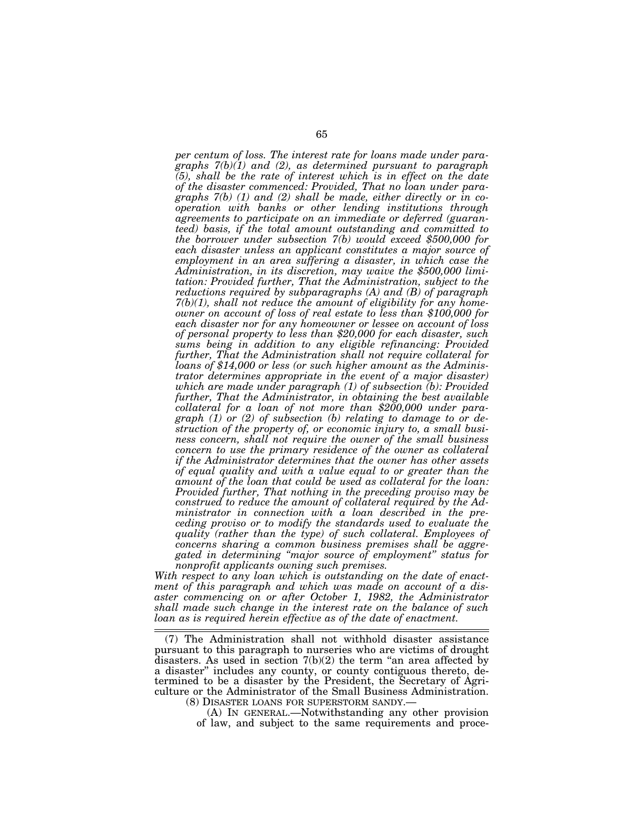*per centum of loss. The interest rate for loans made under paragraphs 7(b)(1) and (2), as determined pursuant to paragraph (5), shall be the rate of interest which is in effect on the date of the disaster commenced: Provided, That no loan under paragraphs 7(b) (1) and (2) shall be made, either directly or in cooperation with banks or other lending institutions through agreements to participate on an immediate or deferred (guaranteed) basis, if the total amount outstanding and committed to the borrower under subsection 7(b) would exceed \$500,000 for each disaster unless an applicant constitutes a major source of employment in an area suffering a disaster, in which case the Administration, in its discretion, may waive the \$500,000 limitation: Provided further, That the Administration, subject to the reductions required by subparagraphs (A) and (B) of paragraph 7(b)(1), shall not reduce the amount of eligibility for any homeowner on account of loss of real estate to less than \$100,000 for each disaster nor for any homeowner or lessee on account of loss of personal property to less than \$20,000 for each disaster, such sums being in addition to any eligible refinancing: Provided further, That the Administration shall not require collateral for loans of \$14,000 or less (or such higher amount as the Administrator determines appropriate in the event of a major disaster) which are made under paragraph (1) of subsection (b): Provided further, That the Administrator, in obtaining the best available collateral for a loan of not more than \$200,000 under paragraph (1) or (2) of subsection (b) relating to damage to or destruction of the property of, or economic injury to, a small business concern, shall not require the owner of the small business concern to use the primary residence of the owner as collateral if the Administrator determines that the owner has other assets of equal quality and with a value equal to or greater than the amount of the loan that could be used as collateral for the loan: Provided further, That nothing in the preceding proviso may be construed to reduce the amount of collateral required by the Administrator in connection with a loan described in the preceding proviso or to modify the standards used to evaluate the quality (rather than the type) of such collateral. Employees of concerns sharing a common business premises shall be aggregated in determining ''major source of employment'' status for nonprofit applicants owning such premises.* 

*With respect to any loan which is outstanding on the date of enactment of this paragraph and which was made on account of a disaster commencing on or after October 1, 1982, the Administrator shall made such change in the interest rate on the balance of such loan as is required herein effective as of the date of enactment.* 

<sup>(7)</sup> The Administration shall not withhold disaster assistance pursuant to this paragraph to nurseries who are victims of drought disasters. As used in section  $7(b)(2)$  the term "an area affected by a disaster'' includes any county, or county contiguous thereto, determined to be a disaster by the President, the Secretary of Agriculture or the Administrator of the Small Business Administration. (8) DISASTER LOANS FOR SUPERSTORM SANDY.—

<sup>(</sup>A) IN GENERAL.—Notwithstanding any other provision of law, and subject to the same requirements and proce-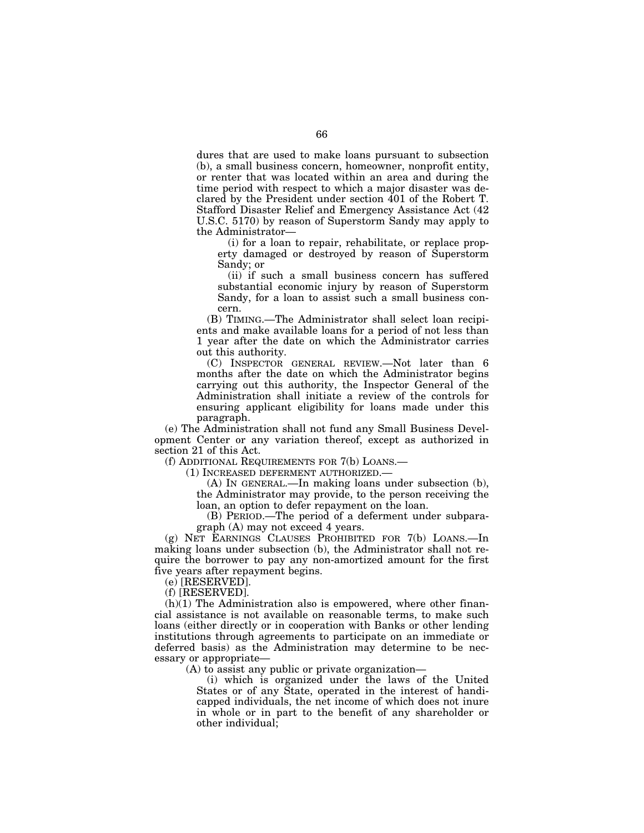dures that are used to make loans pursuant to subsection (b), a small business concern, homeowner, nonprofit entity, or renter that was located within an area and during the time period with respect to which a major disaster was declared by the President under section 401 of the Robert T. Stafford Disaster Relief and Emergency Assistance Act (42 U.S.C. 5170) by reason of Superstorm Sandy may apply to the Administrator—

(i) for a loan to repair, rehabilitate, or replace property damaged or destroyed by reason of Superstorm Sandy; or

(ii) if such a small business concern has suffered substantial economic injury by reason of Superstorm Sandy, for a loan to assist such a small business concern.

(B) TIMING.—The Administrator shall select loan recipients and make available loans for a period of not less than 1 year after the date on which the Administrator carries out this authority.

(C) INSPECTOR GENERAL REVIEW.—Not later than 6 months after the date on which the Administrator begins carrying out this authority, the Inspector General of the Administration shall initiate a review of the controls for ensuring applicant eligibility for loans made under this paragraph.

(e) The Administration shall not fund any Small Business Development Center or any variation thereof, except as authorized in section 21 of this Act.

(f) ADDITIONAL REQUIREMENTS FOR 7(b) LOANS.—

(1) INCREASED DEFERMENT AUTHORIZED.—

(A) IN GENERAL.—In making loans under subsection (b), the Administrator may provide, to the person receiving the loan, an option to defer repayment on the loan.

(B) PERIOD.—The period of a deferment under subparagraph (A) may not exceed 4 years.

(g) NET EARNINGS CLAUSES PROHIBITED FOR 7(b) LOANS.—In making loans under subsection (b), the Administrator shall not require the borrower to pay any non-amortized amount for the first five years after repayment begins.

(e) [RESERVED].

(f) [RESERVED].

 $(h)(1)$  The Administration also is empowered, where other financial assistance is not available on reasonable terms, to make such loans (either directly or in cooperation with Banks or other lending institutions through agreements to participate on an immediate or deferred basis) as the Administration may determine to be necessary or appropriate—

(A) to assist any public or private organization—

(i) which is organized under the laws of the United States or of any State, operated in the interest of handicapped individuals, the net income of which does not inure in whole or in part to the benefit of any shareholder or other individual;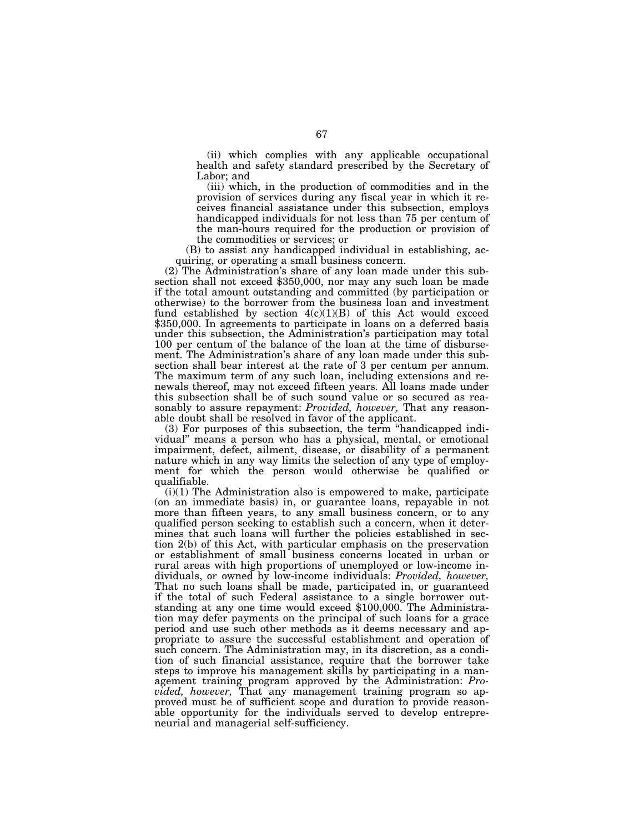(ii) which complies with any applicable occupational health and safety standard prescribed by the Secretary of Labor; and

(iii) which, in the production of commodities and in the provision of services during any fiscal year in which it receives financial assistance under this subsection, employs handicapped individuals for not less than 75 per centum of the man-hours required for the production or provision of the commodities or services; or

(B) to assist any handicapped individual in establishing, ac-

quiring, or operating a small business concern.<br>(2) The Administration's share of any loan made under this subsection shall not exceed \$350,000, nor may any such loan be made if the total amount outstanding and committed (by participation or otherwise) to the borrower from the business loan and investment fund established by section  $4(c)(1)(B)$  of this Act would exceed \$350,000. In agreements to participate in loans on a deferred basis under this subsection, the Administration's participation may total 100 per centum of the balance of the loan at the time of disbursement. The Administration's share of any loan made under this subsection shall bear interest at the rate of 3 per centum per annum. The maximum term of any such loan, including extensions and renewals thereof, may not exceed fifteen years. All loans made under this subsection shall be of such sound value or so secured as reasonably to assure repayment: *Provided, however,* That any reasonable doubt shall be resolved in favor of the applicant.

(3) For purposes of this subsection, the term ''handicapped individual'' means a person who has a physical, mental, or emotional impairment, defect, ailment, disease, or disability of a permanent nature which in any way limits the selection of any type of employment for which the person would otherwise be qualified or qualifiable.

(i)(1) The Administration also is empowered to make, participate (on an immediate basis) in, or guarantee loans, repayable in not more than fifteen years, to any small business concern, or to any qualified person seeking to establish such a concern, when it determines that such loans will further the policies established in section 2(b) of this Act, with particular emphasis on the preservation or establishment of small business concerns located in urban or rural areas with high proportions of unemployed or low-income individuals, or owned by low-income individuals: *Provided, however,*  That no such loans shall be made, participated in, or guaranteed if the total of such Federal assistance to a single borrower outstanding at any one time would exceed \$100,000. The Administration may defer payments on the principal of such loans for a grace period and use such other methods as it deems necessary and appropriate to assure the successful establishment and operation of such concern. The Administration may, in its discretion, as a condition of such financial assistance, require that the borrower take steps to improve his management skills by participating in a management training program approved by the Administration: *Provided, however,* That any management training program so approved must be of sufficient scope and duration to provide reasonable opportunity for the individuals served to develop entrepreneurial and managerial self-sufficiency.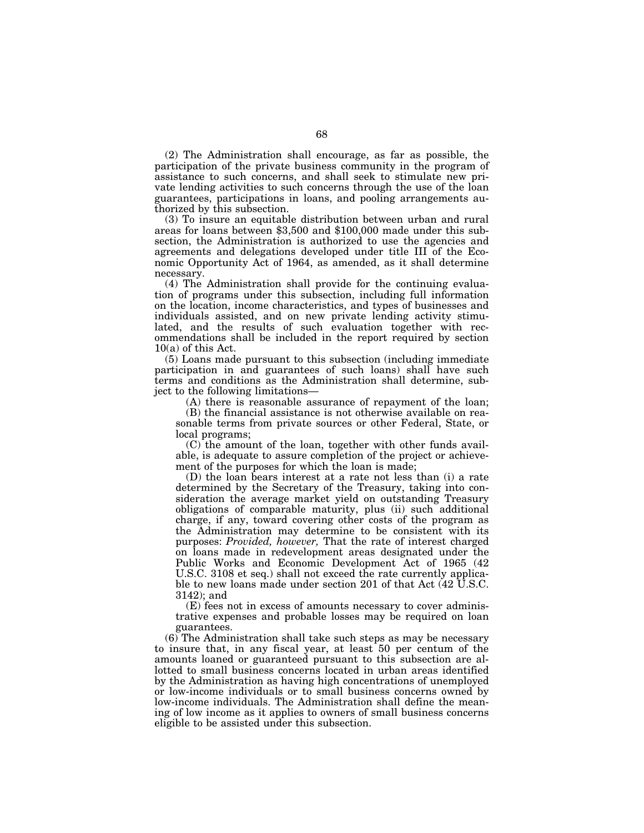(2) The Administration shall encourage, as far as possible, the participation of the private business community in the program of assistance to such concerns, and shall seek to stimulate new private lending activities to such concerns through the use of the loan guarantees, participations in loans, and pooling arrangements authorized by this subsection.

(3) To insure an equitable distribution between urban and rural areas for loans between \$3,500 and \$100,000 made under this subsection, the Administration is authorized to use the agencies and agreements and delegations developed under title III of the Economic Opportunity Act of 1964, as amended, as it shall determine necessary.

(4) The Administration shall provide for the continuing evaluation of programs under this subsection, including full information on the location, income characteristics, and types of businesses and individuals assisted, and on new private lending activity stimulated, and the results of such evaluation together with recommendations shall be included in the report required by section  $10(a)$  of this Act.

(5) Loans made pursuant to this subsection (including immediate participation in and guarantees of such loans) shall have such terms and conditions as the Administration shall determine, subject to the following limitations—

(A) there is reasonable assurance of repayment of the loan;

(B) the financial assistance is not otherwise available on reasonable terms from private sources or other Federal, State, or local programs;

(C) the amount of the loan, together with other funds available, is adequate to assure completion of the project or achievement of the purposes for which the loan is made;

(D) the loan bears interest at a rate not less than (i) a rate determined by the Secretary of the Treasury, taking into consideration the average market yield on outstanding Treasury obligations of comparable maturity, plus (ii) such additional charge, if any, toward covering other costs of the program as the Administration may determine to be consistent with its purposes: *Provided, however,* That the rate of interest charged on loans made in redevelopment areas designated under the Public Works and Economic Development Act of 1965 (42 U.S.C. 3108 et seq.) shall not exceed the rate currently applicable to new loans made under section 201 of that Act (42 U.S.C. 3142); and

(E) fees not in excess of amounts necessary to cover administrative expenses and probable losses may be required on loan guarantees.

(6) The Administration shall take such steps as may be necessary to insure that, in any fiscal year, at least 50 per centum of the amounts loaned or guaranteed pursuant to this subsection are allotted to small business concerns located in urban areas identified by the Administration as having high concentrations of unemployed or low-income individuals or to small business concerns owned by low-income individuals. The Administration shall define the meaning of low income as it applies to owners of small business concerns eligible to be assisted under this subsection.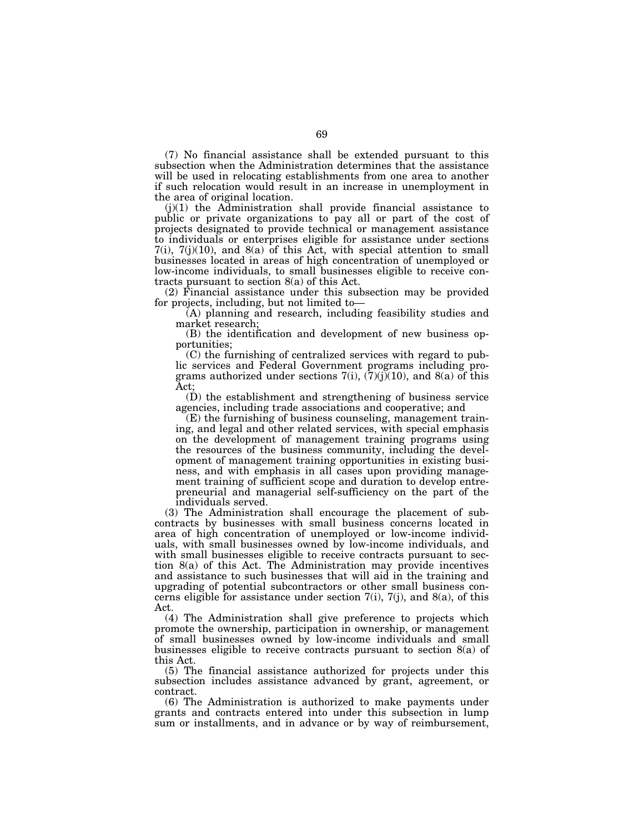(7) No financial assistance shall be extended pursuant to this subsection when the Administration determines that the assistance will be used in relocating establishments from one area to another if such relocation would result in an increase in unemployment in the area of original location.

 $(j)(1)$  the Administration shall provide financial assistance to public or private organizations to pay all or part of the cost of projects designated to provide technical or management assistance to individuals or enterprises eligible for assistance under sections  $7(i)$ ,  $7(j)(10)$ , and  $8(a)$  of this Act, with special attention to small businesses located in areas of high concentration of unemployed or low-income individuals, to small businesses eligible to receive contracts pursuant to section 8(a) of this Act.

(2) Financial assistance under this subsection may be provided for projects, including, but not limited to—

(A) planning and research, including feasibility studies and market research;

(B) the identification and development of new business opportunities;

(C) the furnishing of centralized services with regard to public services and Federal Government programs including programs authorized under sections  $7(i)$ ,  $(7)(j)(10)$ , and  $8(a)$  of this Act;

(D) the establishment and strengthening of business service agencies, including trade associations and cooperative; and

(E) the furnishing of business counseling, management training, and legal and other related services, with special emphasis on the development of management training programs using the resources of the business community, including the development of management training opportunities in existing business, and with emphasis in all cases upon providing management training of sufficient scope and duration to develop entrepreneurial and managerial self-sufficiency on the part of the individuals served.

(3) The Administration shall encourage the placement of subcontracts by businesses with small business concerns located in area of high concentration of unemployed or low-income individuals, with small businesses owned by low-income individuals, and with small businesses eligible to receive contracts pursuant to section 8(a) of this Act. The Administration may provide incentives and assistance to such businesses that will aid in the training and upgrading of potential subcontractors or other small business concerns eligible for assistance under section  $7(i)$ ,  $7(j)$ , and  $8(a)$ , of this Act.

(4) The Administration shall give preference to projects which promote the ownership, participation in ownership, or management of small businesses owned by low-income individuals and small businesses eligible to receive contracts pursuant to section 8(a) of this Act.

(5) The financial assistance authorized for projects under this subsection includes assistance advanced by grant, agreement, or contract.

(6) The Administration is authorized to make payments under grants and contracts entered into under this subsection in lump sum or installments, and in advance or by way of reimbursement,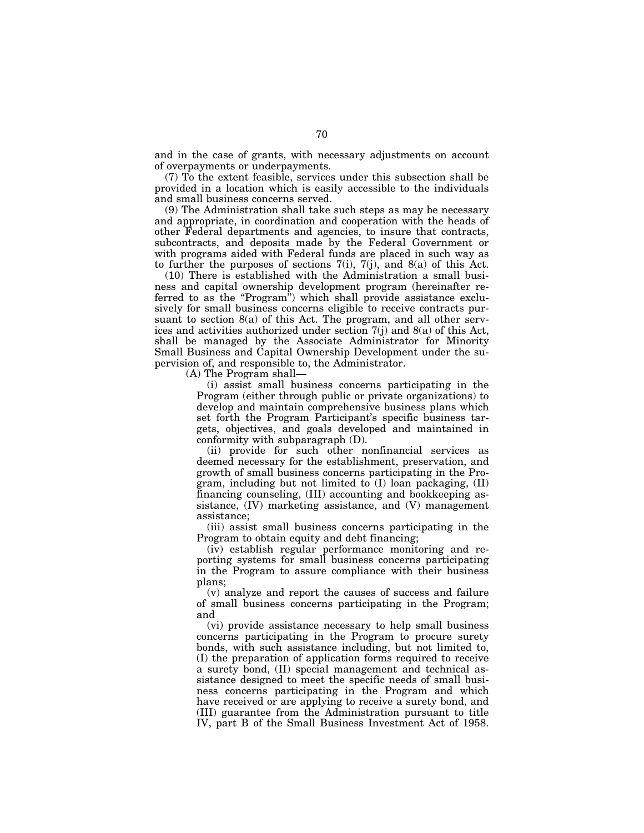and in the case of grants, with necessary adjustments on account of overpayments or underpayments.

(7) To the extent feasible, services under this subsection shall be provided in a location which is easily accessible to the individuals and small business concerns served.

(9) The Administration shall take such steps as may be necessary and appropriate, in coordination and cooperation with the heads of other Federal departments and agencies, to insure that contracts, subcontracts, and deposits made by the Federal Government or with programs aided with Federal funds are placed in such way as to further the purposes of sections  $7(i)$ ,  $7(j)$ , and  $8(a)$  of this Act.

(10) There is established with the Administration a small business and capital ownership development program (hereinafter referred to as the "Program") which shall provide assistance exclusively for small business concerns eligible to receive contracts pursuant to section 8(a) of this Act. The program, and all other services and activities authorized under section 7(j) and 8(a) of this Act, shall be managed by the Associate Administrator for Minority Small Business and Capital Ownership Development under the supervision of, and responsible to, the Administrator.

(A) The Program shall—

(i) assist small business concerns participating in the Program (either through public or private organizations) to develop and maintain comprehensive business plans which set forth the Program Participant's specific business targets, objectives, and goals developed and maintained in conformity with subparagraph (D).

(ii) provide for such other nonfinancial services as deemed necessary for the establishment, preservation, and growth of small business concerns participating in the Program, including but not limited to (I) loan packaging, (II) financing counseling, (III) accounting and bookkeeping assistance, (IV) marketing assistance, and (V) management assistance;

(iii) assist small business concerns participating in the Program to obtain equity and debt financing;

(iv) establish regular performance monitoring and reporting systems for small business concerns participating in the Program to assure compliance with their business plans;

(v) analyze and report the causes of success and failure of small business concerns participating in the Program; and

(vi) provide assistance necessary to help small business concerns participating in the Program to procure surety bonds, with such assistance including, but not limited to, (I) the preparation of application forms required to receive a surety bond, (II) special management and technical assistance designed to meet the specific needs of small business concerns participating in the Program and which have received or are applying to receive a surety bond, and (III) guarantee from the Administration pursuant to title IV, part B of the Small Business Investment Act of 1958.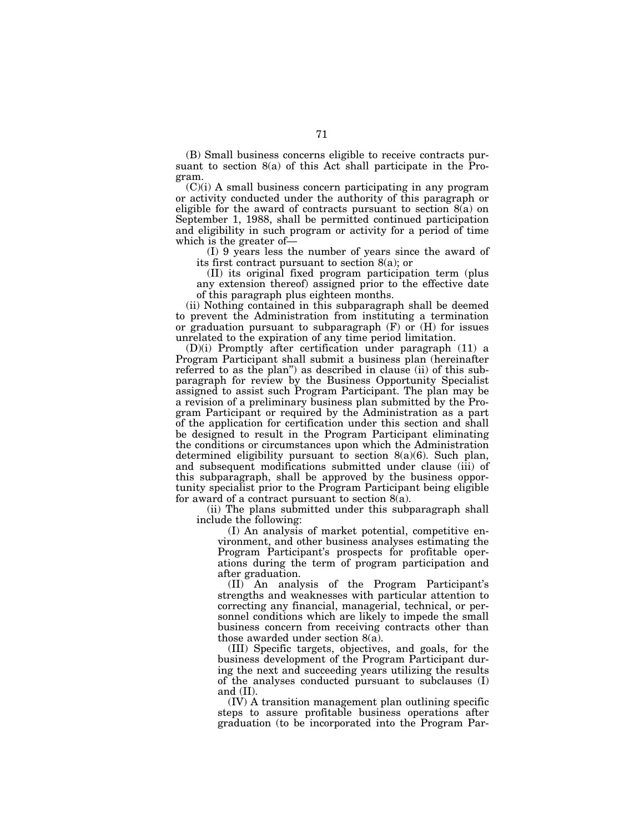(B) Small business concerns eligible to receive contracts pursuant to section 8(a) of this Act shall participate in the Program.

(C)(i) A small business concern participating in any program or activity conducted under the authority of this paragraph or eligible for the award of contracts pursuant to section 8(a) on September 1, 1988, shall be permitted continued participation and eligibility in such program or activity for a period of time which is the greater of—

(I) 9 years less the number of years since the award of its first contract pursuant to section 8(a); or

(II) its original fixed program participation term (plus any extension thereof) assigned prior to the effective date of this paragraph plus eighteen months.

(ii) Nothing contained in this subparagraph shall be deemed to prevent the Administration from instituting a termination or graduation pursuant to subparagraph  $(F)$  or  $(H)$  for issues unrelated to the expiration of any time period limitation.

(D)(i) Promptly after certification under paragraph (11) a Program Participant shall submit a business plan (hereinafter referred to as the plan'') as described in clause (ii) of this subparagraph for review by the Business Opportunity Specialist assigned to assist such Program Participant. The plan may be a revision of a preliminary business plan submitted by the Program Participant or required by the Administration as a part of the application for certification under this section and shall be designed to result in the Program Participant eliminating the conditions or circumstances upon which the Administration determined eligibility pursuant to section  $8(a)(6)$ . Such plan, and subsequent modifications submitted under clause (iii) of this subparagraph, shall be approved by the business opportunity specialist prior to the Program Participant being eligible for award of a contract pursuant to section 8(a).

(ii) The plans submitted under this subparagraph shall include the following:

(I) An analysis of market potential, competitive environment, and other business analyses estimating the Program Participant's prospects for profitable operations during the term of program participation and after graduation.

(II) An analysis of the Program Participant's strengths and weaknesses with particular attention to correcting any financial, managerial, technical, or personnel conditions which are likely to impede the small business concern from receiving contracts other than those awarded under section 8(a).

(III) Specific targets, objectives, and goals, for the business development of the Program Participant during the next and succeeding years utilizing the results of the analyses conducted pursuant to subclauses (I) and (II).

(IV) A transition management plan outlining specific steps to assure profitable business operations after graduation (to be incorporated into the Program Par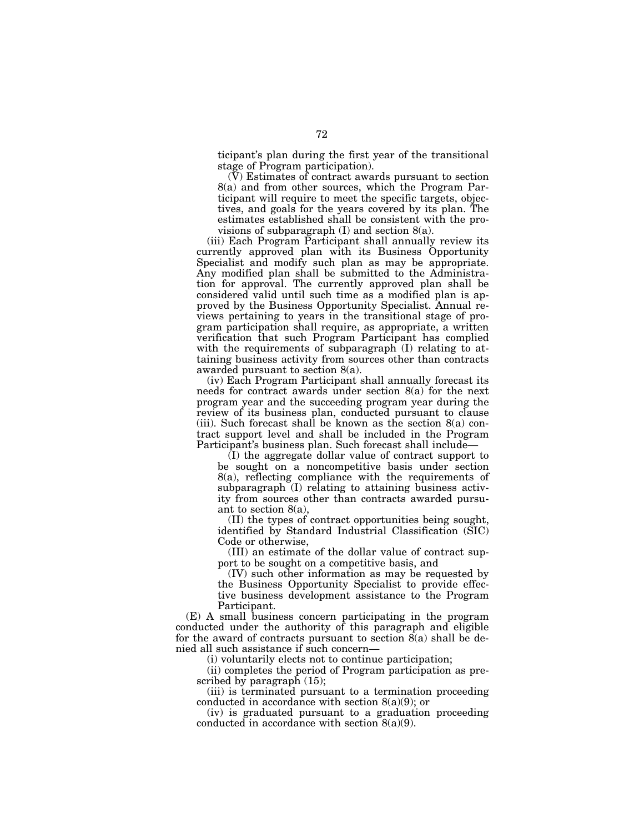ticipant's plan during the first year of the transitional stage of Program participation).

(V) Estimates of contract awards pursuant to section 8(a) and from other sources, which the Program Participant will require to meet the specific targets, objectives, and goals for the years covered by its plan. The estimates established shall be consistent with the provisions of subparagraph (I) and section 8(a).

(iii) Each Program Participant shall annually review its currently approved plan with its Business Opportunity Specialist and modify such plan as may be appropriate. Any modified plan shall be submitted to the Administration for approval. The currently approved plan shall be considered valid until such time as a modified plan is approved by the Business Opportunity Specialist. Annual reviews pertaining to years in the transitional stage of program participation shall require, as appropriate, a written verification that such Program Participant has complied with the requirements of subparagraph (I) relating to attaining business activity from sources other than contracts awarded pursuant to section 8(a).

(iv) Each Program Participant shall annually forecast its needs for contract awards under section 8(a) for the next program year and the succeeding program year during the review of its business plan, conducted pursuant to clause (iii). Such forecast shall be known as the section  $8(a)$  contract support level and shall be included in the Program Participant's business plan. Such forecast shall include—

(I) the aggregate dollar value of contract support to be sought on a noncompetitive basis under section 8(a), reflecting compliance with the requirements of subparagraph (I) relating to attaining business activity from sources other than contracts awarded pursuant to section 8(a),

(II) the types of contract opportunities being sought, identified by Standard Industrial Classification (SIC) Code or otherwise,

(III) an estimate of the dollar value of contract support to be sought on a competitive basis, and

(IV) such other information as may be requested by the Business Opportunity Specialist to provide effective business development assistance to the Program Participant.

(E) A small business concern participating in the program conducted under the authority of this paragraph and eligible for the award of contracts pursuant to section 8(a) shall be denied all such assistance if such concern—

(i) voluntarily elects not to continue participation;

(ii) completes the period of Program participation as prescribed by paragraph  $(15)$ ;

(iii) is terminated pursuant to a termination proceeding conducted in accordance with section 8(a)(9); or

(iv) is graduated pursuant to a graduation proceeding conducted in accordance with section 8(a)(9).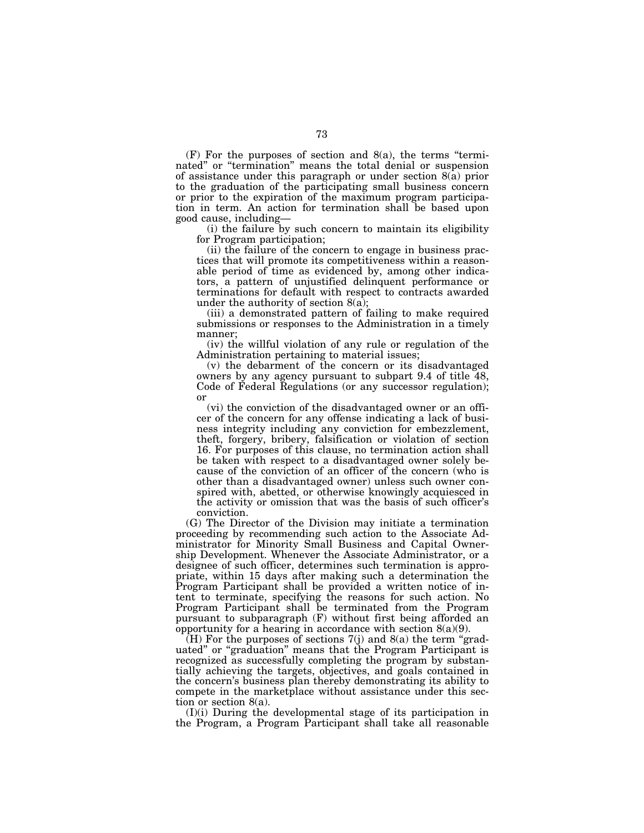$(F)$  For the purposes of section and  $8(a)$ , the terms "terminated'' or ''termination'' means the total denial or suspension of assistance under this paragraph or under section 8(a) prior to the graduation of the participating small business concern or prior to the expiration of the maximum program participation in term. An action for termination shall be based upon good cause, including—

(i) the failure by such concern to maintain its eligibility for Program participation;

(ii) the failure of the concern to engage in business practices that will promote its competitiveness within a reasonable period of time as evidenced by, among other indicators, a pattern of unjustified delinquent performance or terminations for default with respect to contracts awarded under the authority of section  $8(a)$ ;

(iii) a demonstrated pattern of failing to make required submissions or responses to the Administration in a timely manner;

(iv) the willful violation of any rule or regulation of the Administration pertaining to material issues;

(v) the debarment of the concern or its disadvantaged owners by any agency pursuant to subpart 9.4 of title 48, Code of Federal Regulations (or any successor regulation); or

(vi) the conviction of the disadvantaged owner or an officer of the concern for any offense indicating a lack of business integrity including any conviction for embezzlement, theft, forgery, bribery, falsification or violation of section 16. For purposes of this clause, no termination action shall be taken with respect to a disadvantaged owner solely because of the conviction of an officer of the concern (who is other than a disadvantaged owner) unless such owner conspired with, abetted, or otherwise knowingly acquiesced in the activity or omission that was the basis of such officer's conviction.

(G) The Director of the Division may initiate a termination proceeding by recommending such action to the Associate Administrator for Minority Small Business and Capital Ownership Development. Whenever the Associate Administrator, or a designee of such officer, determines such termination is appropriate, within 15 days after making such a determination the Program Participant shall be provided a written notice of intent to terminate, specifying the reasons for such action. No Program Participant shall be terminated from the Program pursuant to subparagraph (F) without first being afforded an opportunity for a hearing in accordance with section  $8(a)(9)$ .

 $(H)$  For the purposes of sections  $7(j)$  and  $8(a)$  the term "graduated'' or ''graduation'' means that the Program Participant is recognized as successfully completing the program by substantially achieving the targets, objectives, and goals contained in the concern's business plan thereby demonstrating its ability to compete in the marketplace without assistance under this section or section 8(a).

(I)(i) During the developmental stage of its participation in the Program, a Program Participant shall take all reasonable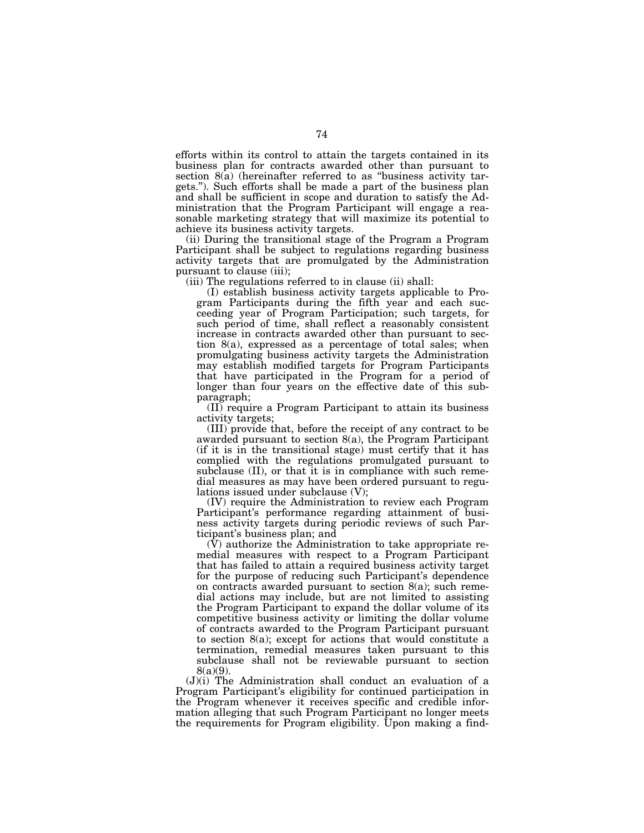efforts within its control to attain the targets contained in its business plan for contracts awarded other than pursuant to section  $8(a)$  (hereinafter referred to as "business activity targets.''). Such efforts shall be made a part of the business plan and shall be sufficient in scope and duration to satisfy the Administration that the Program Participant will engage a reasonable marketing strategy that will maximize its potential to achieve its business activity targets.

(ii) During the transitional stage of the Program a Program Participant shall be subject to regulations regarding business activity targets that are promulgated by the Administration pursuant to clause (iii);

(iii) The regulations referred to in clause (ii) shall:

(I) establish business activity targets applicable to Program Participants during the fifth year and each succeeding year of Program Participation; such targets, for such period of time, shall reflect a reasonably consistent increase in contracts awarded other than pursuant to section 8(a), expressed as a percentage of total sales; when promulgating business activity targets the Administration may establish modified targets for Program Participants that have participated in the Program for a period of longer than four years on the effective date of this subparagraph;

(II) require a Program Participant to attain its business activity targets;

(III) provide that, before the receipt of any contract to be awarded pursuant to section 8(a), the Program Participant (if it is in the transitional stage) must certify that it has complied with the regulations promulgated pursuant to subclause (II), or that it is in compliance with such remedial measures as may have been ordered pursuant to regulations issued under subclause (V);

(IV) require the Administration to review each Program Participant's performance regarding attainment of business activity targets during periodic reviews of such Participant's business plan; and

(V) authorize the Administration to take appropriate remedial measures with respect to a Program Participant that has failed to attain a required business activity target for the purpose of reducing such Participant's dependence on contracts awarded pursuant to section 8(a); such remedial actions may include, but are not limited to assisting the Program Participant to expand the dollar volume of its competitive business activity or limiting the dollar volume of contracts awarded to the Program Participant pursuant to section 8(a); except for actions that would constitute a termination, remedial measures taken pursuant to this subclause shall not be reviewable pursuant to section 8(a)(9).

(J)(i) The Administration shall conduct an evaluation of a Program Participant's eligibility for continued participation in the Program whenever it receives specific and credible information alleging that such Program Participant no longer meets the requirements for Program eligibility. Upon making a find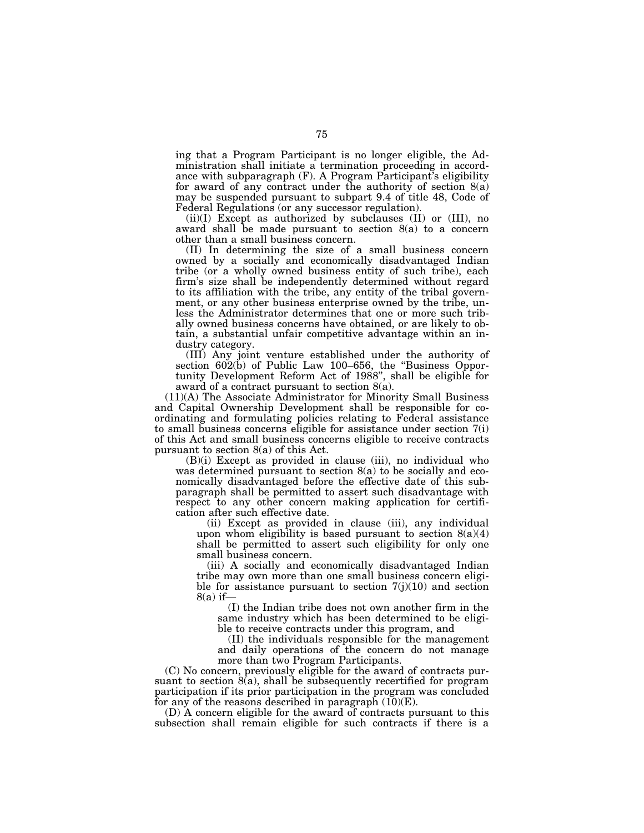ing that a Program Participant is no longer eligible, the Administration shall initiate a termination proceeding in accordance with subparagraph (F). A Program Participant's eligibility for award of any contract under the authority of section  $8(a)$ may be suspended pursuant to subpart 9.4 of title 48, Code of Federal Regulations (or any successor regulation).

(ii)(I) Except as authorized by subclauses (II) or (III), no award shall be made pursuant to section 8(a) to a concern other than a small business concern.

(II) In determining the size of a small business concern owned by a socially and economically disadvantaged Indian tribe (or a wholly owned business entity of such tribe), each firm's size shall be independently determined without regard to its affiliation with the tribe, any entity of the tribal government, or any other business enterprise owned by the tribe, unless the Administrator determines that one or more such tribally owned business concerns have obtained, or are likely to obtain, a substantial unfair competitive advantage within an industry category.

(III) Any joint venture established under the authority of section 602(b) of Public Law 100–656, the ''Business Opportunity Development Reform Act of 1988'', shall be eligible for award of a contract pursuant to section 8(a).

(11)(A) The Associate Administrator for Minority Small Business and Capital Ownership Development shall be responsible for coordinating and formulating policies relating to Federal assistance to small business concerns eligible for assistance under section 7(i) of this Act and small business concerns eligible to receive contracts pursuant to section 8(a) of this Act.

(B)(i) Except as provided in clause (iii), no individual who was determined pursuant to section 8(a) to be socially and economically disadvantaged before the effective date of this subparagraph shall be permitted to assert such disadvantage with respect to any other concern making application for certification after such effective date.

(ii) Except as provided in clause (iii), any individual upon whom eligibility is based pursuant to section  $8(a)(4)$ shall be permitted to assert such eligibility for only one small business concern.

(iii) A socially and economically disadvantaged Indian tribe may own more than one small business concern eligible for assistance pursuant to section  $7(j)(10)$  and section  $8(a)$  if-

(I) the Indian tribe does not own another firm in the same industry which has been determined to be eligible to receive contracts under this program, and

(II) the individuals responsible for the management and daily operations of the concern do not manage more than two Program Participants.

(C) No concern, previously eligible for the award of contracts pursuant to section  $\hat{8(a)}$ , shall be subsequently recertified for program participation if its prior participation in the program was concluded for any of the reasons described in paragraph  $(10)(E)$ .

(D) A concern eligible for the award of contracts pursuant to this subsection shall remain eligible for such contracts if there is a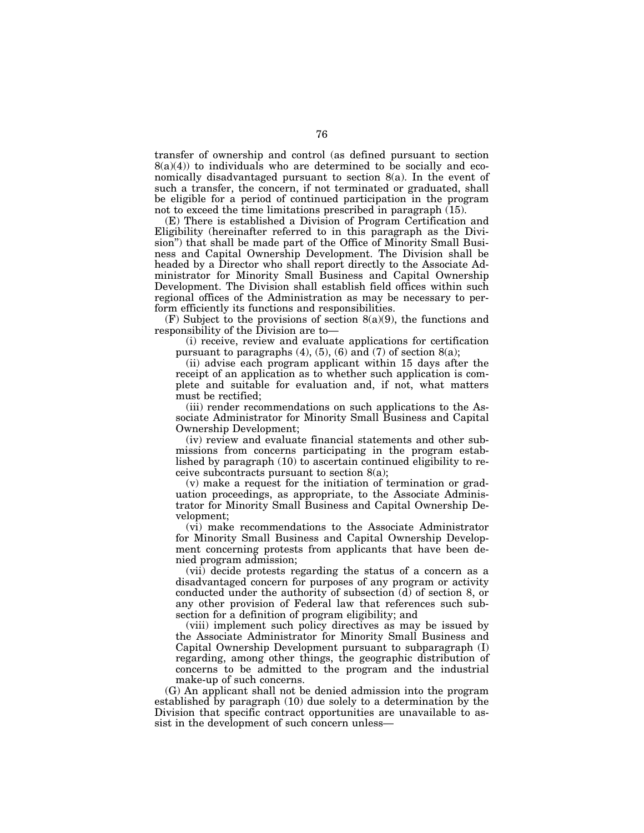transfer of ownership and control (as defined pursuant to section  $8(a)(4)$  to individuals who are determined to be socially and economically disadvantaged pursuant to section 8(a). In the event of such a transfer, the concern, if not terminated or graduated, shall be eligible for a period of continued participation in the program not to exceed the time limitations prescribed in paragraph (15).

(E) There is established a Division of Program Certification and Eligibility (hereinafter referred to in this paragraph as the Division") that shall be made part of the Office of Minority Small Business and Capital Ownership Development. The Division shall be headed by a Director who shall report directly to the Associate Administrator for Minority Small Business and Capital Ownership Development. The Division shall establish field offices within such regional offices of the Administration as may be necessary to perform efficiently its functions and responsibilities.

 $(F)$  Subject to the provisions of section  $8(a)(9)$ , the functions and responsibility of the Division are to—

(i) receive, review and evaluate applications for certification pursuant to paragraphs  $(4)$ ,  $(5)$ ,  $(6)$  and  $(7)$  of section  $8(a)$ ;

(ii) advise each program applicant within 15 days after the receipt of an application as to whether such application is complete and suitable for evaluation and, if not, what matters must be rectified;

(iii) render recommendations on such applications to the Associate Administrator for Minority Small Business and Capital Ownership Development;

(iv) review and evaluate financial statements and other submissions from concerns participating in the program established by paragraph (10) to ascertain continued eligibility to receive subcontracts pursuant to section  $8(a)$ ;

(v) make a request for the initiation of termination or graduation proceedings, as appropriate, to the Associate Administrator for Minority Small Business and Capital Ownership Development;

(vi) make recommendations to the Associate Administrator for Minority Small Business and Capital Ownership Development concerning protests from applicants that have been denied program admission;

(vii) decide protests regarding the status of a concern as a disadvantaged concern for purposes of any program or activity conducted under the authority of subsection (d) of section 8, or any other provision of Federal law that references such subsection for a definition of program eligibility; and

(viii) implement such policy directives as may be issued by the Associate Administrator for Minority Small Business and Capital Ownership Development pursuant to subparagraph (I) regarding, among other things, the geographic distribution of concerns to be admitted to the program and the industrial make-up of such concerns.

(G) An applicant shall not be denied admission into the program established by paragraph (10) due solely to a determination by the Division that specific contract opportunities are unavailable to assist in the development of such concern unless—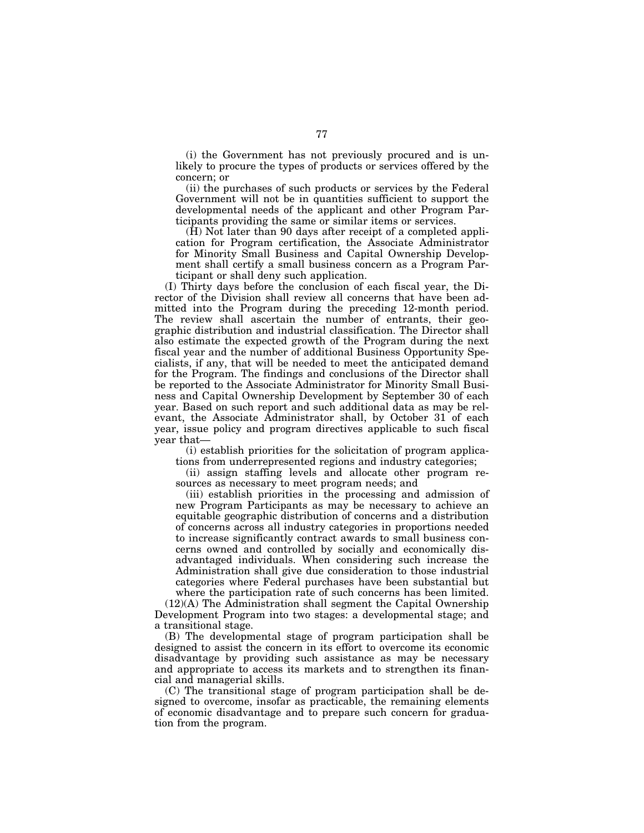(i) the Government has not previously procured and is unlikely to procure the types of products or services offered by the concern; or

(ii) the purchases of such products or services by the Federal Government will not be in quantities sufficient to support the developmental needs of the applicant and other Program Participants providing the same or similar items or services.

 $(H)$  Not later than 90 days after receipt of a completed application for Program certification, the Associate Administrator for Minority Small Business and Capital Ownership Development shall certify a small business concern as a Program Participant or shall deny such application.

(I) Thirty days before the conclusion of each fiscal year, the Director of the Division shall review all concerns that have been admitted into the Program during the preceding 12-month period. The review shall ascertain the number of entrants, their geographic distribution and industrial classification. The Director shall also estimate the expected growth of the Program during the next fiscal year and the number of additional Business Opportunity Specialists, if any, that will be needed to meet the anticipated demand for the Program. The findings and conclusions of the Director shall be reported to the Associate Administrator for Minority Small Business and Capital Ownership Development by September 30 of each year. Based on such report and such additional data as may be relevant, the Associate Administrator shall, by October 31 of each year, issue policy and program directives applicable to such fiscal year that—

(i) establish priorities for the solicitation of program applications from underrepresented regions and industry categories;

(ii) assign staffing levels and allocate other program resources as necessary to meet program needs; and

(iii) establish priorities in the processing and admission of new Program Participants as may be necessary to achieve an equitable geographic distribution of concerns and a distribution of concerns across all industry categories in proportions needed to increase significantly contract awards to small business concerns owned and controlled by socially and economically disadvantaged individuals. When considering such increase the Administration shall give due consideration to those industrial categories where Federal purchases have been substantial but where the participation rate of such concerns has been limited.

(12)(A) The Administration shall segment the Capital Ownership Development Program into two stages: a developmental stage; and a transitional stage.

(B) The developmental stage of program participation shall be designed to assist the concern in its effort to overcome its economic disadvantage by providing such assistance as may be necessary and appropriate to access its markets and to strengthen its financial and managerial skills.

(C) The transitional stage of program participation shall be designed to overcome, insofar as practicable, the remaining elements of economic disadvantage and to prepare such concern for graduation from the program.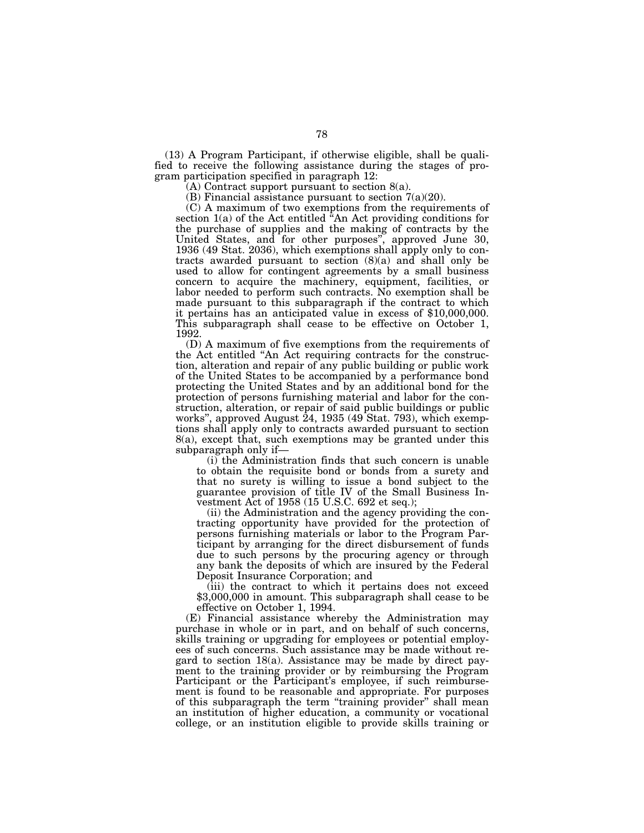(13) A Program Participant, if otherwise eligible, shall be qualified to receive the following assistance during the stages of program participation specified in paragraph 12:

 $(A)$  Contract support pursuant to section  $8(a)$ .

(B) Financial assistance pursuant to section  $7(a)(20)$ .

(C) A maximum of two exemptions from the requirements of section  $1(a)$  of the Act entitled  $^t$ An Act providing conditions for the purchase of supplies and the making of contracts by the United States, and for other purposes'', approved June 30, 1936 (49 Stat. 2036), which exemptions shall apply only to contracts awarded pursuant to section (8)(a) and shall only be used to allow for contingent agreements by a small business concern to acquire the machinery, equipment, facilities, or labor needed to perform such contracts. No exemption shall be made pursuant to this subparagraph if the contract to which it pertains has an anticipated value in excess of \$10,000,000. This subparagraph shall cease to be effective on October 1, 1992.

(D) A maximum of five exemptions from the requirements of the Act entitled ''An Act requiring contracts for the construction, alteration and repair of any public building or public work of the United States to be accompanied by a performance bond protecting the United States and by an additional bond for the protection of persons furnishing material and labor for the construction, alteration, or repair of said public buildings or public works'', approved August 24, 1935 (49 Stat. 793), which exemptions shall apply only to contracts awarded pursuant to section 8(a), except that, such exemptions may be granted under this subparagraph only if—

(i) the Administration finds that such concern is unable to obtain the requisite bond or bonds from a surety and that no surety is willing to issue a bond subject to the guarantee provision of title IV of the Small Business Investment Act of 1958 (15 U.S.C. 692 et seq.);

(ii) the Administration and the agency providing the contracting opportunity have provided for the protection of persons furnishing materials or labor to the Program Participant by arranging for the direct disbursement of funds due to such persons by the procuring agency or through any bank the deposits of which are insured by the Federal Deposit Insurance Corporation; and

(iii) the contract to which it pertains does not exceed \$3.000,000 in amount. This subparagraph shall cease to be effective on October 1, 1994.

(E) Financial assistance whereby the Administration may purchase in whole or in part, and on behalf of such concerns, skills training or upgrading for employees or potential employees of such concerns. Such assistance may be made without regard to section 18(a). Assistance may be made by direct payment to the training provider or by reimbursing the Program Participant or the Participant's employee, if such reimbursement is found to be reasonable and appropriate. For purposes of this subparagraph the term ''training provider'' shall mean an institution of higher education, a community or vocational college, or an institution eligible to provide skills training or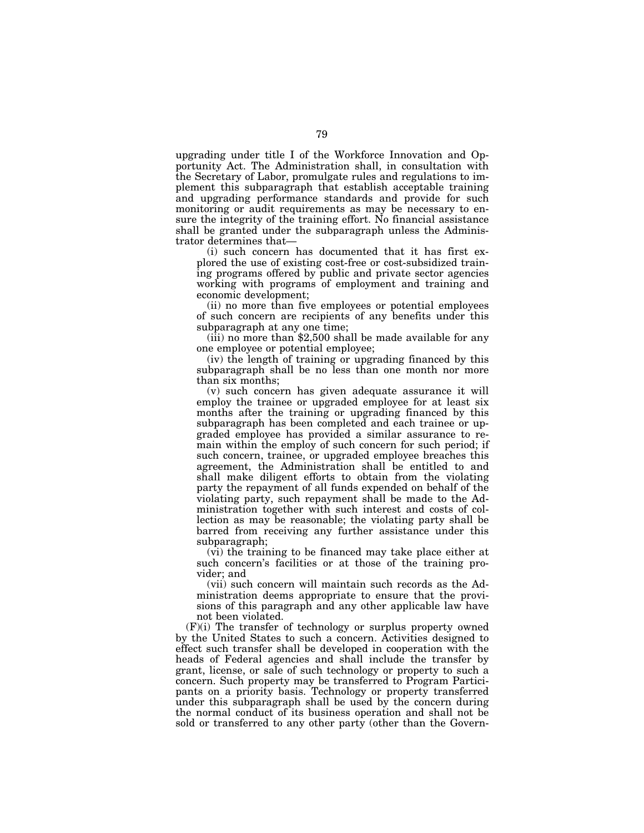upgrading under title I of the Workforce Innovation and Opportunity Act. The Administration shall, in consultation with the Secretary of Labor, promulgate rules and regulations to implement this subparagraph that establish acceptable training and upgrading performance standards and provide for such monitoring or audit requirements as may be necessary to ensure the integrity of the training effort. No financial assistance shall be granted under the subparagraph unless the Administrator determines that—

(i) such concern has documented that it has first explored the use of existing cost-free or cost-subsidized training programs offered by public and private sector agencies working with programs of employment and training and economic development;

(ii) no more than five employees or potential employees of such concern are recipients of any benefits under this subparagraph at any one time;

(iii) no more than \$2,500 shall be made available for any one employee or potential employee;

(iv) the length of training or upgrading financed by this subparagraph shall be no less than one month nor more than six months;

(v) such concern has given adequate assurance it will employ the trainee or upgraded employee for at least six months after the training or upgrading financed by this subparagraph has been completed and each trainee or upgraded employee has provided a similar assurance to remain within the employ of such concern for such period; if such concern, trainee, or upgraded employee breaches this agreement, the Administration shall be entitled to and shall make diligent efforts to obtain from the violating party the repayment of all funds expended on behalf of the violating party, such repayment shall be made to the Administration together with such interest and costs of collection as may be reasonable; the violating party shall be barred from receiving any further assistance under this subparagraph;

(vi) the training to be financed may take place either at such concern's facilities or at those of the training provider; and

(vii) such concern will maintain such records as the Administration deems appropriate to ensure that the provisions of this paragraph and any other applicable law have not been violated.

(F)(i) The transfer of technology or surplus property owned by the United States to such a concern. Activities designed to effect such transfer shall be developed in cooperation with the heads of Federal agencies and shall include the transfer by grant, license, or sale of such technology or property to such a concern. Such property may be transferred to Program Participants on a priority basis. Technology or property transferred under this subparagraph shall be used by the concern during the normal conduct of its business operation and shall not be sold or transferred to any other party (other than the Govern-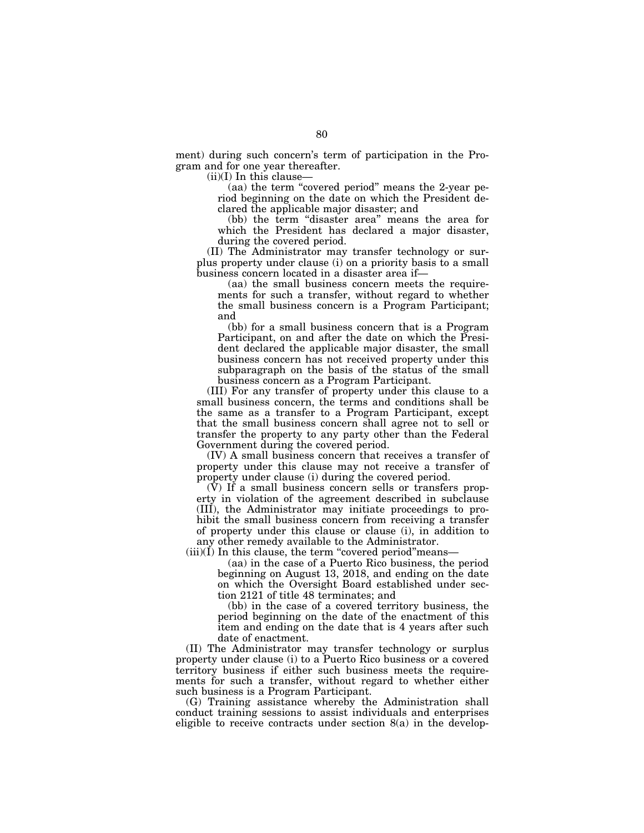ment) during such concern's term of participation in the Program and for one year thereafter.

 $(ii)(I)$  In this clause-

(aa) the term ''covered period'' means the 2-year period beginning on the date on which the President declared the applicable major disaster; and

(bb) the term "disaster area" means the area for which the President has declared a major disaster, during the covered period.

(II) The Administrator may transfer technology or surplus property under clause (i) on a priority basis to a small business concern located in a disaster area if—

(aa) the small business concern meets the requirements for such a transfer, without regard to whether the small business concern is a Program Participant; and

(bb) for a small business concern that is a Program Participant, on and after the date on which the President declared the applicable major disaster, the small business concern has not received property under this subparagraph on the basis of the status of the small business concern as a Program Participant.

(III) For any transfer of property under this clause to a small business concern, the terms and conditions shall be the same as a transfer to a Program Participant, except that the small business concern shall agree not to sell or transfer the property to any party other than the Federal Government during the covered period.

(IV) A small business concern that receives a transfer of property under this clause may not receive a transfer of property under clause (i) during the covered period.

(V) If a small business concern sells or transfers property in violation of the agreement described in subclause (III), the Administrator may initiate proceedings to prohibit the small business concern from receiving a transfer of property under this clause or clause (i), in addition to any other remedy available to the Administrator.

 $(iii)(I)$  In this clause, the term "covered period" means-

(aa) in the case of a Puerto Rico business, the period beginning on August 13, 2018, and ending on the date on which the Oversight Board established under section 2121 of title 48 terminates; and

(bb) in the case of a covered territory business, the period beginning on the date of the enactment of this item and ending on the date that is 4 years after such date of enactment.

(II) The Administrator may transfer technology or surplus property under clause (i) to a Puerto Rico business or a covered territory business if either such business meets the requirements for such a transfer, without regard to whether either such business is a Program Participant.

(G) Training assistance whereby the Administration shall conduct training sessions to assist individuals and enterprises eligible to receive contracts under section 8(a) in the develop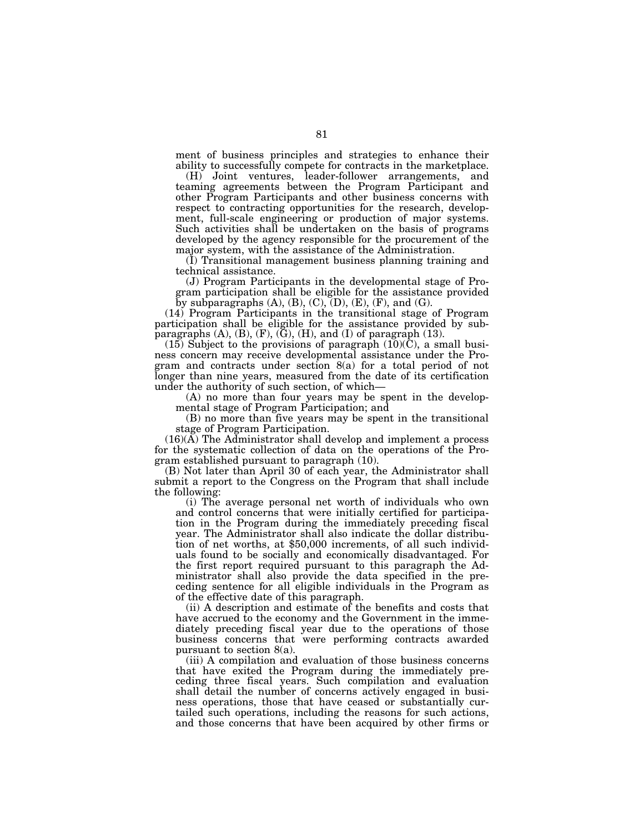ment of business principles and strategies to enhance their ability to successfully compete for contracts in the marketplace.

(H) Joint ventures, leader-follower arrangements, and teaming agreements between the Program Participant and other Program Participants and other business concerns with respect to contracting opportunities for the research, development, full-scale engineering or production of major systems. Such activities shall be undertaken on the basis of programs developed by the agency responsible for the procurement of the major system, with the assistance of the Administration.

(I) Transitional management business planning training and technical assistance.

(J) Program Participants in the developmental stage of Program participation shall be eligible for the assistance provided by subparagraphs  $(A)$ ,  $(B)$ ,  $(C)$ ,  $(D)$ ,  $(E)$ ,  $(F)$ , and  $(G)$ .

(14) Program Participants in the transitional stage of Program participation shall be eligible for the assistance provided by subparagraphs  $(A)$ ,  $(B)$ ,  $(F)$ ,  $(\overline{G})$ ,  $(H)$ , and  $(I)$  of paragraph  $(13)$ .

 $(15)$  Subject to the provisions of paragraph  $(10)(C)$ , a small business concern may receive developmental assistance under the Program and contracts under section 8(a) for a total period of not longer than nine years, measured from the date of its certification under the authority of such section, of which—

(A) no more than four years may be spent in the developmental stage of Program Participation; and

(B) no more than five years may be spent in the transitional stage of Program Participation.

 $(16)(\overline{A})$  The Administrator shall develop and implement a process for the systematic collection of data on the operations of the Program established pursuant to paragraph (10).

(B) Not later than April 30 of each year, the Administrator shall submit a report to the Congress on the Program that shall include the following:

(i) The average personal net worth of individuals who own and control concerns that were initially certified for participation in the Program during the immediately preceding fiscal year. The Administrator shall also indicate the dollar distribution of net worths, at \$50,000 increments, of all such individuals found to be socially and economically disadvantaged. For the first report required pursuant to this paragraph the Administrator shall also provide the data specified in the preceding sentence for all eligible individuals in the Program as of the effective date of this paragraph.

(ii) A description and estimate of the benefits and costs that have accrued to the economy and the Government in the immediately preceding fiscal year due to the operations of those business concerns that were performing contracts awarded pursuant to section 8(a).

(iii) A compilation and evaluation of those business concerns that have exited the Program during the immediately preceding three fiscal years. Such compilation and evaluation shall detail the number of concerns actively engaged in business operations, those that have ceased or substantially curtailed such operations, including the reasons for such actions, and those concerns that have been acquired by other firms or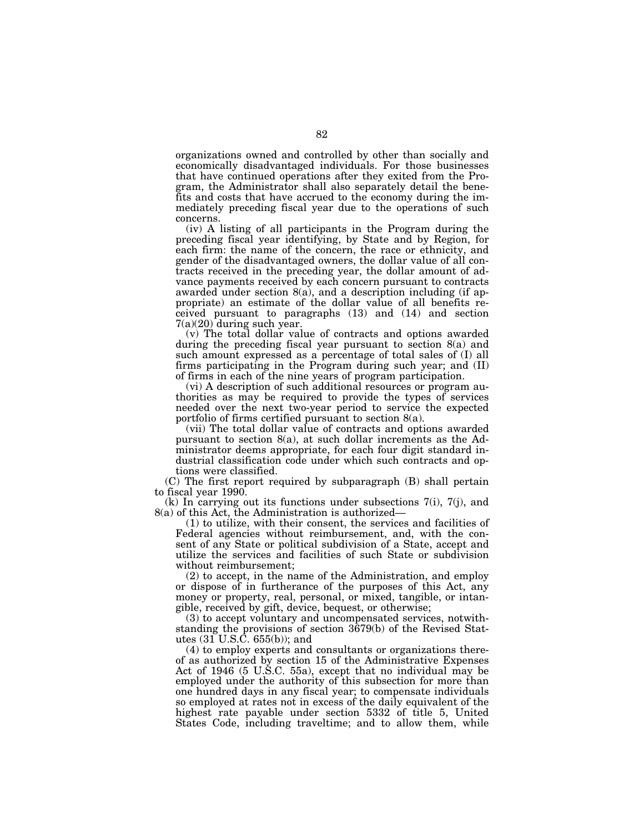organizations owned and controlled by other than socially and economically disadvantaged individuals. For those businesses that have continued operations after they exited from the Program, the Administrator shall also separately detail the benefits and costs that have accrued to the economy during the immediately preceding fiscal year due to the operations of such concerns.

(iv) A listing of all participants in the Program during the preceding fiscal year identifying, by State and by Region, for each firm: the name of the concern, the race or ethnicity, and gender of the disadvantaged owners, the dollar value of all contracts received in the preceding year, the dollar amount of advance payments received by each concern pursuant to contracts awarded under section 8(a), and a description including (if appropriate) an estimate of the dollar value of all benefits received pursuant to paragraphs (13) and (14) and section 7(a)(20) during such year.

(v) The total dollar value of contracts and options awarded during the preceding fiscal year pursuant to section 8(a) and such amount expressed as a percentage of total sales of (I) all firms participating in the Program during such year; and (II) of firms in each of the nine years of program participation.

(vi) A description of such additional resources or program authorities as may be required to provide the types of services needed over the next two-year period to service the expected portfolio of firms certified pursuant to section 8(a).

(vii) The total dollar value of contracts and options awarded pursuant to section 8(a), at such dollar increments as the Administrator deems appropriate, for each four digit standard industrial classification code under which such contracts and options were classified.

(C) The first report required by subparagraph (B) shall pertain to fiscal year 1990.

(k) In carrying out its functions under subsections 7(i), 7(j), and 8(a) of this Act, the Administration is authorized—

(1) to utilize, with their consent, the services and facilities of Federal agencies without reimbursement, and, with the consent of any State or political subdivision of a State, accept and utilize the services and facilities of such State or subdivision without reimbursement;

(2) to accept, in the name of the Administration, and employ or dispose of in furtherance of the purposes of this Act, any money or property, real, personal, or mixed, tangible, or intangible, received by gift, device, bequest, or otherwise;

(3) to accept voluntary and uncompensated services, notwithstanding the provisions of section 3679(b) of the Revised Statutes (31 U.S.C. 655(b)); and

(4) to employ experts and consultants or organizations thereof as authorized by section 15 of the Administrative Expenses Act of 1946 (5 U.S.C. 55a), except that no individual may be employed under the authority of this subsection for more than one hundred days in any fiscal year; to compensate individuals so employed at rates not in excess of the daily equivalent of the highest rate payable under section 5332 of title 5, United States Code, including traveltime; and to allow them, while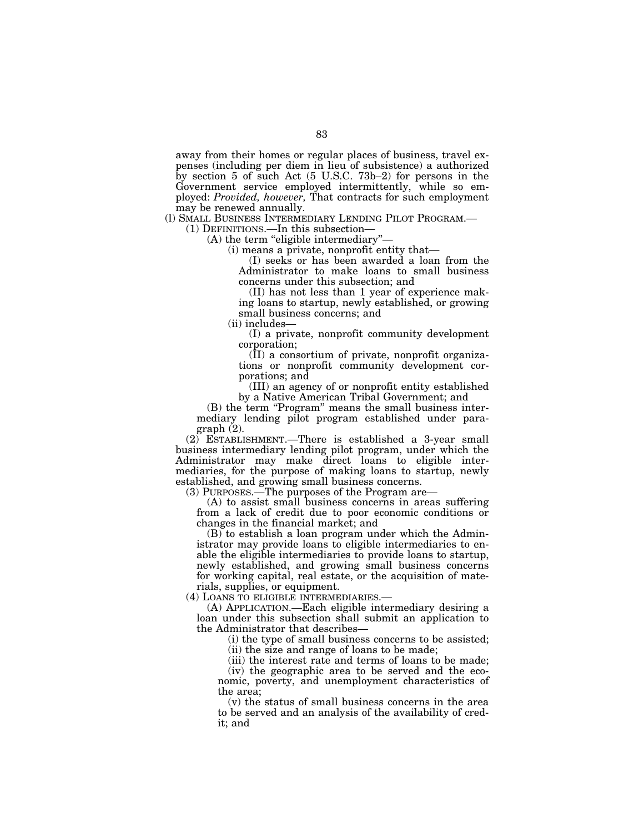away from their homes or regular places of business, travel expenses (including per diem in lieu of subsistence) a authorized by section 5 of such Act (5 U.S.C. 73b–2) for persons in the Government service employed intermittently, while so employed: *Provided, however,* That contracts for such employment may be renewed annually.

(I) SMALL BUSINESS INTERMEDIARY LENDING PILOT PROGRAM.—

(1) DEFINITIONS.—In this subsection—<br>(A) the term "eligible intermediary"-

(i) means a private, nonprofit entity that—

(I) seeks or has been awarded a loan from the Administrator to make loans to small business concerns under this subsection; and

(II) has not less than 1 year of experience making loans to startup, newly established, or growing small business concerns; and

(ii) includes—

(I) a private, nonprofit community development corporation;

(II) a consortium of private, nonprofit organizations or nonprofit community development corporations; and

(III) an agency of or nonprofit entity established by a Native American Tribal Government; and

(B) the term "Program" means the small business intermediary lending pilot program established under paragraph (2).

(2) ESTABLISHMENT.—There is established a 3-year small business intermediary lending pilot program, under which the Administrator may make direct loans to eligible intermediaries, for the purpose of making loans to startup, newly established, and growing small business concerns.

(3) PURPOSES.—The purposes of the Program are—

(A) to assist small business concerns in areas suffering from a lack of credit due to poor economic conditions or changes in the financial market; and

(B) to establish a loan program under which the Administrator may provide loans to eligible intermediaries to enable the eligible intermediaries to provide loans to startup, newly established, and growing small business concerns for working capital, real estate, or the acquisition of materials, supplies, or equipment.

(4) LOANS TO ELIGIBLE INTERMEDIARIES.—

(A) APPLICATION.—Each eligible intermediary desiring a loan under this subsection shall submit an application to the Administrator that describes—

(i) the type of small business concerns to be assisted; (ii) the size and range of loans to be made;

(iii) the interest rate and terms of loans to be made;

(iv) the geographic area to be served and the economic, poverty, and unemployment characteristics of the area;

(v) the status of small business concerns in the area to be served and an analysis of the availability of credit; and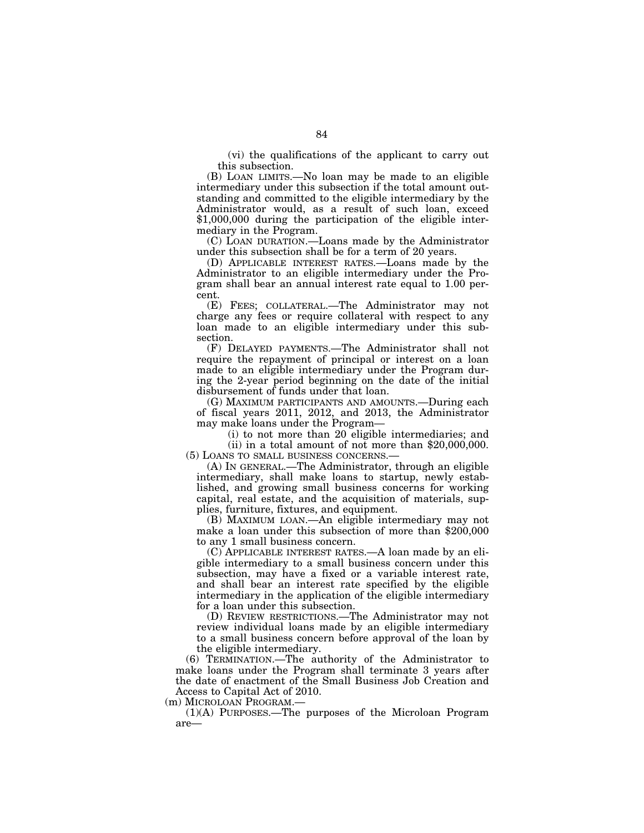(vi) the qualifications of the applicant to carry out this subsection.

(B) LOAN LIMITS.—No loan may be made to an eligible intermediary under this subsection if the total amount outstanding and committed to the eligible intermediary by the Administrator would, as a result of such loan, exceed \$1,000,000 during the participation of the eligible intermediary in the Program.

(C) LOAN DURATION.—Loans made by the Administrator under this subsection shall be for a term of 20 years.

(D) APPLICABLE INTEREST RATES.—Loans made by the Administrator to an eligible intermediary under the Program shall bear an annual interest rate equal to 1.00 percent.

(E) FEES; COLLATERAL.—The Administrator may not charge any fees or require collateral with respect to any loan made to an eligible intermediary under this subsection.

(F) DELAYED PAYMENTS.—The Administrator shall not require the repayment of principal or interest on a loan made to an eligible intermediary under the Program during the 2-year period beginning on the date of the initial disbursement of funds under that loan.

(G) MAXIMUM PARTICIPANTS AND AMOUNTS.—During each of fiscal years 2011, 2012, and 2013, the Administrator may make loans under the Program—

(i) to not more than 20 eligible intermediaries; and

(ii) in a total amount of not more than \$20,000,000. (5) LOANS TO SMALL BUSINESS CONCERNS.—

(A) IN GENERAL.—The Administrator, through an eligible intermediary, shall make loans to startup, newly established, and growing small business concerns for working capital, real estate, and the acquisition of materials, supplies, furniture, fixtures, and equipment.

(B) MAXIMUM LOAN.—An eligible intermediary may not make a loan under this subsection of more than \$200,000 to any 1 small business concern.

(C) APPLICABLE INTEREST RATES.—A loan made by an eligible intermediary to a small business concern under this subsection, may have a fixed or a variable interest rate, and shall bear an interest rate specified by the eligible intermediary in the application of the eligible intermediary for a loan under this subsection.

(D) REVIEW RESTRICTIONS.—The Administrator may not review individual loans made by an eligible intermediary to a small business concern before approval of the loan by the eligible intermediary.

(6) TERMINATION.—The authority of the Administrator to make loans under the Program shall terminate 3 years after the date of enactment of the Small Business Job Creation and Access to Capital Act of 2010.

(m) MICROLOAN PROGRAM.—

(1)(A) PURPOSES.—The purposes of the Microloan Program are—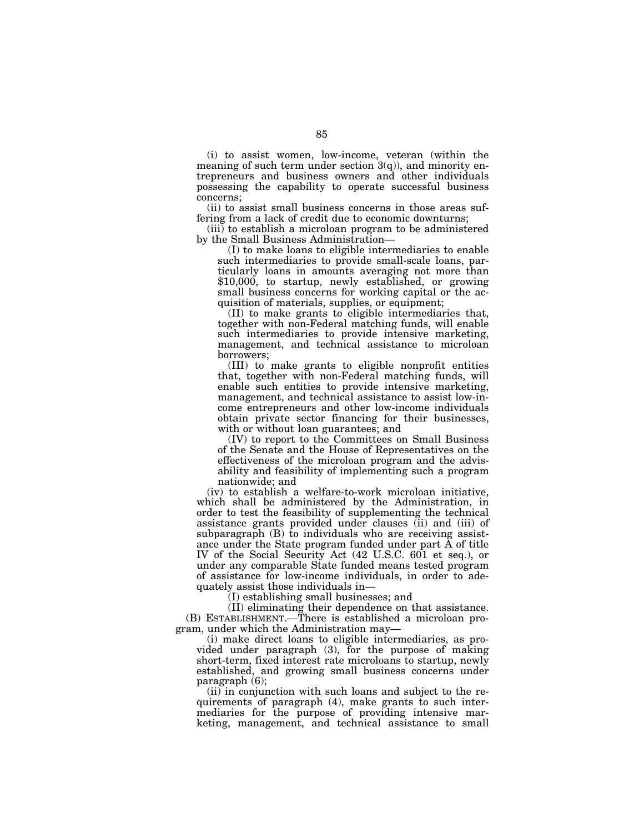(i) to assist women, low-income, veteran (within the meaning of such term under section  $3(q)$ ), and minority entrepreneurs and business owners and other individuals possessing the capability to operate successful business concerns;

(ii) to assist small business concerns in those areas suffering from a lack of credit due to economic downturns;

(iii) to establish a microloan program to be administered by the Small Business Administration—

(I) to make loans to eligible intermediaries to enable such intermediaries to provide small-scale loans, particularly loans in amounts averaging not more than \$10,000, to startup, newly established, or growing small business concerns for working capital or the acquisition of materials, supplies, or equipment;

(II) to make grants to eligible intermediaries that, together with non-Federal matching funds, will enable such intermediaries to provide intensive marketing, management, and technical assistance to microloan borrowers;

(III) to make grants to eligible nonprofit entities that, together with non-Federal matching funds, will enable such entities to provide intensive marketing, management, and technical assistance to assist low-income entrepreneurs and other low-income individuals obtain private sector financing for their businesses, with or without loan guarantees; and

(IV) to report to the Committees on Small Business of the Senate and the House of Representatives on the effectiveness of the microloan program and the advisability and feasibility of implementing such a program nationwide; and

(iv) to establish a welfare-to-work microloan initiative, which shall be administered by the Administration, in order to test the feasibility of supplementing the technical assistance grants provided under clauses (ii) and (iii) of subparagraph  $(B)$  to individuals who are receiving assistance under the State program funded under part A of title IV of the Social Security Act (42 U.S.C. 601 et seq.), or under any comparable State funded means tested program of assistance for low-income individuals, in order to adequately assist those individuals in—

(I) establishing small businesses; and

(II) eliminating their dependence on that assistance. (B) ESTABLISHMENT.—There is established a microloan program, under which the Administration may—

(i) make direct loans to eligible intermediaries, as provided under paragraph (3), for the purpose of making short-term, fixed interest rate microloans to startup, newly established, and growing small business concerns under paragraph (6);

(ii) in conjunction with such loans and subject to the requirements of paragraph (4), make grants to such intermediaries for the purpose of providing intensive marketing, management, and technical assistance to small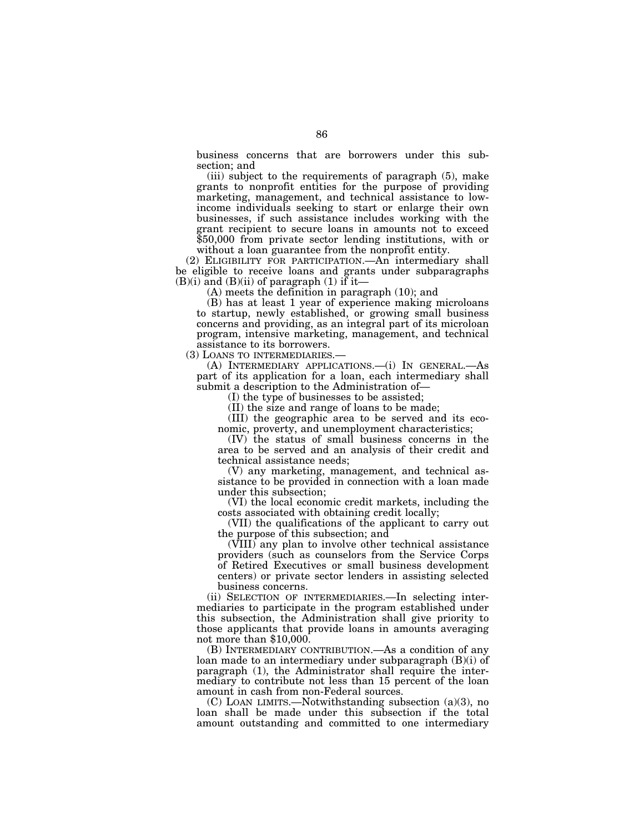business concerns that are borrowers under this subsection; and

(iii) subject to the requirements of paragraph (5), make grants to nonprofit entities for the purpose of providing marketing, management, and technical assistance to lowincome individuals seeking to start or enlarge their own businesses, if such assistance includes working with the grant recipient to secure loans in amounts not to exceed \$50,000 from private sector lending institutions, with or without a loan guarantee from the nonprofit entity.

(2) ELIGIBILITY FOR PARTICIPATION.—An intermediary shall be eligible to receive loans and grants under subparagraphs  $(B)(i)$  and  $(B)(ii)$  of paragraph  $(1)$  if it—

(A) meets the definition in paragraph (10); and

(B) has at least 1 year of experience making microloans to startup, newly established, or growing small business concerns and providing, as an integral part of its microloan program, intensive marketing, management, and technical assistance to its borrowers.

(3) LOANS TO INTERMEDIARIES.—

(A) INTERMEDIARY APPLICATIONS.—(i) IN GENERAL.—As part of its application for a loan, each intermediary shall submit a description to the Administration of—

(I) the type of businesses to be assisted;

(II) the size and range of loans to be made;

(III) the geographic area to be served and its economic, proverty, and unemployment characteristics;

(IV) the status of small business concerns in the area to be served and an analysis of their credit and technical assistance needs;

(V) any marketing, management, and technical assistance to be provided in connection with a loan made under this subsection;

(VI) the local economic credit markets, including the costs associated with obtaining credit locally;

(VII) the qualifications of the applicant to carry out the purpose of this subsection; and

(VIII) any plan to involve other technical assistance providers (such as counselors from the Service Corps of Retired Executives or small business development centers) or private sector lenders in assisting selected business concerns.

(ii) SELECTION OF INTERMEDIARIES.—In selecting intermediaries to participate in the program established under this subsection, the Administration shall give priority to those applicants that provide loans in amounts averaging not more than \$10,000.

(B) INTERMEDIARY CONTRIBUTION.—As a condition of any loan made to an intermediary under subparagraph (B)(i) of paragraph (1), the Administrator shall require the intermediary to contribute not less than 15 percent of the loan amount in cash from non-Federal sources.

(C) LOAN LIMITS.—Notwithstanding subsection (a)(3), no loan shall be made under this subsection if the total amount outstanding and committed to one intermediary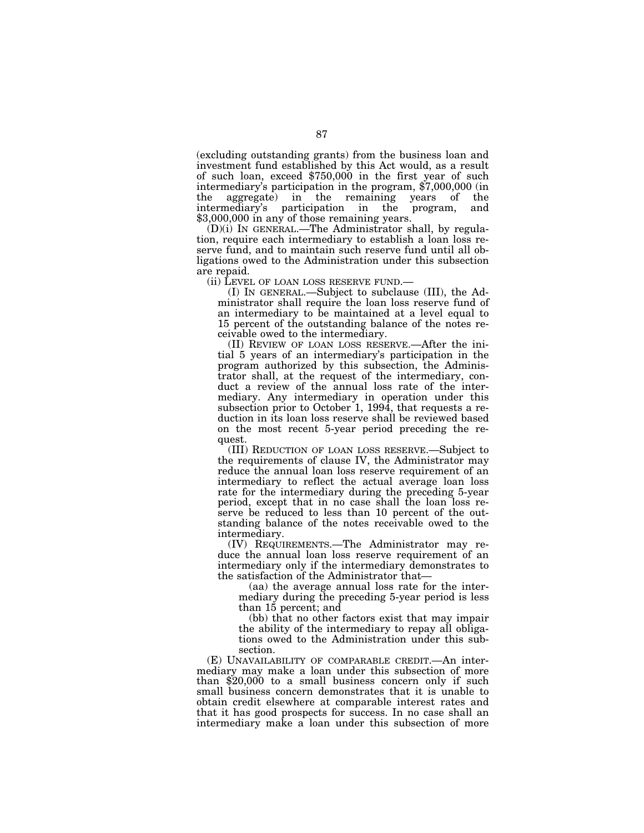(excluding outstanding grants) from the business loan and investment fund established by this Act would, as a result of such loan, exceed \$750,000 in the first year of such intermediary's participation in the program, \$7,000,000 (in the aggregate) in the remaining years of the intermediary's participation in the program, and \$3,000,000 in any of those remaining years.

(D)(i) IN GENERAL.—The Administrator shall, by regulation, require each intermediary to establish a loan loss reserve fund, and to maintain such reserve fund until all obligations owed to the Administration under this subsection are repaid.

(ii) LEVEL OF LOAN LOSS RESERVE FUND.—

(I) IN GENERAL.—Subject to subclause (III), the Administrator shall require the loan loss reserve fund of an intermediary to be maintained at a level equal to 15 percent of the outstanding balance of the notes receivable owed to the intermediary.

(II) REVIEW OF LOAN LOSS RESERVE.—After the initial 5 years of an intermediary's participation in the program authorized by this subsection, the Administrator shall, at the request of the intermediary, conduct a review of the annual loss rate of the intermediary. Any intermediary in operation under this subsection prior to October 1, 1994, that requests a reduction in its loan loss reserve shall be reviewed based on the most recent 5-year period preceding the request.

(III) REDUCTION OF LOAN LOSS RESERVE.—Subject to the requirements of clause IV, the Administrator may reduce the annual loan loss reserve requirement of an intermediary to reflect the actual average loan loss rate for the intermediary during the preceding 5-year period, except that in no case shall the loan loss reserve be reduced to less than 10 percent of the outstanding balance of the notes receivable owed to the intermediary.

(IV) REQUIREMENTS.—The Administrator may reduce the annual loan loss reserve requirement of an intermediary only if the intermediary demonstrates to the satisfaction of the Administrator that—

(aa) the average annual loss rate for the intermediary during the preceding 5-year period is less than 15 percent; and

(bb) that no other factors exist that may impair the ability of the intermediary to repay all obligations owed to the Administration under this subsection.

(E) UNAVAILABILITY OF COMPARABLE CREDIT.—An intermediary may make a loan under this subsection of more than \$20,000 to a small business concern only if such small business concern demonstrates that it is unable to obtain credit elsewhere at comparable interest rates and that it has good prospects for success. In no case shall an intermediary make a loan under this subsection of more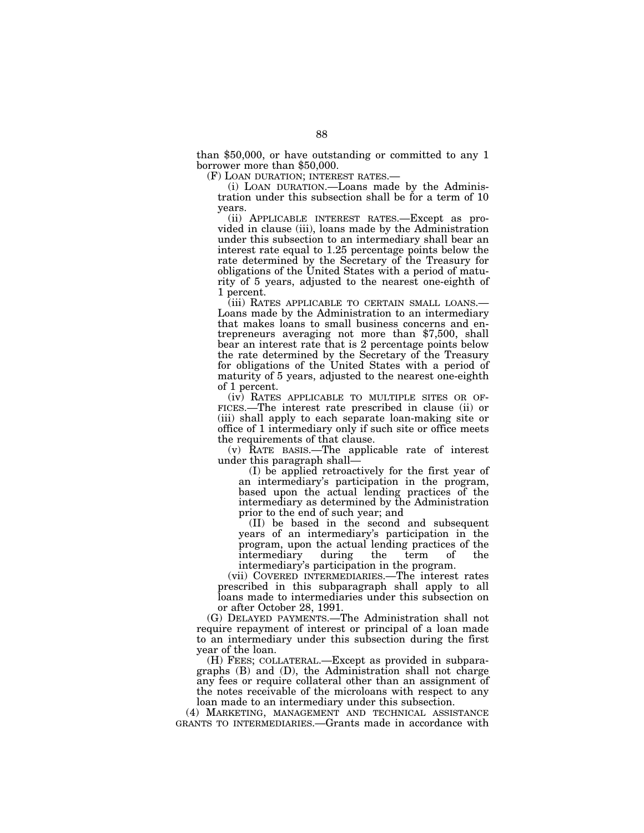than \$50,000, or have outstanding or committed to any 1 borrower more than \$50,000.<br>(F) LOAN DURATION; INTEREST RATES.—

(i) LOAN DURATION.—Loans made by the Administration under this subsection shall be for a term of 10 years.

(ii) APPLICABLE INTEREST RATES.—Except as provided in clause (iii), loans made by the Administration under this subsection to an intermediary shall bear an interest rate equal to 1.25 percentage points below the rate determined by the Secretary of the Treasury for obligations of the United States with a period of maturity of 5 years, adjusted to the nearest one-eighth of 1 percent.

(iii) RATES APPLICABLE TO CERTAIN SMALL LOANS.— Loans made by the Administration to an intermediary that makes loans to small business concerns and entrepreneurs averaging not more than \$7,500, shall bear an interest rate that is 2 percentage points below the rate determined by the Secretary of the Treasury for obligations of the United States with a period of maturity of 5 years, adjusted to the nearest one-eighth of 1 percent.

(iv) RATES APPLICABLE TO MULTIPLE SITES OR OF- FICES.—The interest rate prescribed in clause (ii) or (iii) shall apply to each separate loan-making site or office of 1 intermediary only if such site or office meets the requirements of that clause.

(v) RATE BASIS.—The applicable rate of interest under this paragraph shall—

(I) be applied retroactively for the first year of an intermediary's participation in the program, based upon the actual lending practices of the intermediary as determined by the Administration prior to the end of such year; and

(II) be based in the second and subsequent years of an intermediary's participation in the program, upon the actual lending practices of the intermediary during the term of the intermediary during the term of the intermediary's participation in the program.

(vii) COVERED INTERMEDIARIES.—The interest rates prescribed in this subparagraph shall apply to all loans made to intermediaries under this subsection on or after October 28, 1991.

(G) DELAYED PAYMENTS.—The Administration shall not require repayment of interest or principal of a loan made to an intermediary under this subsection during the first year of the loan.

(H) FEES; COLLATERAL.—Except as provided in subparagraphs (B) and (D), the Administration shall not charge any fees or require collateral other than an assignment of the notes receivable of the microloans with respect to any loan made to an intermediary under this subsection.

(4) MARKETING, MANAGEMENT AND TECHNICAL ASSISTANCE GRANTS TO INTERMEDIARIES.—Grants made in accordance with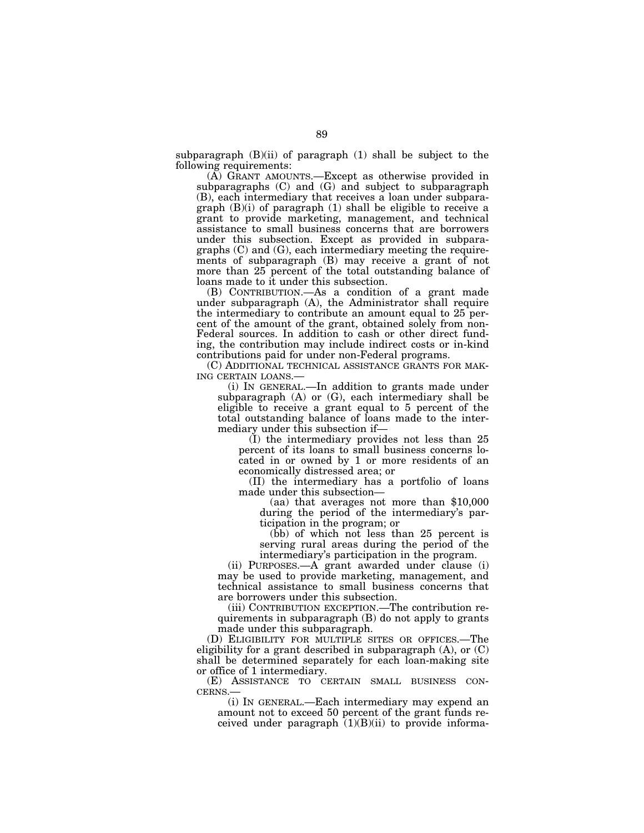subparagraph  $(B)(ii)$  of paragraph  $(1)$  shall be subject to the following requirements:

(A) GRANT AMOUNTS.—Except as otherwise provided in subparagraphs (C) and (G) and subject to subparagraph (B), each intermediary that receives a loan under subparagraph (B)(i) of paragraph (1) shall be eligible to receive a grant to provide marketing, management, and technical assistance to small business concerns that are borrowers under this subsection. Except as provided in subparagraphs (C) and (G), each intermediary meeting the requirements of subparagraph (B) may receive a grant of not more than 25 percent of the total outstanding balance of loans made to it under this subsection.

(B) CONTRIBUTION.—As a condition of a grant made under subparagraph (A), the Administrator shall require the intermediary to contribute an amount equal to 25 percent of the amount of the grant, obtained solely from non-Federal sources. In addition to cash or other direct funding, the contribution may include indirect costs or in-kind contributions paid for under non-Federal programs.

(C) ADDITIONAL TECHNICAL ASSISTANCE GRANTS FOR MAK-<br>ING CERTAIN LOANS.—<br>(i) IN GENERAL.—In addition to grants made under

subparagraph (A) or (G), each intermediary shall be eligible to receive a grant equal to 5 percent of the total outstanding balance of loans made to the intermediary under this subsection if—

(I) the intermediary provides not less than 25 percent of its loans to small business concerns located in or owned by 1 or more residents of an economically distressed area; or

(II) the intermediary has a portfolio of loans made under this subsection—

(aa) that averages not more than \$10,000 during the period of the intermediary's participation in the program; or

(bb) of which not less than 25 percent is serving rural areas during the period of the intermediary's participation in the program.

(ii) PURPOSES.—A grant awarded under clause (i) may be used to provide marketing, management, and technical assistance to small business concerns that are borrowers under this subsection.

(iii) CONTRIBUTION EXCEPTION.—The contribution requirements in subparagraph (B) do not apply to grants made under this subparagraph.

(D) ELIGIBILITY FOR MULTIPLE SITES OR OFFICES.—The eligibility for a grant described in subparagraph  $(A)$ , or  $(C)$ shall be determined separately for each loan-making site or office of 1 intermediary.

(E) ASSISTANCE TO CERTAIN SMALL BUSINESS CONCERNS.—

(i) IN GENERAL.—Each intermediary may expend an amount not to exceed 50 percent of the grant funds received under paragraph  $(1)(B)(ii)$  to provide informa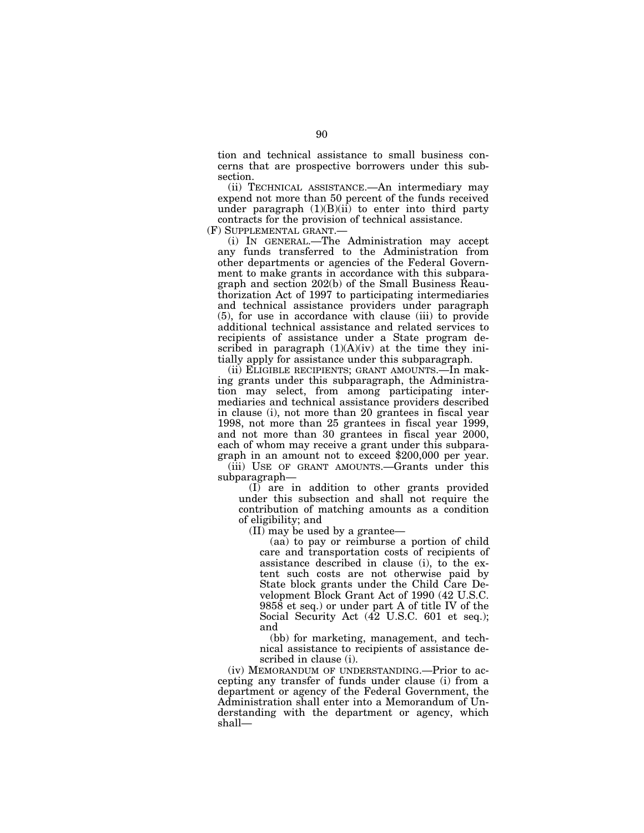tion and technical assistance to small business concerns that are prospective borrowers under this subsection.

(ii) TECHNICAL ASSISTANCE.—An intermediary may expend not more than 50 percent of the funds received under paragraph  $(1)(B)(ii)$  to enter into third party contracts for the provision of technical assistance.

(F) SUPPLEMENTAL GRANT.—

(i) IN GENERAL.—The Administration may accept any funds transferred to the Administration from other departments or agencies of the Federal Government to make grants in accordance with this subparagraph and section 202(b) of the Small Business Reauthorization Act of 1997 to participating intermediaries and technical assistance providers under paragraph (5), for use in accordance with clause (iii) to provide additional technical assistance and related services to recipients of assistance under a State program described in paragraph  $(1)(A)(iv)$  at the time they initially apply for assistance under this subparagraph.

(ii) ELIGIBLE RECIPIENTS; GRANT AMOUNTS.—In making grants under this subparagraph, the Administration may select, from among participating intermediaries and technical assistance providers described in clause (i), not more than 20 grantees in fiscal year 1998, not more than 25 grantees in fiscal year 1999, and not more than 30 grantees in fiscal year 2000, each of whom may receive a grant under this subparagraph in an amount not to exceed \$200,000 per year.

(iii) USE OF GRANT AMOUNTS.—Grants under this subparagraph—

(I) are in addition to other grants provided under this subsection and shall not require the contribution of matching amounts as a condition of eligibility; and

(II) may be used by a grantee—

(aa) to pay or reimburse a portion of child care and transportation costs of recipients of assistance described in clause (i), to the extent such costs are not otherwise paid by State block grants under the Child Care Development Block Grant Act of 1990 (42 U.S.C. 9858 et seq.) or under part A of title IV of the Social Security Act (42 U.S.C. 601 et seq.); and

(bb) for marketing, management, and technical assistance to recipients of assistance described in clause (i).

(iv) MEMORANDUM OF UNDERSTANDING.—Prior to accepting any transfer of funds under clause (i) from a department or agency of the Federal Government, the Administration shall enter into a Memorandum of Understanding with the department or agency, which shall—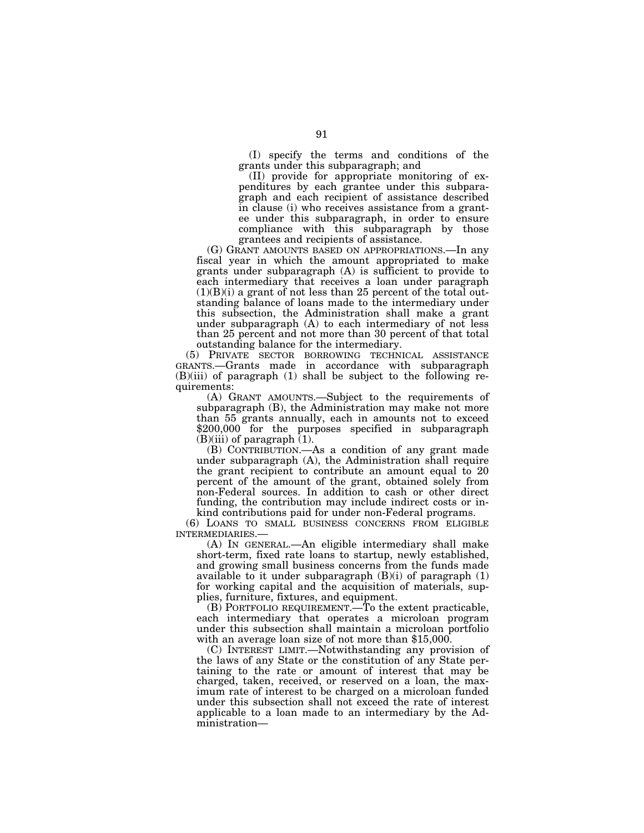(I) specify the terms and conditions of the grants under this subparagraph; and

(II) provide for appropriate monitoring of expenditures by each grantee under this subparagraph and each recipient of assistance described in clause (i) who receives assistance from a grantee under this subparagraph, in order to ensure compliance with this subparagraph by those grantees and recipients of assistance.

(G) GRANT AMOUNTS BASED ON APPROPRIATIONS.—In any fiscal year in which the amount appropriated to make grants under subparagraph (A) is sufficient to provide to each intermediary that receives a loan under paragraph  $(1)(B)(i)$  a grant of not less than 25 percent of the total outstanding balance of loans made to the intermediary under this subsection, the Administration shall make a grant under subparagraph (A) to each intermediary of not less than 25 percent and not more than 30 percent of that total outstanding balance for the intermediary.

(5) PRIVATE SECTOR BORROWING TECHNICAL ASSISTANCE GRANTS.—Grants made in accordance with subparagraph  $(B)(iii)$  of paragraph  $(1)$  shall be subject to the following requirements:

(A) GRANT AMOUNTS.—Subject to the requirements of subparagraph (B), the Administration may make not more than 55 grants annually, each in amounts not to exceed \$200,000 for the purposes specified in subparagraph  $(B)(iii)$  of paragraph  $(1)$ .

(B) CONTRIBUTION.—As a condition of any grant made under subparagraph (A), the Administration shall require the grant recipient to contribute an amount equal to 20 percent of the amount of the grant, obtained solely from non-Federal sources. In addition to cash or other direct funding, the contribution may include indirect costs or inkind contributions paid for under non-Federal programs.

(6) LOANS TO SMALL BUSINESS CONCERNS FROM ELIGIBLE

(A) IN GENERAL.—An eligible intermediary shall make short-term, fixed rate loans to startup, newly established, and growing small business concerns from the funds made available to it under subparagraph  $(B)(i)$  of paragraph  $(1)$ for working capital and the acquisition of materials, supplies, furniture, fixtures, and equipment.

(B) PORTFOLIO REQUIREMENT.—To the extent practicable, each intermediary that operates a microloan program under this subsection shall maintain a microloan portfolio with an average loan size of not more than \$15,000.

(C) INTEREST LIMIT.—Notwithstanding any provision of the laws of any State or the constitution of any State pertaining to the rate or amount of interest that may be charged, taken, received, or reserved on a loan, the maximum rate of interest to be charged on a microloan funded under this subsection shall not exceed the rate of interest applicable to a loan made to an intermediary by the Administration—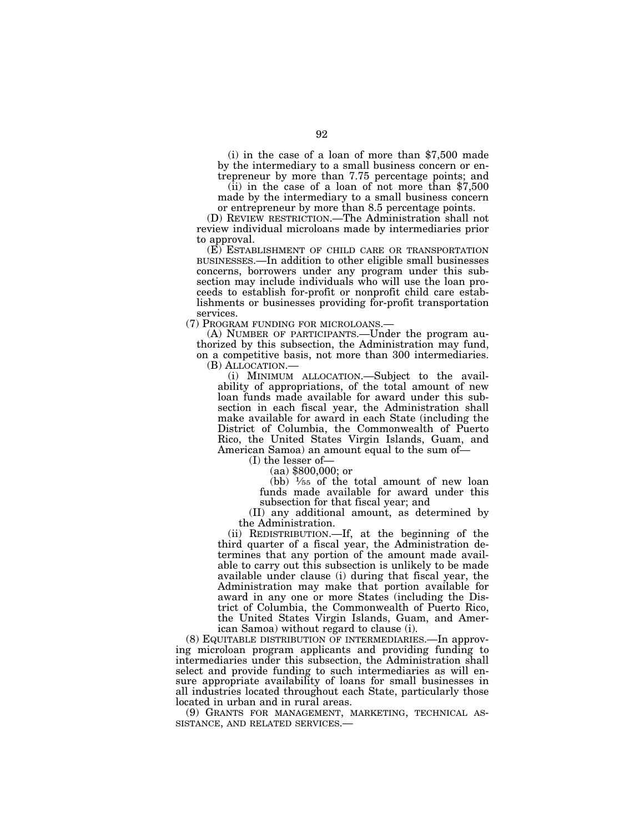(i) in the case of a loan of more than \$7,500 made by the intermediary to a small business concern or en-

trepreneur by more than 7.75 percentage points; and (ii) in the case of a loan of not more than \$7,500 made by the intermediary to a small business concern or entrepreneur by more than 8.5 percentage points.

(D) REVIEW RESTRICTION.—The Administration shall not review individual microloans made by intermediaries prior to approval.

(E) ESTABLISHMENT OF CHILD CARE OR TRANSPORTATION BUSINESSES.—In addition to other eligible small businesses concerns, borrowers under any program under this subsection may include individuals who will use the loan proceeds to establish for-profit or nonprofit child care establishments or businesses providing for-profit transportation services.

(7) PROGRAM FUNDING FOR MICROLOANS.—

(A) NUMBER OF PARTICIPANTS.—Under the program authorized by this subsection, the Administration may fund, on a competitive basis, not more than 300 intermediaries. (B) ALLOCATION.— (i) MINIMUM ALLOCATION.—Subject to the avail-

ability of appropriations, of the total amount of new loan funds made available for award under this subsection in each fiscal year, the Administration shall make available for award in each State (including the District of Columbia, the Commonwealth of Puerto Rico, the United States Virgin Islands, Guam, and American Samoa) an amount equal to the sum of—

(I) the lesser of—

(aa) \$800,000; or

(bb)  $\frac{1}{55}$  of the total amount of new loan funds made available for award under this subsection for that fiscal year; and

(II) any additional amount, as determined by the Administration.

(ii) REDISTRIBUTION.—If, at the beginning of the third quarter of a fiscal year, the Administration determines that any portion of the amount made available to carry out this subsection is unlikely to be made available under clause (i) during that fiscal year, the Administration may make that portion available for award in any one or more States (including the District of Columbia, the Commonwealth of Puerto Rico, the United States Virgin Islands, Guam, and American Samoa) without regard to clause (i).

(8) EQUITABLE DISTRIBUTION OF INTERMEDIARIES.—In approving microloan program applicants and providing funding to intermediaries under this subsection, the Administration shall select and provide funding to such intermediaries as will ensure appropriate availability of loans for small businesses in all industries located throughout each State, particularly those located in urban and in rural areas.

(9) GRANTS FOR MANAGEMENT, MARKETING, TECHNICAL AS-SISTANCE, AND RELATED SERVICES.—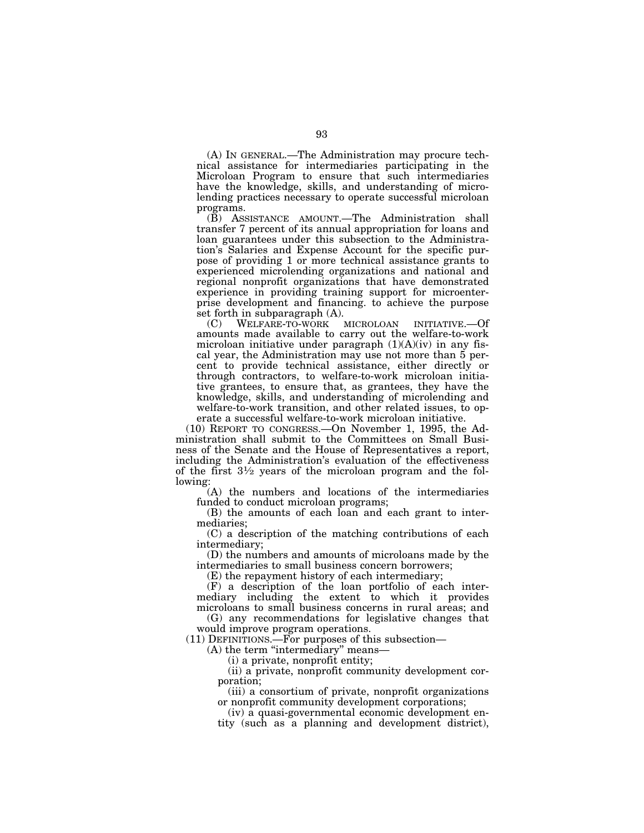(A) IN GENERAL.—The Administration may procure technical assistance for intermediaries participating in the Microloan Program to ensure that such intermediaries have the knowledge, skills, and understanding of microlending practices necessary to operate successful microloan programs.

(B) ASSISTANCE AMOUNT.—The Administration shall transfer 7 percent of its annual appropriation for loans and loan guarantees under this subsection to the Administration's Salaries and Expense Account for the specific purpose of providing 1 or more technical assistance grants to experienced microlending organizations and national and regional nonprofit organizations that have demonstrated experience in providing training support for microenterprise development and financing. to achieve the purpose set forth in subparagraph (A).

(C) WELFARE-TO-WORK MICROLOAN INITIATIVE.—Of amounts made available to carry out the welfare-to-work microloan initiative under paragraph  $(1)(A)(iv)$  in any fiscal year, the Administration may use not more than 5 percent to provide technical assistance, either directly or through contractors, to welfare-to-work microloan initiative grantees, to ensure that, as grantees, they have the knowledge, skills, and understanding of microlending and welfare-to-work transition, and other related issues, to operate a successful welfare-to-work microloan initiative.

(10) REPORT TO CONGRESS.—On November 1, 1995, the Administration shall submit to the Committees on Small Business of the Senate and the House of Representatives a report, including the Administration's evaluation of the effectiveness of the first  $3\frac{1}{2}$  years of the microloan program and the following:

(A) the numbers and locations of the intermediaries funded to conduct microloan programs;

(B) the amounts of each loan and each grant to intermediaries;

(C) a description of the matching contributions of each intermediary;

(D) the numbers and amounts of microloans made by the intermediaries to small business concern borrowers;

(E) the repayment history of each intermediary;

(F) a description of the loan portfolio of each intermediary including the extent to which it provides microloans to small business concerns in rural areas; and

(G) any recommendations for legislative changes that would improve program operations.

(11) DEFINITIONS.—For purposes of this subsection—

(A) the term ''intermediary'' means—

(i) a private, nonprofit entity;

(ii) a private, nonprofit community development corporation;

(iii) a consortium of private, nonprofit organizations or nonprofit community development corporations;

(iv) a quasi-governmental economic development entity (such as a planning and development district),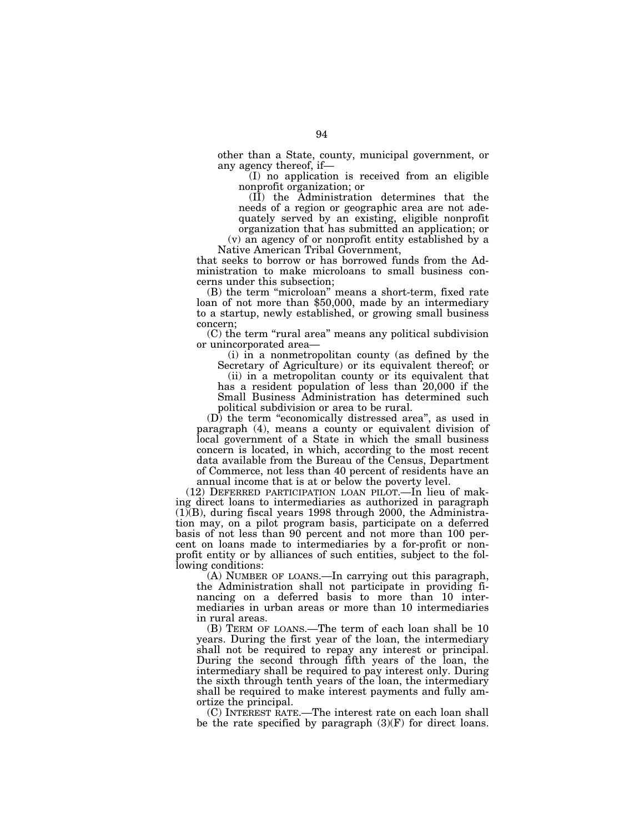other than a State, county, municipal government, or any agency thereof, if—

(I) no application is received from an eligible nonprofit organization; or

(II) the Administration determines that the needs of a region or geographic area are not adequately served by an existing, eligible nonprofit organization that has submitted an application; or

(v) an agency of or nonprofit entity established by a Native American Tribal Government,

that seeks to borrow or has borrowed funds from the Administration to make microloans to small business concerns under this subsection;

(B) the term "microloan" means a short-term, fixed rate loan of not more than \$50,000, made by an intermediary to a startup, newly established, or growing small business concern;

(C) the term ''rural area'' means any political subdivision or unincorporated area—

(i) in a nonmetropolitan county (as defined by the Secretary of Agriculture) or its equivalent thereof; or

(ii) in a metropolitan county or its equivalent that has a resident population of less than 20,000 if the Small Business Administration has determined such political subdivision or area to be rural.

(D) the term "economically distressed area", as used in paragraph (4), means a county or equivalent division of local government of a State in which the small business concern is located, in which, according to the most recent data available from the Bureau of the Census, Department of Commerce, not less than 40 percent of residents have an annual income that is at or below the poverty level.

(12) DEFERRED PARTICIPATION LOAN PILOT.—In lieu of making direct loans to intermediaries as authorized in paragraph  $(1)(B)$ , during fiscal years 1998 through 2000, the Administration may, on a pilot program basis, participate on a deferred basis of not less than 90 percent and not more than 100 percent on loans made to intermediaries by a for-profit or nonprofit entity or by alliances of such entities, subject to the following conditions:

(A) NUMBER OF LOANS.—In carrying out this paragraph, the Administration shall not participate in providing financing on a deferred basis to more than 10 intermediaries in urban areas or more than 10 intermediaries in rural areas.

(B) TERM OF LOANS.—The term of each loan shall be 10 years. During the first year of the loan, the intermediary shall not be required to repay any interest or principal. During the second through fifth years of the loan, the intermediary shall be required to pay interest only. During the sixth through tenth years of the loan, the intermediary shall be required to make interest payments and fully amortize the principal.

(C) INTEREST RATE.—The interest rate on each loan shall be the rate specified by paragraph  $(3)(F)$  for direct loans.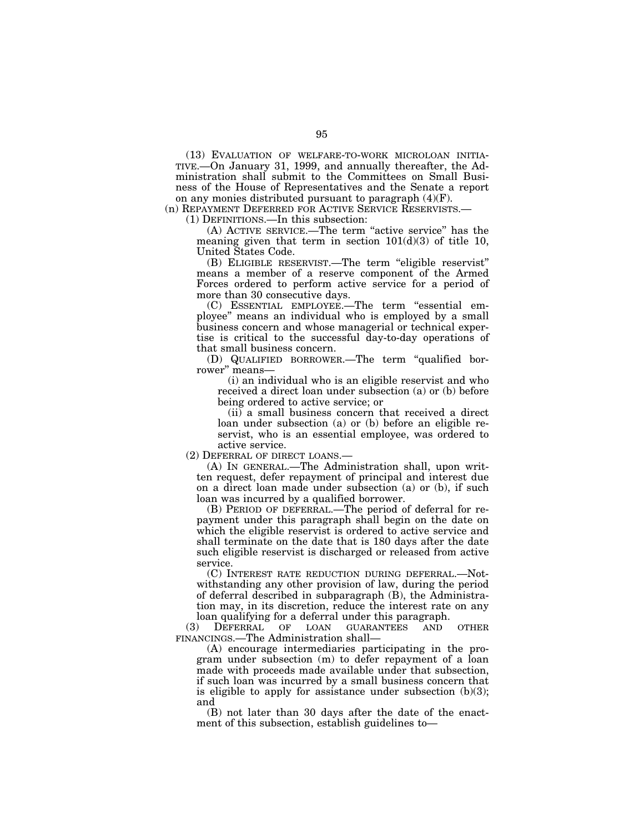(13) EVALUATION OF WELFARE-TO-WORK MICROLOAN INITIA-TIVE.—On January 31, 1999, and annually thereafter, the Administration shall submit to the Committees on Small Business of the House of Representatives and the Senate a report on any monies distributed pursuant to paragraph (4)(F).

(n) REPAYMENT DEFERRED FOR ACTIVE SERVICE RESERVISTS.—

(1) DEFINITIONS.—In this subsection:

(A) ACTIVE SERVICE.—The term ''active service'' has the meaning given that term in section  $101(d)(3)$  of title 10, United States Code.

(B) ELIGIBLE RESERVIST.—The term ''eligible reservist'' means a member of a reserve component of the Armed Forces ordered to perform active service for a period of more than 30 consecutive days.

(C) ESSENTIAL EMPLOYEE.—The term ''essential employee'' means an individual who is employed by a small business concern and whose managerial or technical expertise is critical to the successful day-to-day operations of that small business concern.

(D) QUALIFIED BORROWER.—The term ''qualified borrower'' means—

(i) an individual who is an eligible reservist and who received a direct loan under subsection (a) or (b) before being ordered to active service; or

(ii) a small business concern that received a direct loan under subsection (a) or (b) before an eligible reservist, who is an essential employee, was ordered to active service.

(2) DEFERRAL OF DIRECT LOANS.—

(A) IN GENERAL.—The Administration shall, upon written request, defer repayment of principal and interest due on a direct loan made under subsection (a) or (b), if such loan was incurred by a qualified borrower.

(B) PERIOD OF DEFERRAL.—The period of deferral for repayment under this paragraph shall begin on the date on which the eligible reservist is ordered to active service and shall terminate on the date that is 180 days after the date such eligible reservist is discharged or released from active service.

(C) INTEREST RATE REDUCTION DURING DEFERRAL.—Notwithstanding any other provision of law, during the period of deferral described in subparagraph (B), the Administration may, in its discretion, reduce the interest rate on any loan qualifying for a deferral under this paragraph.

(3) DEFERRAL OF LOAN GUARANTEES AND OTHER FINANCINGS.—The Administration shall—

(A) encourage intermediaries participating in the program under subsection (m) to defer repayment of a loan made with proceeds made available under that subsection, if such loan was incurred by a small business concern that is eligible to apply for assistance under subsection  $(b)(3)$ ; and

(B) not later than 30 days after the date of the enactment of this subsection, establish guidelines to—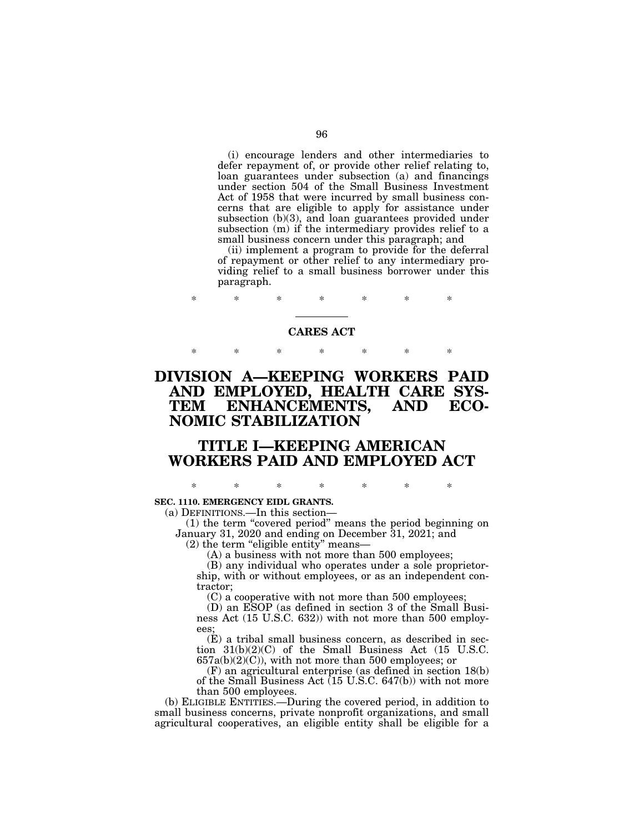(i) encourage lenders and other intermediaries to defer repayment of, or provide other relief relating to, loan guarantees under subsection (a) and financings under section 504 of the Small Business Investment Act of 1958 that were incurred by small business concerns that are eligible to apply for assistance under subsection (b)(3), and loan guarantees provided under subsection (m) if the intermediary provides relief to a small business concern under this paragraph; and

(ii) implement a program to provide for the deferral of repayment or other relief to any intermediary providing relief to a small business borrower under this paragraph.

### **CARES ACT**

\* \* \* \* \* \* \*

\* \* \* \* \* \* \*

# **DIVISION A—KEEPING WORKERS PAID AND EMPLOYED, HEALTH CARE SYS-TEM ENHANCEMENTS, AND ECO-NOMIC STABILIZATION**

### **TITLE I—KEEPING AMERICAN WORKERS PAID AND EMPLOYED ACT**

\* \* \* \* \* \* \*

#### **SEC. 1110. EMERGENCY EIDL GRANTS.**

(a) DEFINITIONS.—In this section—

(1) the term ''covered period'' means the period beginning on January 31, 2020 and ending on December 31, 2021; and

(2) the term ''eligible entity'' means—

(A) a business with not more than 500 employees;

(B) any individual who operates under a sole proprietorship, with or without employees, or as an independent contractor;

(C) a cooperative with not more than 500 employees;

(D) an ESOP (as defined in section 3 of the Small Business Act (15 U.S.C. 632)) with not more than 500 employees;

(E) a tribal small business concern, as described in section 31(b)(2)(C) of the Small Business Act (15 U.S.C.  $657a(b)(2)(C)$ , with not more than 500 employees; or

(F) an agricultural enterprise (as defined in section 18(b) of the Small Business Act (15 U.S.C. 647(b)) with not more than 500 employees.

(b) ELIGIBLE ENTITIES.—During the covered period, in addition to small business concerns, private nonprofit organizations, and small agricultural cooperatives, an eligible entity shall be eligible for a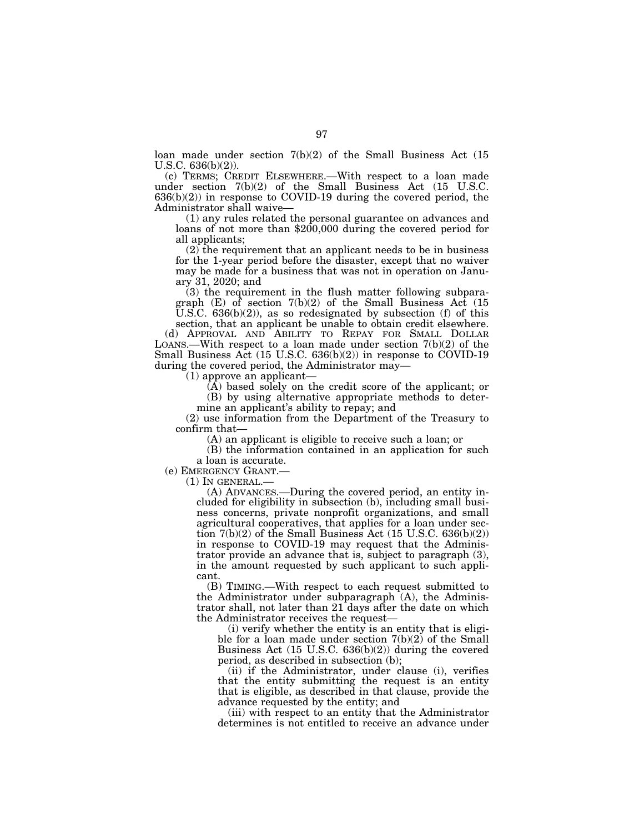loan made under section 7(b)(2) of the Small Business Act (15 U.S.C. 636(b)(2)).

(c) TERMS; CREDIT ELSEWHERE.—With respect to a loan made under section 7(b)(2) of the Small Business Act (15 U.S.C.  $636(b)(2)$  in response to COVID-19 during the covered period, the Administrator shall waive—<br>(1) any rules related the personal guarantee on advances and

loans of not more than \$200,000 during the covered period for all applicants;

 $(2)$  the requirement that an applicant needs to be in business for the 1-year period before the disaster, except that no waiver may be made for a business that was not in operation on January 31, 2020; and

(3) the requirement in the flush matter following subparagraph (E) of section 7(b)(2) of the Small Business Act (15 U.S.C.  $636(b)(2)$ , as so redesignated by subsection (f) of this

section, that an applicant be unable to obtain credit elsewhere. (d) APPROVAL AND ABILITY TO REPAY FOR SMALL DOLLAR LOANS.—With respect to a loan made under section  $7(b)(2)$  of the Small Business Act (15 U.S.C. 636(b)(2)) in response to COVID-19 during the covered period, the Administrator may—

(1) approve an applicant—

(A) based solely on the credit score of the applicant; or (B) by using alternative appropriate methods to determine an applicant's ability to repay; and

(2) use information from the Department of the Treasury to confirm that—

(A) an applicant is eligible to receive such a loan; or

(B) the information contained in an application for such a loan is accurate.

(e) EMERGENCY GRANT.— (1) IN GENERAL.—

(A) ADVANCES.—During the covered period, an entity included for eligibility in subsection (b), including small business concerns, private nonprofit organizations, and small agricultural cooperatives, that applies for a loan under section  $7(b)(2)$  of the Small Business Act (15 U.S.C. 636(b)(2)) in response to COVID-19 may request that the Administrator provide an advance that is, subject to paragraph (3), in the amount requested by such applicant to such applicant.

(B) TIMING.—With respect to each request submitted to the Administrator under subparagraph  $(A)$ , the Administrator shall, not later than 21 days after the date on which the Administrator receives the request—

(i) verify whether the entity is an entity that is eligible for a loan made under section 7(b)(2) of the Small Business Act (15 U.S.C. 636(b)(2)) during the covered period, as described in subsection (b);

(ii) if the Administrator, under clause (i), verifies that the entity submitting the request is an entity that is eligible, as described in that clause, provide the advance requested by the entity; and

(iii) with respect to an entity that the Administrator determines is not entitled to receive an advance under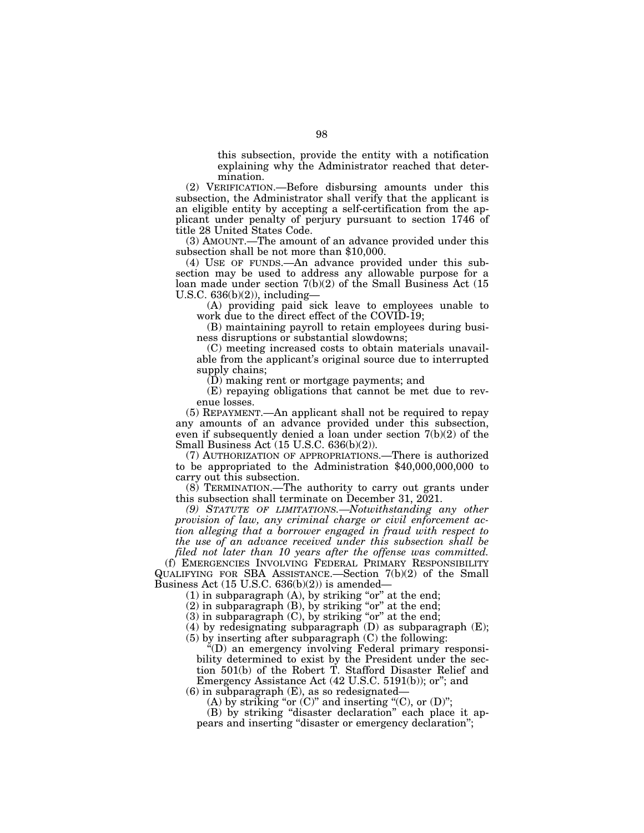this subsection, provide the entity with a notification explaining why the Administrator reached that determination.

(2) VERIFICATION.—Before disbursing amounts under this subsection, the Administrator shall verify that the applicant is an eligible entity by accepting a self-certification from the applicant under penalty of perjury pursuant to section 1746 of title 28 United States Code.

(3) AMOUNT.—The amount of an advance provided under this subsection shall be not more than \$10,000.

(4) USE OF FUNDS.—An advance provided under this subsection may be used to address any allowable purpose for a loan made under section 7(b)(2) of the Small Business Act (15 U.S.C. 636(b)(2)), including—

(A) providing paid sick leave to employees unable to work due to the direct effect of the COVID-19;

(B) maintaining payroll to retain employees during business disruptions or substantial slowdowns;

(C) meeting increased costs to obtain materials unavailable from the applicant's original source due to interrupted supply chains;

(D) making rent or mortgage payments; and

(E) repaying obligations that cannot be met due to revenue losses.

(5) REPAYMENT.—An applicant shall not be required to repay any amounts of an advance provided under this subsection, even if subsequently denied a loan under section 7(b)(2) of the Small Business Act (15 U.S.C. 636(b)(2)).

(7) AUTHORIZATION OF APPROPRIATIONS.—There is authorized to be appropriated to the Administration \$40,000,000,000 to carry out this subsection.

(8) TERMINATION.—The authority to carry out grants under this subsection shall terminate on December 31, 2021.

*(9) STATUTE OF LIMITATIONS.—Notwithstanding any other provision of law, any criminal charge or civil enforcement action alleging that a borrower engaged in fraud with respect to the use of an advance received under this subsection shall be filed not later than 10 years after the offense was committed.* 

(f) EMERGENCIES INVOLVING FEDERAL PRIMARY RESPONSIBILITY QUALIFYING FOR SBA ASSISTANCE.—Section 7(b)(2) of the Small Business Act (15 U.S.C. 636(b)(2)) is amended—

 $(1)$  in subparagraph  $(A)$ , by striking "or" at the end;

 $(2)$  in subparagraph  $(B)$ , by striking "or" at the end;

 $(3)$  in subparagraph  $(C)$ , by striking "or" at the end;

(4) by redesignating subparagraph (D) as subparagraph (E);

(5) by inserting after subparagraph (C) the following:

 $E^2(D)$  an emergency involving Federal primary responsibility determined to exist by the President under the section 501(b) of the Robert T. Stafford Disaster Relief and Emergency Assistance Act (42 U.S.C. 5191(b)); or''; and

 $(6)$  in subparagraph  $(E)$ , as so redesignated–

(A) by striking "or  $(C)$ " and inserting " $(C)$ , or  $(D)$ ";

(B) by striking ''disaster declaration'' each place it appears and inserting ''disaster or emergency declaration'';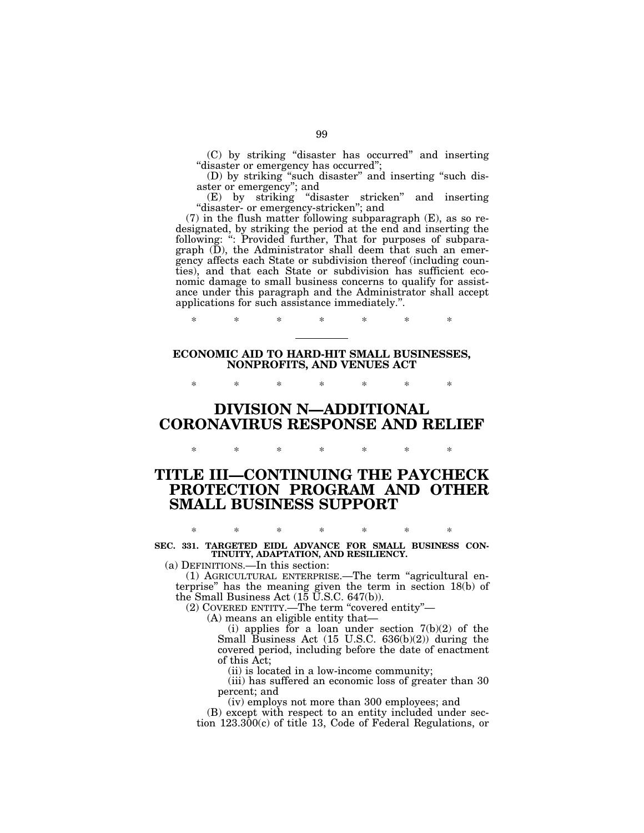(C) by striking ''disaster has occurred'' and inserting ''disaster or emergency has occurred'';

(D) by striking ''such disaster'' and inserting ''such disaster or emergency''; and

(E) by striking ''disaster stricken'' and inserting "disaster- or emergency-stricken"; and

 $(7)$  in the flush matter following subparagraph  $(E)$ , as so redesignated, by striking the period at the end and inserting the following: '': Provided further, That for purposes of subparagraph (D), the Administrator shall deem that such an emergency affects each State or subdivision thereof (including counties), and that each State or subdivision has sufficient economic damage to small business concerns to qualify for assistance under this paragraph and the Administrator shall accept applications for such assistance immediately.''.

**ECONOMIC AID TO HARD-HIT SMALL BUSINESSES, NONPROFITS, AND VENUES ACT** 

\* \* \* \* \* \* \*

\* \* \* \* \* \* \*

## **DIVISION N—ADDITIONAL CORONAVIRUS RESPONSE AND RELIEF**

\* \* \* \* \* \* \*

## **TITLE III—CONTINUING THE PAYCHECK PROTECTION PROGRAM AND OTHER SMALL BUSINESS SUPPORT**

\* \* \* \* \* \* \* **SEC. 331. TARGETED EIDL ADVANCE FOR SMALL BUSINESS CON-TINUITY, ADAPTATION, AND RESILIENCY.** 

(a) DEFINITIONS.—In this section:

(1) AGRICULTURAL ENTERPRISE.—The term ''agricultural enterprise'' has the meaning given the term in section 18(b) of the Small Business Act (15 U.S.C. 647(b)).

(2) COVERED ENTITY.—The term ''covered entity''—

(A) means an eligible entity that—

(i) applies for a loan under section  $7(b)(2)$  of the Small Business Act (15 U.S.C. 636(b)(2)) during the covered period, including before the date of enactment of this Act;

(ii) is located in a low-income community;

(iii) has suffered an economic loss of greater than 30 percent; and

(iv) employs not more than 300 employees; and

(B) except with respect to an entity included under section 123.300(c) of title 13, Code of Federal Regulations, or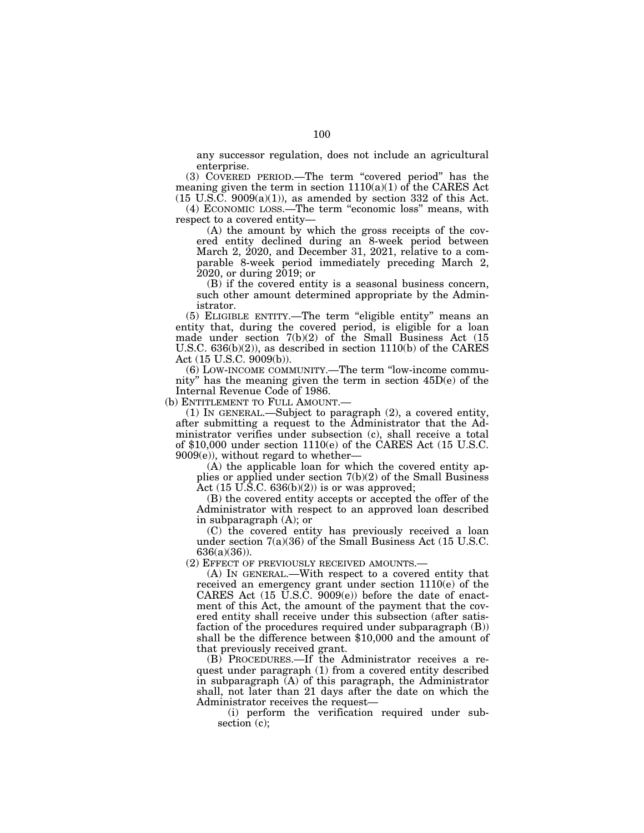any successor regulation, does not include an agricultural enterprise.

(3) COVERED PERIOD.—The term ''covered period'' has the meaning given the term in section 1110(a)(1) of the CARES Act  $(15 \text{ U.S.C. } 9009(a)(1))$ , as amended by section 332 of this Act.

(4) ECONOMIC LOSS.—The term ''economic loss'' means, with respect to a covered entity—

(A) the amount by which the gross receipts of the covered entity declined during an 8-week period between March 2, 2020, and December 31, 2021, relative to a comparable 8-week period immediately preceding March 2, 2020, or during 2019; or

(B) if the covered entity is a seasonal business concern, such other amount determined appropriate by the Administrator.

(5) ELIGIBLE ENTITY.—The term ''eligible entity'' means an entity that, during the covered period, is eligible for a loan made under section 7(b)(2) of the Small Business Act (15 U.S.C. 636(b)(2)), as described in section 1110(b) of the CARES Act (15 U.S.C. 9009(b)).

(6) LOW-INCOME COMMUNITY.—The term ''low-income community'' has the meaning given the term in section 45D(e) of the Internal Revenue Code of 1986.

(b) ENTITLEMENT TO FULL AMOUNT.—

(1) IN GENERAL.—Subject to paragraph (2), a covered entity, after submitting a request to the Administrator that the Administrator verifies under subsection (c), shall receive a total of \$10,000 under section 1110(e) of the CARES Act (15 U.S.C.  $9009(e)$ , without regard to whether-

(A) the applicable loan for which the covered entity applies or applied under section 7(b)(2) of the Small Business Act  $(15 \text{ U.S.C. } 636(b)(2))$  is or was approved;

(B) the covered entity accepts or accepted the offer of the Administrator with respect to an approved loan described in subparagraph (A); or

(C) the covered entity has previously received a loan under section 7(a)(36) of the Small Business Act (15 U.S.C. 636(a)(36)).

(2) EFFECT OF PREVIOUSLY RECEIVED AMOUNTS.—

(A) IN GENERAL.—With respect to a covered entity that received an emergency grant under section 1110(e) of the CARES Act (15 U.S.C. 9009(e)) before the date of enactment of this Act, the amount of the payment that the covered entity shall receive under this subsection (after satisfaction of the procedures required under subparagraph (B)) shall be the difference between \$10,000 and the amount of that previously received grant.

(B) PROCEDURES.—If the Administrator receives a request under paragraph (1) from a covered entity described in subparagraph  $(A)$  of this paragraph, the Administrator shall, not later than 21 days after the date on which the Administrator receives the request—

(i) perform the verification required under subsection (c);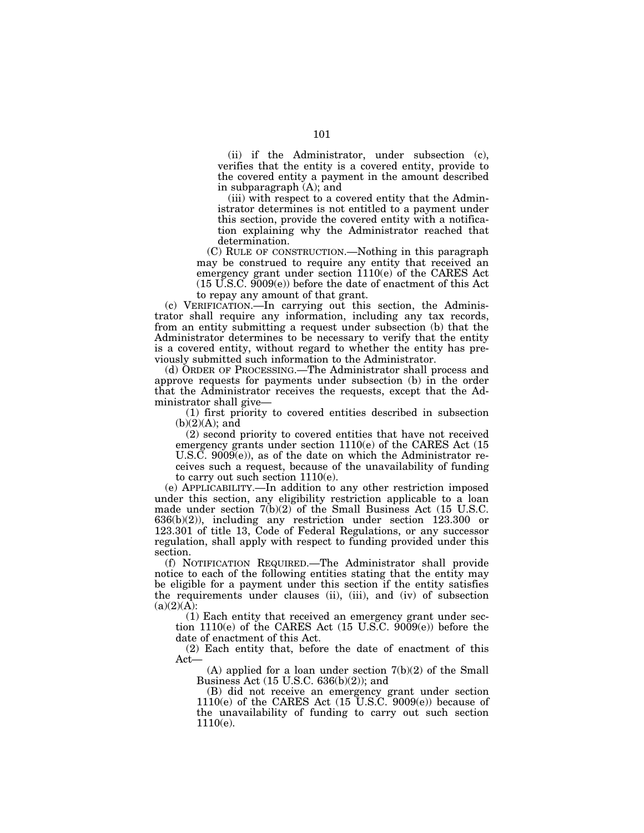(ii) if the Administrator, under subsection (c), verifies that the entity is a covered entity, provide to the covered entity a payment in the amount described in subparagraph (A); and

(iii) with respect to a covered entity that the Administrator determines is not entitled to a payment under this section, provide the covered entity with a notification explaining why the Administrator reached that determination.

(C) RULE OF CONSTRUCTION.—Nothing in this paragraph may be construed to require any entity that received an emergency grant under section 1110(e) of the CARES Act  $(15 \text{ U.S.C. } 9009(e))$  before the date of enactment of this Act to repay any amount of that grant.

(c) VERIFICATION.—In carrying out this section, the Administrator shall require any information, including any tax records, from an entity submitting a request under subsection (b) that the Administrator determines to be necessary to verify that the entity is a covered entity, without regard to whether the entity has previously submitted such information to the Administrator.

(d) ORDER OF PROCESSING.—The Administrator shall process and approve requests for payments under subsection (b) in the order that the Administrator receives the requests, except that the Administrator shall give—

(1) first priority to covered entities described in subsection  $(b)(2)(A)$ ; and

(2) second priority to covered entities that have not received emergency grants under section 1110(e) of the CARES Act (15 U.S.C.  $9009(e)$ , as of the date on which the Administrator receives such a request, because of the unavailability of funding to carry out such section 1110(e).

(e) APPLICABILITY.—In addition to any other restriction imposed under this section, any eligibility restriction applicable to a loan made under section 7(b)(2) of the Small Business Act (15 U.S.C. 636(b)(2)), including any restriction under section 123.300 or 123.301 of title 13, Code of Federal Regulations, or any successor regulation, shall apply with respect to funding provided under this section.

(f) NOTIFICATION REQUIRED.—The Administrator shall provide notice to each of the following entities stating that the entity may be eligible for a payment under this section if the entity satisfies the requirements under clauses (ii), (iii), and (iv) of subsection  $(a)(2)(\overrightarrow{A})$ :

(1) Each entity that received an emergency grant under section 1110(e) of the CARES Act (15 U.S.C. 9009(e)) before the date of enactment of this Act.

(2) Each entity that, before the date of enactment of this Act—

 $(A)$  applied for a loan under section  $7(b)(2)$  of the Small Business Act (15 U.S.C. 636(b)(2)); and

(B) did not receive an emergency grant under section  $1110(e)$  of the CARES Act  $(15 \text{ U.S.C. } 9009(e))$  because of the unavailability of funding to carry out such section 1110(e).